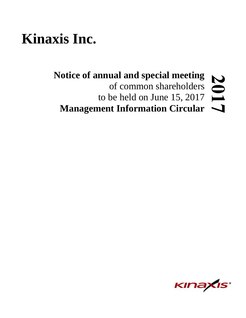# **Kinaxis Inc.**

# **Notice of annual and special meeting** 201 of common shareholders to be held on June 15, 2017 Management Information Circular  $\rightarrow$

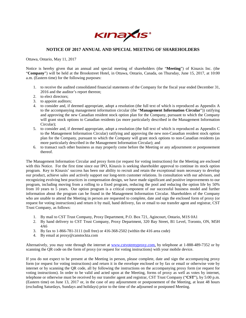

# **NOTICE OF 2017 ANNUAL AND SPECIAL MEETING OF SHAREHOLDERS**

Ottawa, Ontario, May 11, 2017

Notice is hereby given that an annual and special meeting of shareholders (the "**Meeting**") of Kinaxis Inc. (the "**Company**") will be held at the Brookstreet Hotel, in Ottawa, Ontario, Canada, on Thursday, June 15, 2017, at 10:00 a.m. (Eastern time) for the following purposes:

- 1. to receive the audited consolidated financial statements of the Company for the fiscal year ended December 31, 2016 and the auditor's report thereon;
- 2. to elect directors;
- 3. to appoint auditors;
- 4. to consider and, if deemed appropriate, adopt a resolution (the full text of which is reproduced as Appendix A to the accompanying management information circular (the "**Management Information Circular**")) ratifying and approving the new Canadian resident stock option plan for the Company, pursuant to which the Company will grant stock options to Canadian residents (as more particularly described in the Management Information Circular);
- 5. to consider and, if deemed appropriate, adopt a resolution (the full text of which is reproduced as Appendix C to the Management Information Circular) ratifying and approving the new non-Canadian resident stock option plan for the Company, pursuant to which the Company will grant stock options to non-Canadian residents (as more particularly described in the Management Information Circular); and
- 6. to transact such other business as may properly come before the Meeting or any adjournment or postponement thereof.

The Management Information Circular and proxy form (or request for voting instructions) for the Meeting are enclosed with this Notice. For the first time since our IPO, Kinaxis is seeking shareholder approval to continue its stock option program. Key to Kinaxis' success has been our ability to recruit and retain the exceptional team necessary to develop our product, achieve sales and actively support our long-term customer relations. In consultation with our advisors, and recognizing evolving best practices in compensation design, we have made significant and positive improvements to our program, including moving from a rolling to a fixed program, reducing the pool and reducing the option life by 50% from 10 years to 5 years. Our option program is a critical component of our successful business model and further information about the program can be found in the Management Information Circular. Shareholders of the Company who are unable to attend the Meeting in person are requested to complete, date and sign the enclosed form of proxy (or request for voting instructions) and return it by mail, hand delivery, fax or email to our transfer agent and registrar, CST Trust Company, as follows:

- 1. By mail to CST Trust Company, Proxy Department, P.O. Box 721, Agincourt, Ontario, M1S 0A1
- 2. By hand delivery to CST Trust Company, Proxy Department, 320 Bay Street, B1 Level, Toronto, ON, M5H 4A6
- 3. By fax to 1-866-781-3111 (toll free) or 416-368-2502 (within the 416 area code)
- 4. By email at proxy@canstockta.com

Alternatively, you may vote through the internet at www.cstvotemyproxy.com, by telephone at 1-888-489-7352 or by scanning the QR code on the form of proxy (or request for voting instructions) with your mobile device.

If you do not expect to be present at the Meeting in person, please complete, date and sign the accompanying proxy form (or request for voting instructions) and return it in the envelope enclosed or by fax or email or otherwise vote by internet or by scanning the QR code, all by following the instructions on the accompanying proxy form (or request for voting instructions). In order to be valid and acted upon at the Meeting, forms of proxy as well as votes by internet, telephone or otherwise must be received by our transfer agent and registrar, CST Trust Company ("**CST**"), by 5:00 p.m. (Eastern time) on June 13, 2017 or, in the case of any adjournment or postponement of the Meeting, at least 48 hours (excluding Saturdays, Sundays and holidays) prior to the time of the adjourned or postponed Meeting.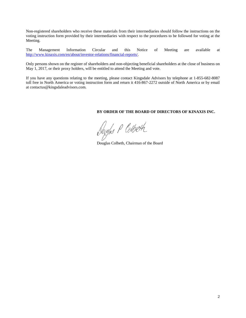Non-registered shareholders who receive these materials from their intermediaries should follow the instructions on the voting instruction form provided by their intermediaries with respect to the procedures to be followed for voting at the Meeting.

The Management Information Circular and this Notice of Meeting are available at http://www.kinaxis.com/en/about/investor-relations/financial-reports/.

Only persons shown on the register of shareholders and non-objecting beneficial shareholders at the close of business on May 1, 2017, or their proxy holders, will be entitled to attend the Meeting and vote.

If you have any questions relating to the meeting, please contact Kingsdale Advisors by telephone at 1-855-682-8087 toll free in North America or voting instruction form and return it 416-867-2272 outside of North America or by email at contactus@kingsdaleadvisors.com.

# **BY ORDER OF THE BOARD OF DIRECTORS OF KINAXIS INC.**

Dougles P Colbeth

Douglas Colbeth, Chairman of the Board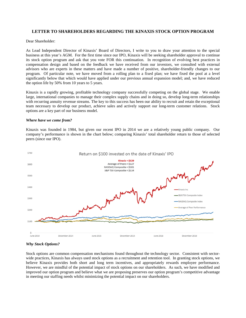# **LETTER TO SHAREHOLDERS REGARDING THE KINAXIS STOCK OPTION PROGRAM**

Dear Shareholder:

As Lead Independent Director of Kinaxis' Board of Directors, I write to you to draw your attention to the special business at this year's AGM. For the first time since our IPO, Kinaxis will be seeking shareholder approval to continue its stock option program and ask that you vote FOR this continuation. In recognition of evolving best practices in compensation design and based on the feedback we have received from our investors, we consulted with external advisors who are experts in these matters and have made a number of positive, shareholder-friendly changes to our program. Of particular note, we have moved from a rolling plan to a fixed plan; we have fixed the pool at a level significantly below that which would have applied under our previous annual expansion model; and, we have reduced the option life by 50% from 10 years to 5 years.

Kinaxis is a rapidly growing, profitable technology company successfully competing on the global stage. We enable large, international companies to manage their complex supply chains and in doing so, develop long-term relationships with recurring annuity revenue streams. The key to this success has been our ability to recruit and retain the exceptional team necessary to develop our product, achieve sales and actively support our long-term customer relations. Stock options are a key part of our business model.

#### *Where have we come from?*

Kinaxis was founded in 1984, but given our recent IPO in 2014 we are a relatively young public company. Our company's performance is shown in the chart below; comparing Kinaxis' total shareholder return to those of selected peers (since our IPO).



# *Why Stock Options?*

Stock options are common compensation mechanisms found throughout the technology sector. Consistent with sectorwide practices, Kinaxis has always used stock options as a recruitment and retention tool. In granting stock options, we believe Kinaxis provides both short and long term incentives, and appropriately rewards employee performance. However, we are mindful of the potential impact of stock options on our shareholders. As such, we have modified and improved our option program and believe what we are proposing preserves our option program's competitive advantage in meeting our staffing needs whilst minimizing the potential impact on our shareholders.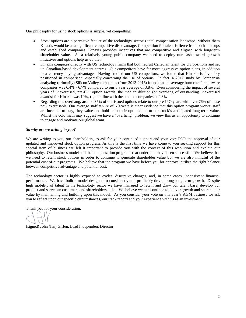Our philosophy for using stock options is simple, yet compelling:

- Stock options are a pervasive feature of the technology sector's total compensation landscape; without them Kinaxis would be at a significant competitive disadvantage. Competition for talent is fierce from both start-ups and established companies. Kinaxis provides incentives that are competitive and aligned with long-term shareholder value. As a relatively young public company we need to deploy our cash towards growth initiatives and options help us do that.
- Kinaxis competes directly with US technology firms that both recruit Canadian talent for US positions and set up Canadian-based development centres. Our competitors have far more aggressive option plans, in addition to a currency buying advantage. Having studied our US competitors, we found that Kinaxis is favorably positioned in comparison, especially concerning the use of options. In fact, a 2017 study by Compensia analyzing (primarily) Silicon Valley companies (from 2013-2016) found that the average burn rate for software companies was 6.4% - 6.7% compared to our 3 year average of 3.8%. Even considering the impact of several years of unexercised, pre-IPO option awards, the median dilution (or overhang of outstanding unexercised awards) for Kinaxis was 10%, right in line with the studied companies at 9.8%
- Regarding this overhang, around 35% of our issued options relate to our pre-IPO years with over 76% of these now exercisable. Our average staff tenure of 6.9 years is clear evidence that this option program works: staff are incented to stay, they value and hold onto their options due to our stock's anticipated long-term value. Whilst the cold math may suggest we have a "overhang" problem, we view this as an opportunity to continue to engage and motivate our global team.

# *So why are we writing to you?*

We are writing to you, our shareholders, to ask for your continued support and your vote FOR the approval of our updated and improved stock option program. As this is the first time we have come to you seeking support for this special item of business we felt it important to provide you with the context of this resolution and explain our philosophy. Our business model and the compensation programs that underpin it have been successful. We believe that we need to retain stock options in order to continue to generate shareholder value but we are also mindful of the potential cost of our programs. We believe that the program we have before you for approval strikes the right balance between competitive advantage and potential cost.

The technology sector is highly exposed to cycles, disruptive changes, and, in some cases, inconsistent financial performance. We have built a model designed to consistently and profitably drive strong long term growth. Despite high mobility of talent in the technology sector we have managed to retain and grow our talent base, develop our product and serve our customers and shareholders alike. We believe we can continue to deliver growth and shareholder value by maintaining and building upon this model. As you consider your vote on this year's AGM business we ask you to reflect upon our specific circumstances, our track record and your experience with us as an investment.

Thank you for your consideration.

(signed) John (Ian) Giffen, Lead Independent Director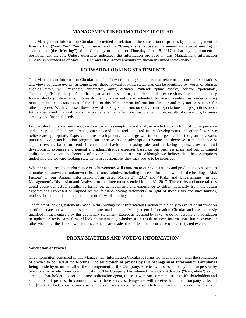# **MANAGEMENT INFORMATION CIRCULAR**

This Management Information Circular is provided in relation to the solicitation of proxies by the management of Kinaxis Inc. ("**we**", "**us**", "**our**", "**Kinaxis**" and the "**Company**") for use at the annual and special meeting of shareholders (the "**Meeting**") of the Company to be held on Thursday, June 15, 2017 and at any adjournment or postponement thereof. Unless otherwise indicated, the information provided in this Management Information Circular is provided as of May 11, 2017, and all currency amounts are shown in United States dollars.

# **FORWARD-LOOKING STATEMENTS**

This Management Information Circular contains forward-looking statements that relate to our current expectations and views of future events. In some cases, these forward-looking statements can be identified by words or phrases such as "may", "will", "expect", "anticipate", "aim", "estimate", "intend", "plan", "seek", "believe", "potential", "continue", "is/are likely to" or the negative of these terms, or other similar expressions intended to identify forward-looking statements. Forward-looking statements are intended to assist readers in understanding management's expectations as of the date of this Management Information Circular and may not be suitable for other purposes. We have based these forward-looking statements on our current expectations and projections about future events and financial trends that we believe may affect our financial condition, results of operations, business strategy and financial needs.

Forward-looking statements are based on certain assumptions and analysis made by us in light of our experience and perception of historical trends, current conditions and expected future developments and other factors we believe are appropriate. Expected future developments include growth in our target market, the grant of awards pursuant to our stock option program, an increase in our subscription revenue and decrease in maintenance & support revenue based on trends in customer behaviour, increasing sales and marketing expenses, research and development expenses and general and administrative expenses based on our business plans and our continued ability to realize on the benefits of tax credits in the near term. Although we believe that the assumptions underlying the forward-looking statements are reasonable, they may prove to be incorrect.

Whether actual results, performance or achievements will conform to our expectations and predictions is subject to a number of known and unknown risks and uncertainties, including those set forth below under the headings "Risk Factors" in our Annual Information Form dated March 27, 2017 and "Risks and Uncertainties" in our Management's Discussion and Analysis for the three months ended March 31, 2017. These risks and uncertainties could cause our actual results, performance, achievements and experience to differ materially from the future expectations expressed or implied by the forward-looking statements. In light of these risks and uncertainties, readers should not place undue reliance on forward-looking statements.

The forward-looking statements made in this Management Information Circular relate only to events or information as of the date on which the statements are made in this Management Information Circular and are expressly qualified in their entirety by this cautionary statement. Except as required by law, we do not assume any obligation to update or revise any forward-looking statements, whether as a result of new information, future events or otherwise, after the date on which the statements are made or to reflect the occurrence of unanticipated events.

# **PROXY MATTERS AND VOTING INFORMATION**

#### **Solicitation of Proxies**

The information contained in this Management Information Circular is furnished in connection with the solicitation of proxies to be used at the Meeting. **The solicitation of proxies by this Management Information Circular is being made by or on behalf of the management of the Company**. Proxies will be solicited by mail, in person, by telephone or by electronic communications. The Company has retained Kingsdale Advisors ("**Kingsdale**") as our strategic shareholder advisor and proxy solicitation agent, to assist with our communications with shareholders and solicitation of proxies. In connection with these services, Kingsdale will receive from the Company a fee of Cdn\$40,000. The Company may also reimburse brokers and other persons holding Common Shares in their name or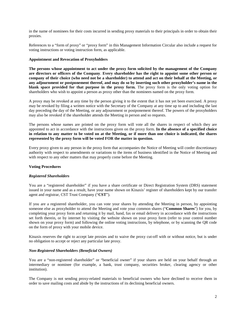in the name of nominees for their costs incurred in sending proxy materials to their principals in order to obtain their proxies.

References to a "form of proxy" or "proxy form" in this Management Information Circular also include a request for voting instructions or voting instruction form, as applicable.

# **Appointment and Revocation of Proxyholders**

**The persons whose appointment to act under the proxy form solicited by the management of the Company are directors or officers of the Company**. **Every shareholder has the right to appoint some other person or company of their choice (who need not be a shareholder) to attend and act on their behalf at the Meeting, or any adjournment or postponement thereof, and may do so by inserting such other proxyholder's name in the blank space provided for that purpose in the proxy form.** The proxy form is the only voting option for shareholders who wish to appoint a person as proxy other than the nominees named on the proxy form.

A proxy may be revoked at any time by the person giving it to the extent that it has not yet been exercised. A proxy may be revoked by filing a written notice with the Secretary of the Company at any time up to and including the last day preceding the day of the Meeting, or any adjournment or postponement thereof. The powers of the proxyholders may also be revoked if the shareholder attends the Meeting in person and so requests.

The persons whose names are printed on the proxy form will vote all the shares in respect of which they are appointed to act in accordance with the instructions given on the proxy form. **In the absence of a specified choice in relation to any matter to be voted on at the Meeting, or if more than one choice is indicated, the shares represented by the proxy form will be voted FOR the matter in question.**

Every proxy given to any person in the proxy form that accompanies the Notice of Meeting will confer discretionary authority with respect to amendments or variations to the items of business identified in the Notice of Meeting and with respect to any other matters that may properly come before the Meeting.

# **Voting Procedures**

# *Registered Shareholders*

You are a "registered shareholder" if you have a share certificate or Direct Registration System (DRS) statement issued in your name and as a result, have your name shown on Kinaxis' register of shareholders kept by our transfer agent and registrar, CST Trust Company ("**CST**").

If you are a registered shareholder, you can vote your shares by attending the Meeting in person, by appointing someone else as proxyholder to attend the Meeting and vote your common shares ("**Common Shares**") for you, by completing your proxy form and returning it by mail, hand, fax or email delivery in accordance with the instructions set forth therein, or by internet by visiting the website shown on your proxy form (refer to your control number shown on your proxy form) and following the online voting instructions, by telephone, or by scanning the QR code on the form of proxy with your mobile device.

Kinaxis reserves the right to accept late proxies and to waive the proxy cut-off with or without notice, but is under no obligation to accept or reject any particular late proxy.

# *Non-Registered Shareholders (Beneficial Owners)*

You are a "non-registered shareholder" or "beneficial owner" if your shares are held on your behalf through an intermediary or nominee (for example, a bank, trust company, securities broker, clearing agency or other institution).

The Company is not sending proxy-related materials to beneficial owners who have declined to receive them in order to save mailing costs and abide by the instructions of its declining beneficial owners.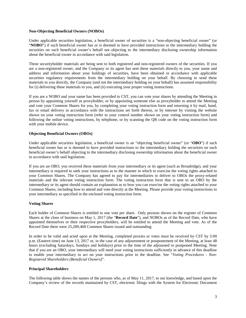# **Non-Objecting Beneficial Owners (NOBOs)**

Under applicable securities legislation, a beneficial owner of securities is a "non-objecting beneficial owner" (or "**NOBO**") if such beneficial owner has or is deemed to have provided instructions to the intermediary holding the securities on such beneficial owner's behalf not objecting to the intermediary disclosing ownership information about the beneficial owner in accordance with said legislation.

These securityholder materials are being sent to both registered and non-registered owners of the securities. If you are a non-registered owner, and the Company or its agent has sent these materials directly to you, your name and address and information about your holdings of securities, have been obtained in accordance with applicable securities regulatory requirements from the intermediary holding on your behalf. By choosing to send these materials to you directly, the Company (and not the intermediary holding on your behalf) has assumed responsibility for (i) delivering these materials to you, and (ii) executing your proper voting instructions.

If you are a NOBO and your name has been provided to CST, you can vote your shares by attending the Meeting in person by appointing yourself as proxyholder, or by appointing someone else as proxyholder to attend the Meeting and vote your Common Shares for you, by completing your voting instruction form and returning it by mail, hand, fax or email delivery in accordance with the instructions set forth therein, or by internet by visiting the website shown on your voting instruction form (refer to your control number shown on your voting instruction form) and following the online voting instructions, by telephone, or by scanning the QR code on the voting instruction form with your mobile device.

# **Objecting Beneficial Owners (OBOs)**

Under applicable securities legislation, a beneficial owner is an "objecting beneficial owner" (or "**OBO**") if such beneficial owner has or is deemed to have provided instructions to the intermediary holding the securities on such beneficial owner's behalf objecting to the intermediary disclosing ownership information about the beneficial owner in accordance with said legislation.

If you are an OBO, you received these materials from your intermediary or its agent (such as Broadridge), and your intermediary is required to seek your instructions as to the manner in which to exercise the voting rights attached to your Common Shares. The Company has agreed to pay for intermediaries to deliver to OBOs the proxy-related materials and the relevant voting instruction form. The voting instruction form that is sent to an OBO by the intermediary or its agent should contain an explanation as to how you can exercise the voting rights attached to your Common Shares, including how to attend and vote directly at the Meeting. Please provide your voting instructions to your intermediary as specified in the enclosed voting instruction form.

# **Voting Shares**

Each holder of Common Shares is entitled to one vote per share. Only persons shown on the register of Common Shares at the close of business on May 1, 2017 (the "**Record Date**"), and NOBOs as of the Record Date, who have appointed themselves or their respective proxyholders, will be entitled to attend the Meeting and vote. As of the Record Date there were 25,289,460 Common Shares issued and outstanding.

In order to be valid and acted upon at the Meeting, completed proxies or votes must be received by CST by 5:00 p.m. (Eastern time) on June 13, 2017 or, in the case of any adjournment or postponement of the Meeting, at least 48 hours (excluding Saturdays, Sundays and holidays) prior to the time of the adjourned or postponed Meeting. Note that if you are an OBO, your intermediary will need your voting instructions sufficiently in advance of this deadline to enable your intermediary to act on your instructions prior to the deadline. See "*Voting Procedures - Non-Registered Shareholders (Beneficial Owners)*".

# **Principal Shareholders**

The following table shows the names of the persons who, as of May 11, 2017, to our knowledge, and based upon the Company's review of the records maintained by CST, electronic filings with the System for Electronic Document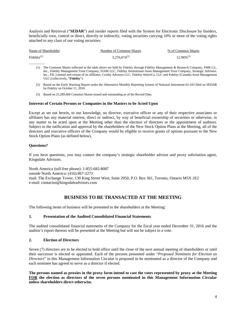Analysis and Retrieval ("**SEDAR**") and insider reports filed with the System for Electronic Disclosure by Insiders, beneficially own, control or direct, directly or indirectly, voting securities carrying 10% or more of the voting rights attached to any class of our voting securities:

| Name of Shareholder | Number of Common Shares | % of Common Shares |
|---------------------|-------------------------|--------------------|
| Fidelity $(1)$      | $3.276.674^{(2)}$       | $12.96\%^{(3)}$    |

- (1) The Common Shares reflected in the table above are held by Fidelity through Fidelity Management & Research Company, FMR Co., Inc., Fidelity Management Trust Company, FIAM LLC, Fidelity Institutional Asset Management Trust Company, Strategic Advisers, Inc., FIL Limited and certain of its affiliates, Crosby Advisors LLC, Fidelity SelectCo, LLC and Fidelity (Canada) Asset Management ULC (collectively, "**Fidelity**").
- (2) Based on the Early Warning Report under the Alternative Monthly Reporting System of National Instrument 62-103 filed on SEDAR by Fidelity on October 11, 2016.
- (3) Based on 25,289,460 Common Shares issued and outstanding as of the Record Date.

# **Interests of Certain Persons or Companies in the Matters to be Acted Upon**

Except as set out herein, to our knowledge, no director, executive officer or any of their respective associates or affiliates has any material interest, direct or indirect, by way of beneficial ownership of securities or otherwise, in any matter to be acted upon at the Meeting other than the election of directors or the appointment of auditors. Subject to the ratification and approval by the shareholders of the New Stock Option Plans at the Meeting, all of the directors and executive officers of the Company would be eligible to receive grants of options pursuant to the New Stock Option Plans (as defined below).

# **Questions?**

 $\overline{\phantom{a}}$  , where  $\overline{\phantom{a}}$ 

If you have questions, you may contact the company's strategic shareholder advisor and proxy solicitation agent, Kingsdale Advisors.

North America (toll-free phone): 1-855-682-8087 outside North America: (416) 867-2272 mail: The Exchange Tower, 130 King Street West, Suite 2950, P.O. Box 361, Toronto, Ontario M5X 1E2 e-mail: contactus@kingsdaleadvisors.com

# **BUSINESS TO BE TRANSACTED AT THE MEETING**

The following items of business will be presented to the shareholders at the Meeting:

# **1. Presentation of the Audited Consolidated Financial Statements**

The audited consolidated financial statements of the Company for the fiscal year ended December 31, 2016 and the auditor's report thereon will be presented at the Meeting but will not be subject to a vote.

# **2. Election of Directors**

Seven (7) directors are to be elected to hold office until the close of the next annual meeting of shareholders or until their successor is elected or appointed. Each of the persons presented under "*Proposed Nominees for Election as Directors*" in this Management Information Circular is proposed to be nominated as a director of the Company and each nominee has agreed to serve as a director if elected.

**The persons named as proxies in the proxy form intend to cast the votes represented by proxy at the Meeting FOR the election as directors of the seven persons nominated in this Management Information Circular unless shareholders direct otherwise.**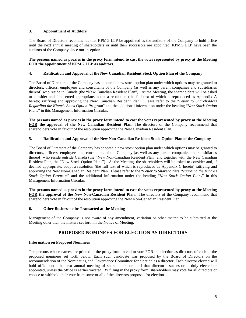# **3. Appointment of Auditors**

The Board of Directors recommends that KPMG LLP be appointed as the auditors of the Company to hold office until the next annual meeting of shareholders or until their successors are appointed. KPMG LLP have been the auditors of the Company since our inception.

# **The persons named as proxies in the proxy form intend to cast the votes represented by proxy at the Meeting FOR the appointment of KPMG LLP as auditors.**

# **4. Ratification and Approval of the New Canadian Resident Stock Option Plan of the Company**

The Board of Directors of the Company has adopted a new stock option plan under which options may be granted to directors, officers, employees and consultants of the Company (as well as any parent companies and subsidiaries thereof) who reside in Canada (the "New Canadian Resident Plan"). At the Meeting, the shareholders will be asked to consider and, if deemed appropriate, adopt a resolution (the full text of which is reproduced as Appendix A hereto) ratifying and approving the New Canadian Resident Plan. Please refer to the "*Letter to Shareholders Regarding the Kinaxis Stock Option Program*" and the additional information under the heading "*New Stock Option Plans*" in this Management Information Circular.

**The persons named as proxies in the proxy form intend to cast the votes represented by proxy at the Meeting**  FOR the approval of the New Canadian Resident Plan. The directors of the Company recommend that shareholders vote in favour of the resolution approving the New Canadian Resident Plan.

# **5. Ratification and Approval of the New Non-Canadian Resident Stock Option Plan of the Company**

The Board of Directors of the Company has adopted a new stock option plan under which options may be granted to directors, officers, employees and consultants of the Company (as well as any parent companies and subsidiaries thereof) who reside outside Canada (the "New Non-Canadian Resident Plan" and together with the New Canadian Resident Plan, the "New Stock Option Plans"). At the Meeting, the shareholders will be asked to consider and, if deemed appropriate, adopt a resolution (the full text of which is reproduced as Appendix C hereto) ratifying and approving the New Non-Canadian Resident Plan. Please refer to the "*Letter to Shareholders Regarding the Kinaxis Stock Option Program*" and the additional information under the heading "*New Stock Option Plans*" in this Management Information Circular.

**The persons named as proxies in the proxy form intend to cast the votes represented by proxy at the Meeting FOR the approval of the New Non-Canadian Resident Plan.** The directors of the Company recommend that shareholders vote in favour of the resolution approving the New Non-Canadian Resident Plan.

# **6. Other Business to be Transacted at the Meeting**

Management of the Company is not aware of any amendment, variation or other matter to be submitted at the Meeting other than the matters set forth in the Notice of Meeting.

# **PROPOSED NOMINEES FOR ELECTION AS DIRECTORS**

# **Information on Proposed Nominees**

The persons whose names are printed in the proxy form intend to vote FOR the election as directors of each of the proposed nominees set forth below. Each such candidate was proposed by the Board of Directors on the recommendation of the Nominating and Governance Committee for election as a director. Each director elected will hold office until the next annual meeting of shareholders or until that director's successor is duly elected or appointed, unless the office is earlier vacated. By filling in the proxy form, shareholders may vote for all directors or choose to withhold their vote from some or all of the directors proposed for election.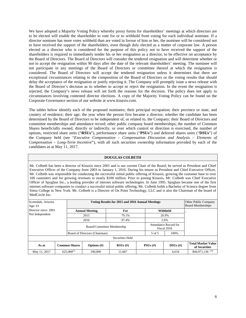We have adopted a Majority Voting Policy whereby proxy forms for shareholders' meetings at which directors are to be elected will enable the shareholder to vote for or to withhold from voting for each individual nominee. If a director nominee has more votes withheld than are voted in favour of him or her, the nominee will be considered not to have received the support of the shareholders, even though duly elected as a matter of corporate law. A person elected as a director who is considered for the purpose of this policy not to have received the support of the shareholders is required to immediately tender his or her resignation as a director, to be effective on acceptance by the Board of Directors. The Board of Directors will consider the tendered resignation and will determine whether or not to accept the resignation within 90 days after the date of the relevant shareholders' meeting. The nominee will not participate in any meetings of the Board of Directors or committee thereof at which the resignation is considered. The Board of Directors will accept the tendered resignation unless it determines that there are exceptional circumstances relating to the composition of the Board of Directors or the voting results that should delay the acceptance of the resignation or justify rejecting it. The Company will promptly issue a news release with the Board of Director's decision as to whether to accept or reject the resignation. In the event the resignation is rejected, the Company's news release will set forth the reasons for the decision. The policy does not apply in circumstances involving contested director elections. A copy of the Majority Voting Policy can be found on the Corporate Governance section of our website at www.kinaxis.com.

The tables below identify each of the proposed nominees; their principal occupation; their province or state, and country of residence; their age; the year when the person first became a director; whether the candidate has been determined by the Board of Directors to be independent of, or related to, the Company; their Board of Directors and committee memberships and attendance record; other public company board memberships; the number of Common Shares beneficially owned, directly or indirectly, or over which control or direction is exercised, the number of options, restricted share units ("**RSUs**"), performance share units ("**PSUs**") and deferred shares units ("**DSUs**") of the Company held (see "*Executive Compensation – Compensation Discussion and Analysis – Elements of Compensation – Long-Term Incentive*"), with all such securities ownership information provided by each of the candidates as at May 11, 2017.

#### **DOUGLAS COLBETH**

Mr. Colbeth has been a director of Kinaxis since 2001 and is our current Chair of the Board; he served as President and Chief Executive Officer of the Company from 2003 to January 1, 2016. During his tenure as President and Chief Executive Officer, Mr. Colbeth was responsible for conducting the successful initial public offering of Kinaxis, growing the customer base to over 100 customers and for growing revenues to nearly \$100 million. Prior to joining Kinaxis, Mr. Colbeth was Chief Executive Officer of Spyglass Inc., a leading provider of internet software technologies. In June 1995, Spyglass became one of the first internet software companies to conduct a successful initial public offering. Mr. Colbeth holds a Bachelor of Science degree from Siena College in New York. Mr. Colbeth is a Director of On Point Technology, LLC and is also the Chairman of the board of MedCircle Inc.

| Scottsdale, Arizona<br>Age: $61$ |  |                            |                               | Other Public Company<br><b>Board Memberships</b> |            |        |                                      |                                            |
|----------------------------------|--|----------------------------|-------------------------------|--------------------------------------------------|------------|--------|--------------------------------------|--------------------------------------------|
| Director since: 2001             |  |                            | <b>Annual Meeting</b>         | For                                              |            |        | Withheld                             |                                            |
| Not Independent                  |  |                            | 2015                          | 79.1%                                            |            |        | 20.9%                                |                                            |
|                                  |  |                            | 2016                          | 97.4%                                            |            |        | 2.6%                                 |                                            |
|                                  |  | Board/Committee Membership |                               |                                                  |            |        | Attendance Record for<br>Fiscal 2016 |                                            |
|                                  |  |                            | Board of Directors (Chairman) |                                                  |            | 5 of 5 | 100%                                 |                                            |
|                                  |  |                            |                               | Securities Held                                  |            |        |                                      |                                            |
| As at                            |  | <b>Common Shares</b>       | Options $(\#)$                | $RSUs$ (#)                                       | $PSUs$ (#) |        | $DSUs$ (#)                           | <b>Total Market Value</b><br>of Securities |
| May 11, 2017                     |  | $625.000^{(1)}$            | 100,000                       | 11,667                                           |            |        | 6,616                                | $$44,971,136$ <sup>(10)</sup>              |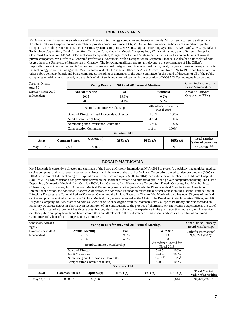#### **JOHN (IAN) GIFFEN**

Mr. Giffen currently serves as an advisor and/or director to technology companies and investment funds. Mr. Giffen is currently a director of Absolute Software Corporation and a number of private companies. Since 1996, Mr. Giffen has served on the boards of a number of public companies, including Macromedia, Inc., Descartes Systems Group Inc., MKS Inc., Digital Processing Systems Inc., MGI Software Corp, Delano Technology Corporation, Corel Corporation, Certicom Corp, Financial Models Company Inc., 724 Solutions Inc., Sierra Systems Group Inc., Open Text Corporation, MOSAID Technologies Incorporated, RuggedCom Inc. and Strategic Vista Inc., as well as on the boards of several private companies. Mr. Giffen is a Chartered Professional Accountant with a Designation in Corporate Finance. He also has a Bachelor of Arts degree from the University of Strathclyde in Glasgow. The following qualifications are all relevant to the performance of Mr. Giffen's responsibilities as Chair of our Audit Committee: his professional designations; his educational background; his years of executive experience in the technology sector, including as the Vice President and Chief Financial Officer for Alias Research Inc. from 1992 to 1996; and his service on other public company boards and board committees, including as a member of the audit committee for the board of directors of all of the public companies on which he has served, and the chair of all of such audit committees, with the exception of MOSAID Technologies Incorporated.

| Toronto, Ontario<br>Age: 59 |  |                                                | Other Public Company<br><b>Board Memberships</b> |                 |                |                                      |                                                   |
|-----------------------------|--|------------------------------------------------|--------------------------------------------------|-----------------|----------------|--------------------------------------|---------------------------------------------------|
| Director since: 2010        |  |                                                | <b>Annual Meeting</b>                            | For             |                | Withheld                             | Absolute Software                                 |
| Independent                 |  |                                                | 2015                                             | 99.8%           |                | 0.2%                                 | Corporation (TSX)                                 |
|                             |  |                                                | 2016                                             | 94.4%           |                | 5.6%                                 |                                                   |
|                             |  | Board/Committee Membership                     |                                                  |                 |                | Attendance Record for<br>Fiscal 2016 |                                                   |
|                             |  | Board of Directors (Lead Independent Director) |                                                  |                 | 5 of 5         | 100%                                 |                                                   |
|                             |  | Audit Committee (Chair)                        |                                                  |                 | 4 of 4         | 100%                                 |                                                   |
|                             |  |                                                | Nominating and Governance Committee              |                 |                | 100%                                 |                                                   |
|                             |  |                                                | <b>Compensation Committee</b>                    |                 | 1 of $1^{(2)}$ | $100\%^{(2)}$                        |                                                   |
|                             |  |                                                |                                                  | Securities Held |                |                                      |                                                   |
| As at                       |  | <b>Common Shares</b>                           | Options $(\#)$                                   | $RSUs$ (#)      | $PSUs$ (#)     | $DSUs$ (#)                           | <b>Total Market</b><br><b>Value of Securities</b> |
| May 11, 2017                |  | 17,500                                         | 20,000                                           |                 |                | 9,616                                | \$2,782,982 <sup><math>(10)</math></sup>          |

#### **RONALD MATRICARIA**

Mr. Matricaria is currently a director and chairman of the board at Orthofix International N.V. (2014 to present), a publicly traded global medical device company, and most recently served as a director and chairman of the board at Volcano Corporation, a medical device company (2005 to 2015), a director of Life Technologies Corporation, a life sciences company (2005 to 2014), and a director of the Phoenix Children's Hospital (2011 to 2014). Mr. Matricaria has previously served on the board of directors of a number of public and private companies including The Home Depot, Inc., Diametrics Medical, Inc., Ceridian HCM, Inc., Centocor, Inc., Haemonetics Corporation, Kinetic Concepts, Inc., Hospira, Inc., Cyberonics, Inc., Vistacare, Inc., Advanced Medical Technology Association (AdvaMed), the Pharmaceutical Manufacturers Association International Section, the American Diabetes Association, the American Foundation for Pharmaceutical Education, the National Foundation for Infectious Diseases, the National Retiree Volunteer Center and the Indiana Repertory Theatre. Mr. Matricaria also has over 35 years of medical device and pharmaceutical experience at St. Jude Medical, Inc., where he served as the Chair of the Board and Chief Executive Officer, and Eli Lilly and Company Inc. Mr. Matricaria holds a Bachelor of Science degree from the Massachusetts College of Pharmacy and was awarded an Honorary Doctorate degree in Pharmacy in recognition of his contributions to the practice of pharmacy. Mr. Matricaria's experience as the Chief Executive Officer of a prominent health care organization, his 23 years of executive experience in the pharmaceutical industry, and his service on other public company boards and board committees are all relevant to the performance of his responsibilities as a member of our Audit Committee and Chair of our Compensation Committee.

| Scottsdale, Arizona<br>Age: 74 |  | Voting Results for 2015 and 2016 Annual Meetings |                                     |                 |            |                                      |          |               | Other Public Company<br><b>Board Memberships</b> |            |                                                   |
|--------------------------------|--|--------------------------------------------------|-------------------------------------|-----------------|------------|--------------------------------------|----------|---------------|--------------------------------------------------|------------|---------------------------------------------------|
| Director since: 2014           |  |                                                  | <b>Annual Meeting</b>               | For             |            |                                      | Withheld |               | Orthofix International                           |            |                                                   |
| Independent                    |  |                                                  | 2015                                | 99.9%           |            |                                      | 0.1%     |               | N.V. (NASDAO)                                    |            |                                                   |
|                                |  |                                                  | 2016                                | 94.2%           |            |                                      | 5.8%     |               |                                                  |            |                                                   |
|                                |  |                                                  | Board/Committee Membership          |                 |            | Attendance Record for<br>Fiscal 2016 |          |               |                                                  |            |                                                   |
|                                |  | <b>Board of Directors</b>                        |                                     |                 |            | 5 of 5                               |          | 100%          |                                                  |            |                                                   |
|                                |  | <b>Audit Committee</b>                           |                                     |                 |            | $4$ of $4$                           |          | 100%          |                                                  |            |                                                   |
|                                |  |                                                  | Nominating and Governance Committee |                 |            | 3 of $3^{(3)}$                       |          | $100\%^{(3)}$ |                                                  |            |                                                   |
|                                |  |                                                  | Compensation Committee (Chair)      |                 |            | 5 of 5                               |          | 100%          |                                                  |            |                                                   |
|                                |  |                                                  |                                     | Securities Held |            |                                      |          |               |                                                  |            |                                                   |
| As at                          |  | <b>Common Shares</b>                             | Options $(\#)$                      | $RSUs$ (#)      | $PSUs$ (#) |                                      |          |               |                                                  | $DSUs$ (#) | <b>Total Market</b><br><b>Value of Securities</b> |
| May 11, 2017                   |  | $60,000^{(8)}$                                   | 60,000                              |                 |            |                                      |          | 9,616         | $$7,427,230$ <sup>(10)</sup>                     |            |                                                   |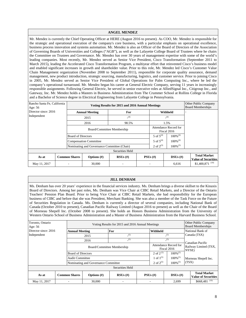# **ANGEL MENDEZ**

Mr. Mendez is currently the Chief Operating Officer at HERE (August 2016 to present). As COO, Mr. Mendez is responsible for the strategic and operational execution of the company's core business, with a particular emphasis on operational excellence, business process innovation and systems automation. Mr. Mendez is also an Officer of the Board of Directors of the Association of Governing Boards of Universities and Colleges ("AGB"), as well as the Lafayette College Board of Trustees where he chairs the Committee on Trustees and Governance. Mr. Mendez has over 30 years of management expertise with some of the world's leading companies. Most recently, Mr. Mendez served as Senior Vice President, Cisco Transformation (September 2011 to March 2015), leading the Accelerated Cisco Transformation Program, a multiyear effort that reinvented Cisco's business model and enabled significant increases in growth and shareholder value. Prior to this role, Mr. Mendez led Cisco's Customer Value Chain Management organization (November 2008 to September 2011), responsible for corporate quality assurance, demand management, new product introduction, strategic sourcing, manufacturing, logistics, and customer service. Prior to joining Cisco in 2005, Mr. Mendez served as Senior Vice President of Global Operations for Palm Computing Inc., where he led the company's operational turnaround. Mr. Mendez began his career at General Electric Company, serving 11 years in increasingly responsible assignments. Following General Electric, he served in senior executive roles at AlliedSignal Inc., Citigroup Inc., and Gateway, Inc. Mr. Mendez holds a Masters in Business Administration from The Crummer School at Rollins College in Florida and a Bachelor of Science degree in Electrical Engineering from Lafayette College in Pennsylvania.

| Rancho Santa Fe, California<br>Age: 56 |  |                            | Other Public Company<br><b>Board Memberships</b> |                 |  |                |                                      |                                                   |
|----------------------------------------|--|----------------------------|--------------------------------------------------|-----------------|--|----------------|--------------------------------------|---------------------------------------------------|
| Director since: 2016                   |  |                            | <b>Annual Meeting</b>                            | For             |  |                | Withheld                             |                                                   |
| Independent                            |  |                            | 2015                                             | (4)             |  |                | (4)                                  |                                                   |
|                                        |  |                            | 2016                                             | 98.5%           |  |                | 1.5%                                 |                                                   |
|                                        |  | Board/Committee Membership |                                                  |                 |  |                | Attendance Record for<br>Fiscal 2016 |                                                   |
|                                        |  | <b>Board of Directors</b>  |                                                  |                 |  | 5 of $5^{(4)}$ | $100\%^{(4)}$                        |                                                   |
|                                        |  |                            | <b>Compensation Committee</b>                    |                 |  | 5 of $5^{(4)}$ | $100\%$ <sup>(4)</sup>               |                                                   |
|                                        |  |                            | Nominating and Governance Committee (Chair)      |                 |  | 2 of $2^{(3)}$ | $100\%^{(3)}$                        |                                                   |
|                                        |  |                            |                                                  | Securities Held |  |                |                                      |                                                   |
| As at                                  |  | <b>Common Shares</b>       | Options $(\#)$                                   | $RSUs$ (#)      |  | $PSUs$ (#)     | $DSUs$ (#)                           | <b>Total Market</b><br><b>Value of Securities</b> |
| May 11, 2017                           |  |                            | 30,000                                           |                 |  |                | 6,616                                | $$1,400,871$ <sup>(10)</sup>                      |

# **JILL DENHAM**

Ms. Denham has over 20 years' experience in the financial services industry. Ms. Denham brings a diverse skillset to the Kinaxis Board of Directors. Among her past roles, Ms. Denham was Vice Chair at CIBC Retail Markets, and a Director of the Ontario Teachers' Pension Plan Board. Prior to being Vice Chair at CIBC Retail Markets, she had responsibility for the European business of CIBC and before that she was President, Merchant Banking. She was also a member of the Task Force on the Future of Securities Regulation in Canada. Ms. Denham is currently a director of several companies, including National Bank of Canada (October 2010 to present), Canadian Pacific Railway Limited (August 2016 to present) as well as the Chair of the Board of Morneau Shepell Inc. (October 2008 to present). She holds an Honors Business Administration from the University of Western Ontario School of Business Administration and a Master of Business Administration from the Harvard Business School.

| Toronto, Ontario<br>Age: $56$ |  | Voting Results for 2015 and 2016 Annual Meetings |                                     |                 |          |                |                                      |                                                    | Other Public Company<br><b>Board Memberships</b>  |
|-------------------------------|--|--------------------------------------------------|-------------------------------------|-----------------|----------|----------------|--------------------------------------|----------------------------------------------------|---------------------------------------------------|
| Director since: 2016          |  |                                                  | For<br><b>Annual Meeting</b>        |                 | Withheld |                |                                      | National Bank of                                   |                                                   |
| Independent                   |  |                                                  | 2015                                | (5)             |          |                | (5)                                  |                                                    | Canada (TSX)                                      |
|                               |  |                                                  | 2016                                | (5)             |          |                | (5)                                  |                                                    |                                                   |
|                               |  |                                                  | Board/Committee Membership          |                 |          |                | Attendance Record for<br>Fiscal 2016 | Canadian Pacific<br>Railway Limited (TSX,<br>NYSE) |                                                   |
|                               |  | <b>Board of Directors</b>                        |                                     |                 |          | 2 of 2 $(5)$   | $100\%^{(5)}$                        |                                                    |                                                   |
|                               |  | <b>Audit Committee</b>                           |                                     |                 |          | 1 of $1^{(5)}$ | $100\%$ <sup>(5)</sup>               |                                                    | Morneau Shepell Inc.                              |
|                               |  |                                                  | Nominating and Governance Committee |                 |          | 2 of $2^{(5)}$ | $100\%$ <sup>(5)</sup>               | (TSX)                                              |                                                   |
|                               |  |                                                  |                                     | Securities Held |          |                |                                      |                                                    |                                                   |
| As at                         |  | <b>Common Shares</b>                             | Options $(\#)$                      | $RSUs$ (#)      |          | $PSUs$ (#)     | $DSUs$ (#)                           |                                                    | <b>Total Market</b><br><b>Value of Securities</b> |
| May 11, 2017                  |  |                                                  | 30,000                              |                 |          |                | 2.699                                |                                                    | $$668,481$ <sup>(10)</sup>                        |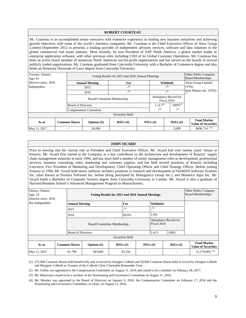|                             |                 |                               |                                                                       | <b>ROBERT COURTEAU</b>                           |     |                |             |                        |                                                                                                                                                                                                                                                                                                                                                                                                                                                                                                                                                                                                                                                                                                                                                                                                                                                                                                                    |
|-----------------------------|-----------------|-------------------------------|-----------------------------------------------------------------------|--------------------------------------------------|-----|----------------|-------------|------------------------|--------------------------------------------------------------------------------------------------------------------------------------------------------------------------------------------------------------------------------------------------------------------------------------------------------------------------------------------------------------------------------------------------------------------------------------------------------------------------------------------------------------------------------------------------------------------------------------------------------------------------------------------------------------------------------------------------------------------------------------------------------------------------------------------------------------------------------------------------------------------------------------------------------------------|
|                             |                 |                               | holds an Honorary Doctorate of Laws degree from Concordia University. |                                                  |     |                |             |                        | Mr. Courteau is an accomplished senior executive with extensive experience in leading new business initiatives and achieving<br>growth objectives with some of the world's foremost companies. Mr. Courteau is the Chief Executive Officer of Altus Group<br>Limited (September 2012 to present), a leading provider of independent advisory services, software and data solutions to the<br>global commercial real estate industry. Most recently, he was President of SAP North America, a global market leader in<br>enterprise application software, with other previous roles including COO of its Global Customer Operations. Mr. Courteau has<br>been an active board member of numerous North American not-for-profit organizations and has served on the boards of several<br>publicly traded organizations. Mr. Courteau graduated from Concordia University with a Bachelor of Commerce degree and also |
| Toronto, Ontario<br>Age: 61 |                 |                               |                                                                       | Voting Results for 2015 and 2016 Annual Meetings |     |                |             |                        | Other Public Company<br><b>Board Memberships</b>                                                                                                                                                                                                                                                                                                                                                                                                                                                                                                                                                                                                                                                                                                                                                                                                                                                                   |
| Director since: 2016        |                 |                               | <b>Annual Meeting</b>                                                 | For                                              |     | Withheld       |             |                        | Altus Group Limited                                                                                                                                                                                                                                                                                                                                                                                                                                                                                                                                                                                                                                                                                                                                                                                                                                                                                                |
| Independent                 |                 |                               | 2015                                                                  | (6)                                              |     |                | (6)         |                        | (TSX)                                                                                                                                                                                                                                                                                                                                                                                                                                                                                                                                                                                                                                                                                                                                                                                                                                                                                                              |
|                             |                 |                               | 2016                                                                  | (6)                                              |     | (6)            |             |                        | Real Matters Inc. (TSX)<br>(7)                                                                                                                                                                                                                                                                                                                                                                                                                                                                                                                                                                                                                                                                                                                                                                                                                                                                                     |
|                             |                 |                               | Board/Committee Membership                                            |                                                  |     |                | Fiscal 2016 | Attendance Record for  |                                                                                                                                                                                                                                                                                                                                                                                                                                                                                                                                                                                                                                                                                                                                                                                                                                                                                                                    |
|                             |                 | <b>Board of Directors</b>     |                                                                       |                                                  |     | 1 of $1^{(6)}$ |             | $100\%$ <sup>(6)</sup> |                                                                                                                                                                                                                                                                                                                                                                                                                                                                                                                                                                                                                                                                                                                                                                                                                                                                                                                    |
|                             |                 | <b>Compensation Committee</b> |                                                                       |                                                  | (6) |                | (6)         |                        |                                                                                                                                                                                                                                                                                                                                                                                                                                                                                                                                                                                                                                                                                                                                                                                                                                                                                                                    |
|                             | Securities Held |                               |                                                                       |                                                  |     |                |             |                        |                                                                                                                                                                                                                                                                                                                                                                                                                                                                                                                                                                                                                                                                                                                                                                                                                                                                                                                    |
| As at                       |                 | <b>Common Shares</b>          | Options $(\#)$                                                        | $RSUs$ (#)                                       |     | $PSUs$ (#)     |             | $DSUs$ (#)             | <b>Total Market</b><br><b>Value of Securities</b>                                                                                                                                                                                                                                                                                                                                                                                                                                                                                                                                                                                                                                                                                                                                                                                                                                                                  |

#### **JOHN SICARD**

May 11, 2017 |  $\blacksquare$   $\blacksquare$   $\blacksquare$   $\blacksquare$   $\blacksquare$   $\blacksquare$   $\blacksquare$   $\blacksquare$   $\blacksquare$   $\blacksquare$   $\blacksquare$   $\blacksquare$   $\blacksquare$   $\blacksquare$   $\blacksquare$   $\blacksquare$   $\blacksquare$   $\blacksquare$   $\blacksquare$   $\blacksquare$   $\blacksquare$   $\blacksquare$   $\blacksquare$   $\blacksquare$   $\blacksquare$   $\blacksquare$   $\blacksquare$   $\blacksquare$   $\blacksquare$   $\bl$ 

Prior to moving into his current role as President and Chief Executive Officer, Mr. Sicard had over twenty years' tenure at Kinaxis. Mr. Sicard first started at the Company as a key contributor to the architecture and development of Kinaxis' supply chain management solutions in early 1994, and has since held a number of senior management roles in development, professional services, business consulting, sales, marketing and customer support, and has held several positions at Kinaxis including Executive Vice President of Marketing and Development, Chief Operating Officer and Chief Strategy Officer. Before joining Kinaxis in 1994, Mr. Sicard held senior software architect positions in research and development at FastMAN Software Systems Inc. (also known as Promira Software Inc. before being purchased by Manugistics Group Inc.), and Monenco Agra Inc. Mr. Sicard holds a Bachelor of Computer Science degree from Concordia University in Canada. Mr. Sicard is also a graduate of Harvard Business School's Advanced Management Program in Massachusetts.

| Ottawa, Ontario<br>Age: 54<br>Director since: 2016 |             |                              | Voting Results for 2015 and 2016 Annual Meetings |  |                 |                                      |        |  |            | Other Public Company<br><b>Board Memberships</b>  |
|----------------------------------------------------|-------------|------------------------------|--------------------------------------------------|--|-----------------|--------------------------------------|--------|--|------------|---------------------------------------------------|
| Not Independent                                    |             | For<br><b>Annual Meeting</b> |                                                  |  |                 | Withheld                             |        |  |            |                                                   |
|                                                    | (9)<br>2015 |                              | (9)                                              |  |                 |                                      |        |  |            |                                                   |
|                                                    |             | 2016                         |                                                  |  | 99.0%           | 1.0%                                 |        |  |            |                                                   |
|                                                    |             |                              | Board/Committee Membership                       |  |                 | Attendance Record for<br>Fiscal 2016 |        |  |            |                                                   |
|                                                    |             | <b>Board of Directors</b>    |                                                  |  |                 |                                      | 5 of 5 |  | 100%       |                                                   |
|                                                    |             |                              |                                                  |  | Securities Held |                                      |        |  |            |                                                   |
| As at                                              |             | <b>Common Shares</b>         | Options $(\#)$                                   |  | $RSUs$ (#)      | $PSUs$ (#)                           |        |  | $DSUs$ (#) | <b>Total Market</b><br><b>Value of Securities</b> |
| May 11, 2017                                       |             | 81,789                       | 583,600                                          |  | 43,334          |                                      |        |  |            | 31,174,964 <sup>(10)</sup>                        |

(1) 575,000 Common Shares held beneficially and of record by Douglas Colbeth and 50,000 Common Shares held of record by Douglas Colbeth and Margaret Colbeth as Trustees of the Colbeth Clinic Charitable Remainder Trust.

(2) Mr. Giffen was appointed to the Compensation Committee on August 11, 2016 and ceased to be a member on February 28, 2017.

(3) Mr. Matricaria ceased to be a member of the Nominating and Governance Committee on August 11, 2016.

(4) Mr. Mendez was appointed to the Board of Directors on January 6, 2016, the Compensation Committee on February 17, 2016 and the Nominating and Governance Committee, as Chair, on August 11, 2016.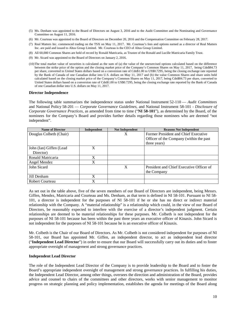- (5) Ms. Denham was appointed to the Board of Directors on August 3, 2016 and to the Audit Committee and the Nominating and Governance Committee on August 11, 2016.
- (6) Mr. Courteau was appointed to the Board of Directors on December 20, 2016 and the Compensation Committee on February 28, 2017.
- (7) Real Matters Inc. commenced trading on the TSX on May 11, 2017. Mr. Courteau's fees and options earned as a director of Real Matters Inc. are paid and issued to Altus Group Limited. Mr. Courteau is the CEO of Altus Group Limited.
- (8) All 60,000 Common Shares are held of record by Ronald Matricaria, as Trustee of the Ronald and Lucille Matricaria Family Trust.
- (9) Mr. Sicard was appointed to the Board of Directors on January 2, 2016.
- (10) The total market value of securities is calculated as the sum of (a) the value of the unexercised options calculated based on the difference between the strike price of the option and the closing market price of the Company's Common Shares on May 11, 2017, being Cdn\$84.73 per share, converted to United States dollars based on a conversion rate of Cdn\$1.00 to US\$0.7295, being the closing exchange rate reported by the Bank of Canada of one Canadian dollar into U.S. dollars on May 11, 2017 and (b) the value Common Shares and share units held calculated based on the closing market price of the Company's Common Shares on May 11, 2017, being Cdn\$84.73 per share, converted to United States dollars based on a conversion rate of Cdn\$1.00 to US\$0.7295, being the closing exchange rate reported by the Bank of Canada of one Canadian dollar into U.S. dollars on May 11, 2017.

#### **Director Independence**

The following table summarizes the independence status under National Instrument 52-110 — *Audit Committees* and National Policy 58-201 — *Corporate Governance Guidelines,* and National Instrument 58-101 - *Disclosure of Corporate Governance Practices*, as amended from time to time ("**NI 58-101**"), as determined by the Board, of the nominees for the Company's Board and provides further details regarding those nominees who are deemed "not independent".

| <b>Name of Director</b> | Independent | <b>Not Independent</b> | <b>Reasons Not Independent</b>           |
|-------------------------|-------------|------------------------|------------------------------------------|
| Douglas Colbeth (Chair) |             | X                      | Former President and Chief Executive     |
|                         |             |                        | Officer of the Company (within the past  |
|                         |             |                        | three years)                             |
| John (Ian) Giffen (Lead | X           |                        |                                          |
| Director)               |             |                        |                                          |
| Ronald Matricaria       | X           |                        |                                          |
| Angel Mendez            | X           |                        |                                          |
| John Sicard             |             | X                      | President and Chief Executive Officer of |
|                         |             |                        | the Company                              |
| Jill Denham             | X           |                        |                                          |
| Robert Courteau         | X           |                        |                                          |

As set out in the table above, five of the seven members of our Board of Directors are independent, being Messrs. Giffen, Mendez, Matricaria and Courteau and Ms. Denham, as that term is defined in NI 58-101. Pursuant to NI 58- 101, a director is independent for the purposes of NI 58-101 if he or she has no direct or indirect material relationship with the Company. A "material relationship" is a relationship which could, in the view of our Board of Directors, be reasonably expected to interfere with the exercise of a director's independent judgment. Certain relationships are deemed to be material relationships for these purposes. Mr. Colbeth is not independent for the purposes of NI 58-101 because has been within the past three years an executive officer of Kinaxis. John Sicard is not independent for the purposes of NI 58-101 because he is an executive officer of Kinaxis.

Mr. Colbeth is the Chair of our Board of Directors. As Mr. Colbeth is not considered independent for purposes of NI 58-101, our Board has appointed Mr. Giffen, an independent director, to act as independent lead director ("**Independent Lead Director**") in order to ensure that our Board will successfully carry out its duties and to foster appropriate oversight of management and strong governance practices.

# **Independent Lead Director**

The role of the Independent Lead Director of the Company is to provide leadership to the Board and to foster the Board's appropriate independent oversight of management and strong governance practices. In fulfilling his duties, the Independent Lead Director, among other things, oversees the direction and administration of the Board, provides advice and counsel to chairs of the committees and other directors, works with senior management to monitor progress on strategic planning and policy implementation, establishes the agenda for meetings of the Board along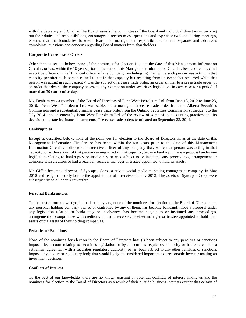with the Secretary and Chair of the Board, assists the committees of the Board and individual directors in carrying out their duties and responsibilities, encourages directors to ask questions and express viewpoints during meetings, ensures that the boundaries between Board and management responsibilities remain separate and addresses complaints, questions and concerns regarding Board matters from shareholders.

# **Corporate Cease Trade Orders**

Other than as set out below, none of the nominees for election is, as at the date of this Management Information Circular, or has, within the 10 years prior to the date of this Management Information Circular, been a director, chief executive officer or chief financial officer of any company (including us) that, while such person was acting in that capacity (or after such person ceased to act in that capacity but resulting from an event that occurred while that person was acting in such capacity) was the subject of a cease trade order, an order similar to a cease trade order, or an order that denied the company access to any exemption under securities legislation, in each case for a period of more than 30 consecutive days.

Ms. Denham was a member of the Board of Directors of Penn West Petroleum Ltd. from June 13, 2012 to June 23, 2016. Penn West Petroleum Ltd. was subject to a management cease trade order from the Alberta Securities Commission and a substantially similar cease trade order from the Ontario Securities Commission subsequent to the July 2014 announcement by Penn West Petroleum Ltd. of the review of some of its accounting practices and its decision to restate its financial statements. The cease trade orders terminated on September 23, 2014.

# **Bankruptcies**

Except as described below, none of the nominees for election to the Board of Directors is, as at the date of this Management Information Circular, or has been, within the ten years prior to the date of this Management Information Circular, a director or executive officer of any company that, while that person was acting in that capacity, or within a year of that person ceasing to act in that capacity, became bankrupt, made a proposal under any legislation relating to bankruptcy or insolvency or was subject to or instituted any proceedings, arrangement or comprise with creditors or had a receiver, receiver manager or trustee appointed to hold its assets.

Mr. Giffen became a director of Syncapse Corp., a private social media marketing management company, in May 2010 and resigned shortly before the appointment of a receiver in July 2013. The assets of Syncapse Corp. were subsequently sold under receivership.

# **Personal Bankruptcies**

To the best of our knowledge, in the last ten years, none of the nominees for election to the Board of Directors nor any personal holding company owned or controlled by any of them, has become bankrupt, made a proposal under any legislation relating to bankruptcy or insolvency, has become subject to or instituted any proceedings, arrangement or compromise with creditors, or had a receiver, receiver manager or trustee appointed to hold their assets or the assets of their holding companies.

# **Penalties or Sanctions**

None of the nominees for election to the Board of Directors has: (i) been subject to any penalties or sanctions imposed by a court relating to securities legislation or by a securities regulatory authority or has entered into a settlement agreement with a securities regulatory authority; or (ii) been subject to any other penalties or sanctions imposed by a court or regulatory body that would likely be considered important to a reasonable investor making an investment decision.

# **Conflicts of Interest**

To the best of our knowledge, there are no known existing or potential conflicts of interest among us and the nominees for election to the Board of Directors as a result of their outside business interests except that certain of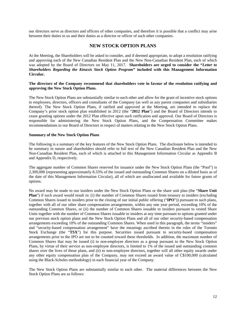our directors serve as directors and officers of other companies, and therefore it is possible that a conflict may arise between their duties to us and their duties as a director or officer of such other companies.

# **NEW STOCK OPTION PLANS**

At the Meeting, the Shareholders will be asked to consider, and if deemed appropriate, to adopt a resolution ratifying and approving each of the New Canadian Resident Plan and the New Non-Canadian Resident Plan, each of which was adopted by the Board of Directors on May 11, 2017. **Shareholders are urged to consider the "***Letter to Shareholders Regarding the Kinaxis Stock Option Program***" included with this Management Information Circular.**

# **The directors of the Company recommend that shareholders vote in favour of the resolution ratifying and approving the New Stock Option Plans.**

The New Stock Option Plans are substantially similar to each other and allow for the grant of incentive stock options to employees, directors, officers and consultants of the Company (as well as any parent companies and subsidiaries thereof). The New Stock Option Plans, if ratified and approved at the Meeting, are intended to replace the Company's prior stock option plan established in 2012 (the "**2012 Plan**") and the Board of Directors intends to cease granting options under the 2012 Plan effective upon such ratification and approval. Our Board of Directors is responsible for administering the New Stock Option Plans, and the Compensation Committee makes recommendations to our Board of Directors in respect of matters relating to the New Stock Option Plans.

# **Summary of the New Stock Option Plans**

The following is a summary of the key features of the New Stock Option Plans. The disclosure below is intended to be summary in nature and shareholders should refer to full text of the New Canadian Resident Plan and the New Non-Canadian Resident Plan, each of which is attached to this Management Information Circular as Appendix B and Appendix D, respectively.

The aggregate number of Common Shares reserved for issuance under the New Stock Option Plans (the "Pool") is 2,300,000 (representing approximately 8.33% of the issued and outstanding Common Shares on a diluted basis as of the date of this Management Information Circular), all of which are unallocated and available for future grants of options.

No award may be made to our insiders under the New Stock Option Plans or the share unit plan (the "**Share Unit Plan**") if such award would result in: (i) the number of Common Shares issued from treasury to insiders (excluding Common Shares issued to insiders prior to the closing of our initial public offering ("**IPO**")) pursuant to such plans, together with all of our other share compensation arrangements, within any one year period, exceeding 10% of the outstanding Common Shares, or (ii) the number of Common Shares issuable to insiders pursuant to vested Share Units together with the number of Common Shares issuable to insiders at any time pursuant to options granted under our previous stock option plans and the New Stock Option Plans and all of our other security-based compensation arrangements exceeding 10% of the outstanding Common Shares. When used in this paragraph, the terms "insiders" and "security-based compensation arrangement" have the meanings ascribed thereto in the rules of the Toronto Stock Exchange (the "**TSX**") for this purpose. Securities issued pursuant to security-based compensation arrangements prior to the IPO are not to be counted toward these thresholds. In addition, the maximum number of Common Shares that may be issued (i) to non-employee directors as a group pursuant to the New Stock Option Plans, by virtue of their service as non-employee directors, is limited to 1% of the issued and outstanding common shares over the lives of those plans, and (ii) to non-employee directors, together will all other equity awards under any other equity compensation plan of the Company, may not exceed an award value of C\$100,000 (calculated using the Black-Scholes methodology) in each financial year of the Company.

The New Stock Option Plans are substantially similar to each other. The material differences between the New Stock Option Plans are as follows: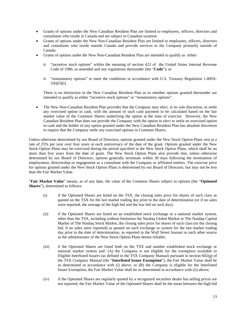- Grants of options under the New Canadian Resident Plan are limited to employees, officers, directors and consultants who reside in Canada and are subject to Canadian taxation.
- Grants of options under the New Non-Canadian Resident Plan are limited to employees, officers, directors and consultants who reside outside Canada and provide services to the Company primarily outside of Canada.
- Grants of options under the New Non-Canadian Resident Plan are intended to qualify as either:
	- "incentive stock options" within the meaning of section 422 of the United States Internal Revenue Code of 1986, as amended and any regulations thereunder (the "**Code**"); or
	- o "nonstatutory options" to meet the conditions in accordance with U.S. Treasury Regulation 1.409A- $1(b)(5)(i)$ .

There is no distinction in the New Canadian Resident Plan as to whether options granted thereunder are intended to qualify as either "incentive stock options" or "nonstatutory options".

• The New Non-Canadian Resident Plan provides that the Company may elect, in its sole discretion, to settle any exercised option in cash, with the amount of such cash payment to be calculated based on the fair market value of the Common Shares underlying the option at the time of exercise. However, the New Canadian Resident Plan does not provide the Company with the option to elect to settle an exercised option in cash and the holder of any option granted under the New Canadian Resident Plan has absolute discretion to require that the Company settle any exercised options in Common Shares.

Unless otherwise determined by our Board of Directors, options granted under the New Stock Option Plans vest at a rate of 25% per year over four years at each anniversary of the date of the grant. Options granted under the New Stock Option Plans may be exercised during the period specified in the New Stock Option Plans, which shall be no more than five years from the date of grant. The New Stock Option Plans also provide that, unless otherwise determined by our Board of Directors, options generally terminate within 30 days following the termination of employment, directorship or engagement as a consultant with the Company or affiliated entities. The exercise price for options granted under the New Stock Option Plans is determined by our Board of Directors, but may not be less than the Fair Market Value.

"**Fair Market Value**" means, as of any date, the value of the Common Shares subject to options (the "**Optioned Shares**"), determined as follows:

- (i) if the Optioned Shares are listed on the TSX, the closing sales price for shares of such class as quoted on the TSX for the last market trading day prior to the date of determination (or if no sales were reported, the average of the high bid and the low bid on such day);
- (ii) if the Optioned Shares are listed on an established stock exchange or a national market system, other than the TSX, including without limitation the Nasdaq Global Market or The Nasdaq Capital Market of The Nasdaq Stock Market, the closing sales price for shares of such class (or the closing bid, if no sales were reported) as quoted on such exchange or system for the last market trading day prior to the date of determination, as reported in the Wall Street Journal or such other source as the administrator of the New Stock Option Plans deems reliable;
- (iii) if the Optioned Shares are listed both on the TSX and another established stock exchange or national market system and: (A) the Company is not eligible for the exemption available to Eligible Interlisted Issuers (as defined in the TSX Company Manual) pursuant to section 602(g) of the TSX Company Manual (the "**Interlisted Issuer Exemption**"), the Fair Market Value shall be as determined in accordance with (i) above, or (B) the Company is eligible for the Interlisted Issuer Exemption, the Fair Market Value shall be as determined in accordance with (ii) above;
- (iv) if the Optioned Shares are regularly quoted by a recognized securities dealer but selling prices are not reported, the Fair Market Value of the Optioned Shares shall be the mean between the high bid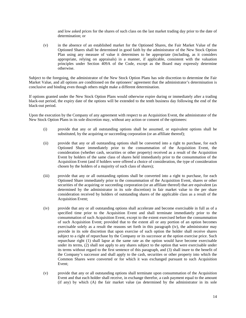and low asked prices for the shares of such class on the last market trading day prior to the date of determination; or

(v) in the absence of an established market for the Optioned Shares, the Fair Market Value of the Optioned Shares shall be determined in good faith by the administrator of the New Stock Option Plan using any measure of value it determines to be appropriate (including, as it considers appropriate, relying on appraisals) in a manner, if applicable, consistent with the valuation principles under Section 409A of the Code, except as the Board may expressly determine otherwise.

Subject to the foregoing, the administrator of the New Stock Option Plans has sole discretion to determine the Fair Market Value, and all options are conditioned on the optionees' agreement that the administrator's determination is conclusive and binding even though others might make a different determination.

If options granted under the New Stock Option Plans would otherwise expire during or immediately after a trading black-out period, the expiry date of the options will be extended to the tenth business day following the end of the black-out period.

Upon the execution by the Company of any agreement with respect to an Acquisition Event, the administrator of the New Stock Option Plans in its sole discretion may, without any action or consent of the optionees:

- (i) provide that any or all outstanding options shall be assumed, or equivalent options shall be substituted, by the acquiring or succeeding corporation (or an affiliate thereof);
- (ii) provide that any or all outstanding options shall be converted into a right to purchase, for each Optioned Share immediately prior to the consummation of the Acquisition Event, the consideration (whether cash, securities or other property) received as a result of the Acquisition Event by holders of the same class of shares held immediately prior to the consummation of the Acquisition Event (and if holders were offered a choice of consideration, the type of consideration chosen by the holders of a majority of such class of shares);
- (iii) provide that any or all outstanding options shall be converted into a right to purchase, for each Optioned Share immediately prior to the consummation of the Acquisition Event, shares or other securities of the acquiring or succeeding corporation (or an affiliate thereof) that are equivalent (as determined by the administrator in its sole discretion) in fair market value to the per share consideration received by holders of outstanding shares of the applicable class as a result of the Acquisition Event;
- (iv) provide that any or all outstanding options shall accelerate and become exercisable in full as of a specified time prior to the Acquisition Event and shall terminate immediately prior to the consummation of such Acquisition Event, except to the extent exercised before the consummation of such Acquisition Event; provided that to the extent all or any portion of an option becomes exercisable solely as a result the reasons set forth in this paragraph (iv), the administrator may provide in its sole discretion that upon exercise of such option the holder shall receive shares subject to a right of repurchase by the Company or its successor at the option exercise price. Such repurchase right (1) shall lapse at the same rate as the option would have become exercisable under its terms, (2) shall not apply to any shares subject to the option that were exercisable under its terms without regard to the first sentence of this paragraph, and (3) shall inure to the benefit of the Company's successor and shall apply to the cash, securities or other property into which the Common Shares were converted or for which it was exchanged pursuant to such Acquisition Event;
- (v) provide that any or all outstanding options shall terminate upon consummation of the Acquisition Event and that each holder shall receive, in exchange therefor, a cash payment equal to the amount (if any) by which (A) the fair market value (as determined by the administrator in its sole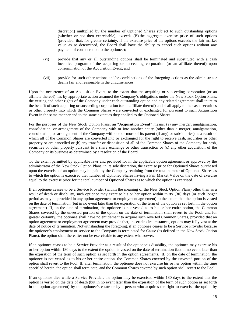discretion) multiplied by the number of Optioned Shares subject to such outstanding options (whether or not then exercisable), exceeds (B) the aggregate exercise price of such options (provided, that, for greater certainty, if the exercise price of the options exceeds the fair market value as so determined, the Board shall have the ability to cancel such options without any payment of consideration to the optionee);

- (vi) provide that any or all outstanding options shall be terminated and substituted with a cash incentive program of the acquiring or succeeding corporation (or an affiliate thereof) upon consummation of the Acquisition Event; and
- (vii) provide for such other actions and/or combinations of the foregoing actions as the administrator deems fair and reasonable in the circumstances.

Upon the occurrence of an Acquisition Event, to the extent that the acquiring or succeeding corporation (or an affiliate thereof) has by appropriate action assumed the Company's obligations under the New Stock Option Plans, the vesting and other rights of the Company under each outstanding option and any related agreement shall inure to the benefit of such acquiring or succeeding corporation (or an affiliate thereof) and shall apply to the cash, securities or other property into which the Common Shares were converted or exchanged for pursuant to such Acquisition Event in the same manner and to the same extent as they applied to the Optioned Shares.

For the purposes of the New Stock Option Plans, an "**Acquisition Event**" means: (a) any merger, amalgamation, consolidation, or arrangement of the Company with or into another entity (other than a merger, amalgamation, consolidation, or arrangement of the Company with one or more of its parent (if any) or subsidiaries) as a result of which all of the Common Shares are converted into or exchanged for the right to receive cash, securities or other property or are cancelled or (b) any transfer or disposition of all of the Common Shares of the Company for cash, securities or other property pursuant to a share exchange or other transaction or (c) any other acquisition of the Company or its business as determined by a resolution of the Board.

To the extent permitted by applicable laws and provided for in the applicable option agreement or approved by the administrator of the New Stock Option Plans, in its sole discretion, the exercise price for Optioned Shares purchased upon the exercise of an option may be paid by the Company retaining from the total number of Optioned Shares as to which the option is exercised that number of Optioned Shares having a Fair Market Value on the date of exercise equal to the exercise price for the total number of Optioned Shares as to which the option is exercised.

If an optionee ceases to be a Service Provider (within the meaning of the New Stock Option Plans) other than as a result of death or disability, such optionee may exercise his or her option within thirty (30) days (or such longer period as may be provided in any option agreement or employment agreement) to the extent that the option is vested on the date of termination (but in no event later than the expiration of the term of the option as set forth in the option agreement). If, on the date of termination, the optionee is not vested as to his or her entire option, the Common Shares covered by the unvested portion of the option on the date of termination shall revert to the Pool, and for greater certainty, the optionee shall have no entitlement to acquire such reverted Common Shares, provided that an option agreement or employment agreement may provide that, in certain circumstances, options may fully vest at the date of notice of termination. Notwithstanding the foregoing, if an optionee ceases to be a Service Provider because the optionee's employment or service to the Company is terminated for Cause (as defined in the New Stock Option Plans), the option shall thereafter not be exercisable to any extent whatsoever.

If an optionee ceases to be a Service Provider as a result of the optionee's disability, the optionee may exercise his or her option within 180 days to the extent the option is vested on the date of termination (but in no event later than the expiration of the term of such option as set forth in the option agreement). If, on the date of termination, the optionee is not vested as to his or her entire option, the Common Shares covered by the unvested portion of the option shall revert to the Pool. If, after termination, the optionee does not exercise his or her option within the time specified herein, the option shall terminate, and the Common Shares covered by such option shall revert to the Pool.

If an optionee dies while a Service Provider, the option may be exercised within 180 days to the extent that the option is vested on the date of death (but in no event later than the expiration of the term of such option as set forth in the option agreement) by the optionee's estate or by a person who acquires the right to exercise the option by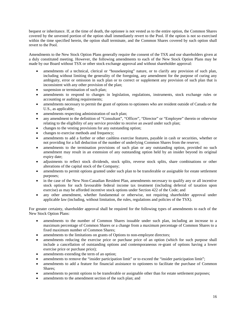bequest or inheritance. If, at the time of death, the optionee is not vested as to the entire option, the Common Shares covered by the unvested portion of the option shall immediately revert to the Pool. If the option is not so exercised within the time specified herein, the option shall terminate, and the Common Shares covered by such option shall revert to the Pool.

Amendments to the New Stock Option Plans generally require the consent of the TSX and our shareholders given at a duly constituted meeting. However, the following amendments to each of the New Stock Option Plans may be made by our Board without TSX or other stock exchange approval and without shareholder approval:

- amendments of a technical, clerical or "housekeeping" nature, or to clarify any provision of such plan, including without limiting the generality of the foregoing, any amendment for the purpose of curing any ambiguity, error or omission in such plan or to correct or supplement any provision of such plan that is inconsistent with any other provision of the plan;
- suspension or termination of such plan;
- amendments to respond to changes in legislation, regulations, instruments, stock exchange rules or accounting or auditing requirements;
- amendments necessary to permit the grant of options to optionees who are resident outside of Canada or the U.S., as applicable;
- amendments respecting administration of such plan;
- any amendment to the definition of "Consultant", "Officer", "Director" or "Employee" therein or otherwise relating to the eligibility of any service provider to receive an award under such plan;
- changes to the vesting provisions for any outstanding option;
- changes to exercise methods and frequency;
- amendments to add a further or other cashless exercise features, payable in cash or securities, whether or not providing for a full deduction of the number of underlying Common Shares from the reserve;
- amendments to the termination provisions of such plan or any outstanding option, provided no such amendment may result in an extension of any outstanding option held by an insider beyond its original expiry date;
- adjustments to reflect stock dividends, stock splits, reverse stock splits, share combinations or other alterations of the capital stock of the Company;
- amendments to permit options granted under such plan to be transferable or assignable for estate settlement purposes;
- in the case of the New Non-Canadian Resident Plan, amendments necessary to qualify any or all incentive stock options for such favourable federal income tax treatment (including deferral of taxation upon exercise) as may be afforded incentive stock options under Section 422 of the Code; and
- any other amendment, whether fundamental or otherwise, not requiring shareholder approval under applicable law (including, without limitation, the rules, regulations and policies of the TSX).

For greater certainty, shareholder approval shall be required for the following types of amendments to each of the New Stock Option Plans:

- amendments to the number of Common Shares issuable under such plan, including an increase to a maximum percentage of Common Shares or a change from a maximum percentage of Common Shares to a fixed maximum number of Common Shares;
- amendments to the limitations on grants of Options to non-employee directors;
- amendments reducing the exercise price or purchase price of an option (which for such purpose shall include a cancellation of outstanding options and contemporaneous re-grant of options having a lower exercise price or purchase price);
- amendments extending the term of an option;
- amendments to remove the "insider participation limit" or to exceed the "insider participation limit";
- amendments to add a feature for financial assistance to optionees to facilitate the purchase of Common Shares;
- amendments to permit options to be transferable or assignable other than for estate settlement purposes;
- amendments to the amendment section of the such plan; and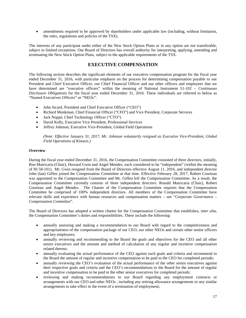• amendments required to be approved by shareholders under applicable law (including, without limitation, the rules, regulations and policies of the TSX).

The interests of any participant under either of the New Stock Option Plans or in any option are not transferable, subject to limited exceptions. Our Board of Directors has overall authority for interpreting, applying, amending and terminating the New Stock Option Plans, subject to the applicable requirements of the TSX.

# **EXECUTIVE COMPENSATION**

The following section describes the significant elements of our executive compensation program for the fiscal year ended December 31, 2016, with particular emphasis on the process for determining compensation payable to our President and Chief Executive Officer, our Chief Financial Officer and our other officers and employees that we have determined are "executive officers" within the meaning of National Instrument 51-102 – *Continuous Disclosure Obligations* for the fiscal year ended December 31, 2016. These individuals are referred to below as "Named Executives Officers" or "NEOs":

- John Sicard, President and Chief Executive Officer ("CEO")
- Richard Monkman, Chief Financial Officer ("CFO") and Vice President, Corporate Services
- Jack Noppé, Chief Technology Officer ("CTO")
- David Kelly, Executive Vice President, Professional Services
- Jeffrey Johnson, Executive Vice-President, Global Field Operations

*(Note: Effective January 31, 2017, Mr. Johnson voluntarily resigned as Executive Vice-President, Global Field Operations of Kinaxis.)* 

# **Overview**

During the fiscal year ended December 31, 2016, the Compensation Committee consisted of three directors, initially, Ron Matricaria (Chair), Howard Gwin and Angel Mendez, each considered to be "independent" (within the meaning of NI 58-101). Mr. Gwin resigned from the Board of Directors effective August 11, 2016, and independent director John (Ian) Giffen joined the Compensation Committee at that time. Effective February 28, 2017, Robert Courteau was appointed to the Compensation Committee and Mr. Giffen left the Compensation Committee. As a result, the Compensation Committee currently consists of three independent directors: Ronald Matricaria (Chair), Robert Courteau and Angel Mendez. The Charter of the Compensation Committee requires that the Compensation Committee be comprised of 100% independent directors. All members of the Compensation Committee have relevant skills and experience with human resources and compensation matters – see "*Corporate Governance – Compensation Committee*".

The Board of Directors has adopted a written charter for the Compensation Committee that establishes, *inter alia*, the Compensation Committee's duties and responsibilities. These include the following:

- annually assessing and making a recommendation to our Board with regard to the competitiveness and appropriateness of the compensation package of our CEO, our other NEOs and certain other senior officers and key employees;
- annually reviewing and recommending to the Board the goals and objectives for the CEO and all other senior executives and the amount and method of calculation of any regular and incentive compensation related thereto;
- annually evaluating the actual performance of the CEO against such goals and criteria and recommend to the Board the amount of regular and incentive compensation to be paid to the CEO for completed periods;
- annually reviewing the CEO's evaluation of the actual performance of the other senior executives against their respective goals and criteria and the CEO's recommendations to the Board for the amount of regular and incentive compensation to be paid to the other senior executives for completed periods;
- reviewing and making recommendations to our Board regarding any employment contracts or arrangements with our CEO and other NEOs , including any retiring allowance arrangements or any similar arrangements to take effect in the event of a termination of employment;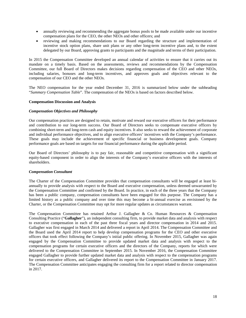- annually reviewing and recommending the aggregate bonus pools to be made available under our incentive compensation plans for the CEO, the other NEOs and other officers; and
- reviewing and making recommendations to our Board regarding the structure and implementation of incentive stock option plans, share unit plans or any other long-term incentive plans and, to the extent delegated by our Board, approving grants to participants and the magnitude and terms of their participation.

In 2015 the Compensation Committee developed an annual calendar of activities to ensure that it carries out its mandate on a timely basis. Based on the assessments, reviews and recommendations by the Compensation Committee, our full Board of Directors makes decisions regarding compensation of the CEO and other NEOs, including salaries, bonuses and long-term incentives, and approves goals and objectives relevant to the compensation of our CEO and the other NEOs.

The NEO compensation for the year ended December 31, 2016 is summarized below under the subheading "*Summary Compensation Table*". The compensation of the NEOs is based on factors described below.

# **Compensation Discussion and Analysis**

# *Compensation Objectives and Philosophy*

Our compensation practices are designed to retain, motivate and reward our executive officers for their performance and contribution to our long-term success. Our Board of Directors seeks to compensate executive officers by combining short-term and long-term cash and equity incentives. It also seeks to reward the achievement of corporate and individual performance objectives, and to align executive officers' incentives with the Company's performance. These goals may include the achievement of specific financial or business development goals. Company performance goals are based on targets for our financial performance during the applicable period.

Our Board of Directors' philosophy is to pay fair, reasonable and competitive compensation with a significant equity-based component in order to align the interests of the Company's executive officers with the interests of shareholders.

# *Compensation Consultant*

The Charter of the Compensation Committee provides that compensation consultants will be engaged at least biannually to provide analysis with respect to the Board and executive compensation, unless deemed unwarranted by the Compensation Committee and confirmed by the Board. In practice, in each of the three years that the Company has been a public company, compensation consultants have been engaged for this purpose. The Company has a limited history as a public company and over time this may become a bi-annual exercise as envisioned by the Charter, or the Compensation Committee may opt for more regular updates as circumstances warrant.

The Compensation Committee has retained Arthur J. Gallagher & Co. Human Resources & Compensation Consulting Practice ("**Gallagher**"), an independent consulting firm, to provide market data and analysis with respect to executive compensation in each of the past three fiscal years and director compensation in 2014 and 2015. Gallagher was first engaged in March 2014 and delivered a report in April 2014. The Compensation Committee and the Board used the April 2014 report to help develop compensation programs for the CEO and other executive officers that took effect following the Company's initial public offering. In November 2015, Gallagher was again engaged by the Compensation Committee to provide updated market data and analysis with respect to the compensation programs for certain executive officers and the directors of the Company, reports for which were delivered to the Compensation Committee in September 2015. In November 2016, the Compensation Committee engaged Gallagher to provide further updated market data and analysis with respect to the compensation programs for certain executive officers, and Gallagher delivered its report to the Compensation Committee in January 2017. The Compensation Committee anticipates engaging the consulting firm for a report related to director compensation in 2017.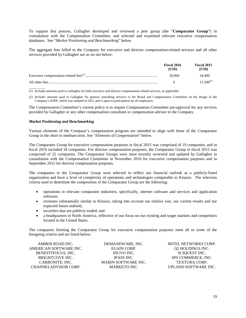To support this process, Gallagher developed and reviewed a peer group (the "**Comparator Group**") in consultation with the Compensation Committee, and selected and examined relevant executive compensation databases. See "*Market Positioning and Benchmarking*" below.

The aggregate fees billed to the Company for executive and director compensation-related services and all other services provided by Gallagher are as set out below:

| Fiscal 2016<br>(US\$) | Fiscal 2015<br>(US\$) |
|-----------------------|-----------------------|
| 20.904                | 24.400                |
|                       | $11.500^{(2)}$        |

 $\overline{\phantom{a}}$   $\overline{\phantom{a}}$   $\overline{\phantom{a}}$   $\overline{\phantom{a}}$   $\overline{\phantom{a}}$   $\overline{\phantom{a}}$   $\overline{\phantom{a}}$   $\overline{\phantom{a}}$   $\overline{\phantom{a}}$   $\overline{\phantom{a}}$   $\overline{\phantom{a}}$   $\overline{\phantom{a}}$   $\overline{\phantom{a}}$   $\overline{\phantom{a}}$   $\overline{\phantom{a}}$   $\overline{\phantom{a}}$   $\overline{\phantom{a}}$   $\overline{\phantom{a}}$   $\overline{\$ (1) Includes amounts paid to Gallagher for both executive and director compensation-related services, as applicable.

(2) Includes amounts paid to Gallagher for general consulting services to the Board and Compensation Committee on the design of the Company's ESPP, which was adopted in 2015 and is open to participation by all employees.

The Compensation Committee's current policy is to require Compensation Committee pre-approval for any services provided by Gallagher or any other compensation consultant or compensation advisor to the Company.

# *Market Positioning and Benchmarking*

Various elements of the Company's compensation program are intended to align with those of the Comparator Group in the short to medium term. See "*Elements of Compensation*" below.

The Comparator Group for executive compensation purposes in fiscal 2015 was comprised of 19 companies, and in fiscal 2016 included 18 companies. For director compensation purposes, the Comparator Group in fiscal 2015 was comprised of 22 companies. The Comparator Groups were most recently reviewed and updated by Gallagher in consultation with the Compensation Committee in November 2016 for executive compensation purposes and in September 2015 for director compensation purposes.

The companies in the Comparator Group were selected to reflect our financial outlook as a publicly-listed organization and have a level of complexity of operations and technologies comparable to Kinaxis. The selection criteria used to determine the composition of the Comparator Group are the following:

- operations in relevant comparator industries, specifically, internet software and services and application software;
- revenues substantially similar to Kinaxis, taking into account our relative size, our current results and our expected future outlook;
- securities that are publicly traded; and
- a headquarters in North America, reflective of our focus on our existing and target markets and competitors located in the United States.

The companies forming the Comparator Group for executive compensation purposes meet all or some of the foregoing criteria and are listed below:

| DEMANDWARE, INC.           | <b>MITEL NETWORKS CORP.</b> |
|----------------------------|-----------------------------|
| <b>EGAIN CORP.</b>         | <b>Q2 HOLDINGS INC.</b>     |
| INUVO INC.                 | SCIOUEST INC.               |
| <b>IPASS INC.</b>          | SPS COMMERCE, INC.          |
| <b>MARIN SOFTWARE INC.</b> | <b>TEXTURA CORP.</b>        |
| <b>MARKETO INC.</b>        | UPLAND SOFTWARE INC.        |
|                            |                             |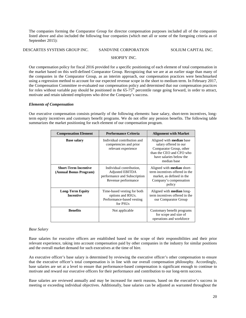The companies forming the Comparator Group for director compensation purposes included all of the companies listed above and also included the following four companies (which met all or some of the foregoing criteria as of September 2015):

# DESCARTES SYSTEMS GROUP INC. SANDVINE CORPORATION SOLIUM CAPITAL INC.

# SHOPIFY INC.

Our compensation policy for fiscal 2016 provided for a specific positioning of each element of total compensation in the market based on this well-defined Comparator Group. Recognizing that we are at an earlier stage than many of the companies in the Comparator Group, as an interim approach, our compensation practices were benchmarked using a regression method to account for our expected revenue scope in the short to medium term. In February 2017, the Compensation Committee re-evaluated our compensation policy and determined that our compensation practices for roles without variable pay should be positioned in the  $65\text{-}75^{\text{th}}$  percentile range going forward, in order to attract, motivate and retain talented employees who drive the Company's success.

# *Elements of Compensation*

Our executive compensation consists primarily of the following elements: base salary, short-term incentives, longterm equity incentives and customary benefit programs. We do not offer any pension benefits. The following table summarizes the market positioning for each element of our compensation program.

| <b>Compensation Element</b>                           | <b>Performance Criteria</b>                                                                               | <b>Alignment with Market</b>                                                                                                                              |  |  |
|-------------------------------------------------------|-----------------------------------------------------------------------------------------------------------|-----------------------------------------------------------------------------------------------------------------------------------------------------------|--|--|
| <b>Base salary</b>                                    | Individual contribution and<br>competencies and prior<br>relevant experience                              | Aligned with <b>median</b> base<br>salary offered in our<br>Comparator Group, other<br>than the CEO and CFO who<br>have salaries below the<br>median base |  |  |
| <b>Short-Term Incentive</b><br>(Annual Bonus Program) | Individual contribution,<br><b>Adjusted EBITDA</b><br>performance and Subscription<br>Revenue performance | Aligned with <b>median</b> short-<br>term incentives offered in the<br>market, as defined in the<br>Company's compensation<br>policy                      |  |  |
| <b>Long-Term Equity</b><br><b>Incentive</b>           | Time-based vesting for both<br>options and RSUs.<br>Performance-based vesting<br>for PSU <sub>s</sub>     | Aligned with median long-<br>term incentives offered in the<br>our Comparator Group                                                                       |  |  |
| <b>Benefits</b>                                       | Not applicable                                                                                            | Customary benefit programs<br>for scope and size of<br>operations and workforce                                                                           |  |  |

# *Base Salary*

Base salaries for executive officers are established based on the scope of their responsibilities and their prior relevant experience, taking into account compensation paid by other companies in the industry for similar positions and the overall market demand for such executives at the time of hire.

An executive officer's base salary is determined by reviewing the executive officer's other compensation to ensure that the executive officer's total compensation is in line with our overall compensation philosophy. Accordingly, base salaries are set at a level to ensure that performance-based compensation is significant enough to continue to motivate and reward our executive officers for their performance and contribution to our long-term success.

Base salaries are reviewed annually and may be increased for merit reasons, based on the executive's success in meeting or exceeding individual objectives. Additionally, base salaries can be adjusted as warranted throughout the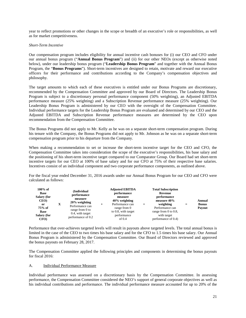year to reflect promotions or other changes in the scope or breadth of an executive's role or responsibilities, as well as for market competitiveness.

# *Short-Term Incentive*

Our compensation program includes eligibility for annual incentive cash bonuses for (i) our CEO and CFO under our annual bonus program ("**Annual Bonus Program**") and (ii) for our other NEOs (except as otherwise noted below), under our leadership bonus program ("**Leadership Bonus Program**" and together with the Annual Bonus Program, the "**Bonus Programs**"). Short-term incentives are designed to retain, motivate and reward our executive officers for their performance and contributions according to the Company's compensation objectives and philosophy.

The target amounts to which each of these executives is entitled under our Bonus Programs are discretionary, recommended by the Compensation Committee and approved by our Board of Directors. The Leadership Bonus Program is subject to a discretionary personal performance component (50% weighting), an Adjusted EBITDA performance measure (25% weighting) and a Subscription Revenue performance measure (25% weighting). Our Leadership Bonus Program is administered by our CEO with the oversight of the Compensation Committee. Individual performance targets for the Leadership Bonus Program are evaluated and determined by our CEO and the Adjusted EBITDA and Subscription Revenue performance measures are determined by the CEO upon recommendation from the Compensation Committee.

The Bonus Programs did not apply to Mr. Kelly as he was on a separate short-term compensation program. During his tenure with the Company, the Bonus Programs did not apply to Mr. Johnson as he was on a separate short-term compensation program prior to his departure from the Company.

When making a recommendation to set or increase the short-term incentive target for the CEO and CFO, the Compensation Committee takes into consideration the scope of the executive's responsibilities, his base salary and the positioning of his short-term incentive target compared to our Comparator Group. Our Board had set short-term incentive targets for our CEO at 100% of base salary and for our CFO at 75% of their respective base salaries. Incentives consist of an individual component and two corporate performance components, as outlined above.

For the fiscal year ended December 31, 2016 awards under our Annual Bonus Program for our CEO and CFO were calculated as follows:

| $100\%$ of<br><b>Base</b><br>Salary (for<br>CEO)<br>or<br>75% of<br><b>Base</b><br><b>Salary (for</b> | x | (Individual<br>performance<br>measure<br>$20\%$ weighting<br>Performance can<br>range from 0 to<br>0.4, with target<br>performance of 0.2 | $\overline{+}$ | <b>Adjusted EBITDA</b><br>performance<br>measure<br>$40\%$ weighting<br>Performance can<br>range from 0<br>to 0.8, with target<br>performance | $\div$ | <b>Total Subscription</b><br>Revenue<br>performance<br>measure 40%<br>weighting<br>Performance can<br>range from $0$ to $0.8$ ,<br>with target | $=$ | Annual<br><b>Bonus</b><br>Payout |
|-------------------------------------------------------------------------------------------------------|---|-------------------------------------------------------------------------------------------------------------------------------------------|----------------|-----------------------------------------------------------------------------------------------------------------------------------------------|--------|------------------------------------------------------------------------------------------------------------------------------------------------|-----|----------------------------------|
| CFO)                                                                                                  |   |                                                                                                                                           |                | of $0.4$                                                                                                                                      |        | performance of 0.4)                                                                                                                            |     |                                  |

Performance that over-achieves targeted levels will result in payouts above targeted levels. The total annual bonus is limited in the case of the CEO to two times his base salary and for the CFO to 1.5 times his base salary. Our Annual Bonus Program is administered by the Compensation Committee. Our Board of Directors reviewed and approved the bonus payouts on February 28, 2017.

The Compensation Committee applied the following principles and components in determining the bonus payouts for fiscal 2016:

# A. Individual Performance Measure

Individual performance was assessed on a discretionary basis by the Compensation Committee. In assessing performance, the Compensation Committee considered the NEO's support of general corporate objectives as well as his individual contributions and performance. The individual performance measure accounted for up to 20% of the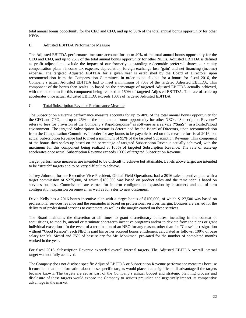total annual bonus opportunity for the CEO and CFO, and up to 50% of the total annual bonus opportunity for other NEOs.

# B. Adjusted EBITDA Performance Measure

The Adjusted EBITDA performance measure accounts for up to 40% of the total annual bonus opportunity for the CEO and CFO, and up to 25% of the total annual bonus opportunity for other NEOs. Adjusted EBITDA is defined as profit adjusted to exclude the impact of our formerly outstanding redeemable preferred shares, our equity compensation plans , income tax expense, depreciation, foreign exchange loss (gain) and net financing (income) expense. The targeted Adjusted EBITDA for a given year is established by the Board of Directors, upon recommendation from the Compensation Committee. In order to be eligible for a bonus for fiscal 2016, the Company's actual Adjusted EBITDA had to meet a minimum of 70% of the targeted Adjusted EBITDA. This component of the bonus then scales up based on the percentage of targeted Adjusted EBITDA actually achieved, with the maximum for this component being realized at 150% of targeted Adjusted EBITDA. The rate of scale-up accelerates once actual Adjusted EBITDA exceeds 100% of targeted Adjusted EBITDA.

# C. Total Subscription Revenue Performance Measure

The Subscription Revenue performance measure accounts for up to 40% of the total annual bonus opportunity for the CEO and CFO, and up to 25% of the total annual bonus opportunity for other NEOs. "Subscription Revenue" refers to fees for provision of the Company's RapidResponse® as software as a service ("**SaaS**") in a hosted/cloud environment. The targeted Subscription Revenue is determined by the Board of Directors, upon recommendation from the Compensation Committee. In order for any bonus to be payable based on this measure for fiscal 2016, our actual Subscription Revenue had to meet a minimum of 95% of the targeted Subscription Revenue. This component of the bonus then scales up based on the percentage of targeted Subscription Revenue actually achieved, with the maximum for this component being realized at 105% of targeted Subscription Revenue. The rate of scale-up accelerates once actual Subscription Revenue exceeds 100% of targeted Subscription Revenue.

Target performance measures are intended to be difficult to achieve but attainable. Levels above target are intended to be "stretch" targets and to be very difficult to achieve.

Jeffrey Johnson, former Executive Vice-President, Global Field Operations, had a 2016 sales incentive plan with a target commission of \$275,000, of which \$180,000 was based on product sales and the remainder is based on services business. Commissions are earned for in-term configuration expansion by customers and end-of-term configuration expansion on renewal, as well as for sales to new customers.

David Kelly has a 2016 bonus incentive plan with a target bonus of \$150,000, of which \$127,500 was based on professional services revenue and the remainder is based on professional services margin. Bonuses are earned for the delivery of professional services to customers, as well as the margin earned on these services.

The Board maintains the discretion at all times to grant discretionary bonuses, including in the context of acquisitions, to modify, amend or terminate short-term incentive programs and/or to deviate from the plans or grant individual exceptions. In the event of a termination of an NEO for any reason, other than for "Cause" or resignation without "Good Reason", each NEO is paid his or her accrued bonus entitlement calculated as follows: 100% of base salary for Mr. Sicard and 75% of base salary for Mr. Monkman, pro-rated for the number of completed months worked in the year.

For fiscal 2016, Subscription Revenue exceeded overall internal targets. The Adjusted EBITDA overall internal target was not fully achieved.

The Company does not disclose specific Adjusted EBITDA or Subscription Revenue performance measures because it considers that the information about these specific targets would place it at a significant disadvantage if the targets became known. The targets are set as part of the Company's annual budget and strategic planning process and disclosure of these targets would expose the Company to serious prejudice and negatively impact its competitive advantage in the market.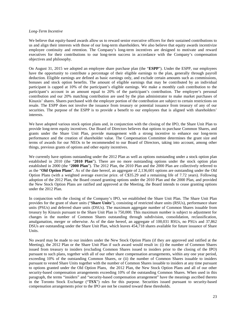#### *Long-Term Incentive*

We believe that equity-based awards allow us to reward senior executive officers for their sustained contributions to us and align their interests with those of our long-term shareholders. We also believe that equity awards incentivize employee continuity and retention. The Company's long-term incentives are designed to motivate and reward executives for their contributions to our long-term success in accordance with the Company's compensation objectives and philosophy.

On August 31, 2015 we adopted an employee share purchase plan (the "**ESPP**"). Under the ESPP, our employees have the opportunity to contribute a percentage of their eligible earnings to the plan, generally through payroll deduction. Eligible earnings are defined as basic earnings only, and exclude certain amounts such as commissions, bonuses and stock option benefits. The amount of eligible earnings that may be contributed by an individual participant is capped at 10% of the participant's eligible earnings. We make a monthly cash contribution to the participant's account in an amount equal to 20% of the participant's contribution. The employee's personal contribution and our 20% matching contribution are used by the plan administrator to make market purchases of Kinaxis' shares. Shares purchased with the employer portion of the contribution are subject to certain restrictions on resale. The ESPP does not involve the issuance from treasury or potential issuance from treasury of any of our securities. The purpose of the ESPP is to provide a benefit to our employees that is aligned with shareholders' interests.

We have adopted various stock option plans and, in conjunction with the closing of the IPO, the Share Unit Plan to provide long-term equity incentives. Our Board of Directors believes that options to purchase Common Shares, and grants under the Share Unit Plan, provide management with a strong incentive to enhance our long-term performance and the creation of shareholder value. The Compensation Committee determines the grant size and terms of awards for our NEOs to be recommended to our Board of Directors, taking into account, among other things, previous grants of options and other equity incentives.

We currently have options outstanding under the 2012 Plan as well as options outstanding under a stock option plan established in 2010 (the "**2010 Plan**"). There are no more outstanding options under the stock option plan established in 2000 (the "**2000 Plan**"). The 2012 Plan, the 2010 Plan and the 2000 Plan are collectively referred to as the "**Old Option Plans**". As of the date hereof, an aggregate of 2,136,601 options are outstanding under the Old Option Plans (with a weighted average exercise price. of C\$35.29 and a remaining life of 7.72 years). Following adoption of the 2012 Plan, the Board ceased granting options under the 2010 Plan and the 2000 Plan, and provided the New Stock Option Plans are ratified and approved at the Meeting, the Board intends to cease granting options under the 2012 Plan.

In conjunction with the closing of the Company's IPO, we established the Share Unit Plan. The Share Unit Plan provides for the grant of share units ("**Share Units**"), consisting of restricted share units (RSUs), performance share units (PSUs) and deferred share units (DSUs). The maximum aggregate number of Common Shares issuable from treasury by Kinaxis pursuant to the Share Unit Plan is 750,000. This maximum number is subject to adjustment for changes in the number of Common Shares outstanding through subdivision, consolidation, reclassification, amalgamation, merger or otherwise. As of the date hereof, an aggregate of 100,031 RSUs, no PSUs and 37,862 DSUs are outstanding under the Share Unit Plan, which leaves 454,718 shares available for future issuance of Share Units.

No award may be made to our insiders under the New Stock Option Plans (if they are approved and ratified at the Meeting), the 2012 Plan or the Share Unit Plan if such award would result in: (i) the number of Common Shares issued from treasury to insiders (excluding Common Shares issued to insiders prior to the closing of the IPO) pursuant to such plans, together with all of our other share compensation arrangements, within any one year period, exceeding 10% of the outstanding Common Shares, or (ii) the number of Common Shares issuable to insiders pursuant to vested Share Units together with the number of Common Shares issuable to insiders at any time pursuant to options granted under the Old Option Plans, the 2012 Plan, the New Stock Option Plans and all of our other security-based compensation arrangements exceeding 10% of the outstanding Common Shares. When used in this paragraph, the terms "insiders" and "security-based compensation arrangement" have the meanings ascribed thereto in the Toronto Stock Exchange ("**TSX**") rules for this purpose. Securities issued pursuant to security-based compensation arrangements prior to the IPO are not be counted toward these thresholds.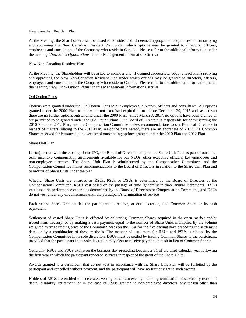#### New Canadian Resident Plan

At the Meeting, the Shareholders will be asked to consider and, if deemed appropriate, adopt a resolution ratifying and approving the New Canadian Resident Plan under which options may be granted to directors, officers, employees and consultants of the Company who reside in Canada. Please refer to the additional information under the heading "*New Stock Option Plans*" in this Management Information Circular.

# New Non-Canadian Resident Plan

At the Meeting, the Shareholders will be asked to consider and, if deemed appropriate, adopt a resolution) ratifying and approving the New Non-Canadian Resident Plan under which options may be granted to directors, officers, employees and consultants of the Company who reside in Canada. Please refer to the additional information under the heading "*New Stock Option Plans*" in this Management Information Circular.

# Old Option Plans

Options were granted under the Old Option Plans to our employees, directors, officers and consultants. All options granted under the 2000 Plan, to the extent not exercised expired on or before December 29, 2015 and, as a result there are no further options outstanding under the 2000 Plan. Since March 3, 2017, no options have been granted or are permitted to be granted under the Old Option Plans. Our Board of Directors is responsible for administering the 2010 Plan and 2012 Plan, and the Compensation Committee makes recommendations to our Board of Directors in respect of matters relating to the 2010 Plan. As of the date hereof, there are an aggregate of 2,136,601 Common Shares reserved for issuance upon exercise of outstanding options granted under the 2010 Plan and 2012 Plan.

# Share Unit Plan

In conjunction with the closing of our IPO, our Board of Directors adopted the Share Unit Plan as part of our longterm incentive compensation arrangements available for our NEOs, other executive officers, key employees and non-employee directors. The Share Unit Plan is administered by the Compensation Committee, and the Compensation Committee makes recommendations to the Board of Directors in relation to the Share Unit Plan and to awards of Share Units under the plan.

Whether Share Units are awarded as RSUs, PSUs or DSUs is determined by the Board of Directors or the Compensation Committee. RSUs vest based on the passage of time (generally in three annual increments), PSUs vest based on performance criteria as determined by the Board of Directors or Compensation Committee, and DSUs do not vest under any circumstances until the participant's termination of service.

Each vested Share Unit entitles the participant to receive, at our discretion, one Common Share or its cash equivalent.

Settlement of vested Share Units is effected by delivering Common Shares acquired in the open market and/or issued from treasury, or by making a cash payment equal to the number of Share Units multiplied by the volume weighted average trading price of the Common Shares on the TSX for the five trading days preceding the settlement date, or by a combination of these methods. The manner of settlement for RSUs and PSUs is elected by the Compensation Committee in its sole discretion. DSUs must be settled by issuing Common Shares to the participant, provided that the participant in its sole discretion may elect to receive payment in cash in lieu of Common Shares.

Generally, RSUs and PSUs expire on the business day preceding December 31 of the third calendar year following the first year in which the participant rendered services in respect of the grant of the Share Units.

Awards granted to a participant that do not vest in accordance with the Share Unit Plan will be forfeited by the participant and cancelled without payment, and the participant will have no further right in such awards.

Holders of RSUs are entitled to accelerated vesting on certain events, including termination of service by reason of death, disability, retirement, or in the case of RSUs granted to non-employee directors, any reason other than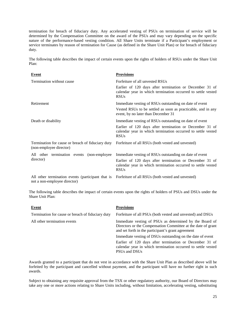termination for breach of fiduciary duty. Any accelerated vesting of PSUs on termination of service will be determined by the Compensation Committee on the award of the PSUs and may vary depending on the specific nature of the performance-based vesting condition. All Share Units terminate if a Participant's employment or service terminates by reason of termination for Cause (as defined in the Share Unit Plan) or for breach of fiduciary duty.

The following table describes the impact of certain events upon the rights of holders of RSUs under the Share Unit Plan:

| <b>Event</b>                                                                      | <b>Provisions</b>                                                                                                                      |  |  |  |
|-----------------------------------------------------------------------------------|----------------------------------------------------------------------------------------------------------------------------------------|--|--|--|
| Termination without cause                                                         | Forfeiture of all unvested RSUs                                                                                                        |  |  |  |
|                                                                                   | Earlier of 120 days after termination or December 31 of<br>calendar year in which termination occurred to settle vested<br><b>RSUs</b> |  |  |  |
| Retirement                                                                        | Immediate vesting of RSUs outstanding on date of event                                                                                 |  |  |  |
|                                                                                   | Vested RSUs to be settled as soon as practicable, and in any<br>event, by no later than December 31                                    |  |  |  |
| Death or disability                                                               | Immediate vesting of RSUs outstanding on date of event                                                                                 |  |  |  |
|                                                                                   | Earlier of 120 days after termination or December 31 of<br>calendar year in which termination occurred to settle vested<br><b>RSUs</b> |  |  |  |
| Termination for cause or breach of fiduciary duty<br>(non-employee director)      | Forfeiture of all RSUs (both vested and unvested)                                                                                      |  |  |  |
| All other termination events (non-employee                                        | Immediate vesting of RSUs outstanding on date of event                                                                                 |  |  |  |
| director)                                                                         | Earlier of 120 days after termination or December 31 of<br>calendar year in which termination occurred to settle vested<br><b>RSUs</b> |  |  |  |
| All other termination events (participant that is<br>not a non-employee director) | Forfeiture of all RSUs (both vested and unvested)                                                                                      |  |  |  |

The following table describes the impact of certain events upon the rights of holders of PSUs and DSUs under the Share Unit Plan:

| <b>Event</b>                                      | <b>Provisions</b>                                                                                                                                                             |
|---------------------------------------------------|-------------------------------------------------------------------------------------------------------------------------------------------------------------------------------|
| Termination for cause or breach of fiduciary duty | Forfeiture of all PSUs (both vested and unvested) and DSUs                                                                                                                    |
| All other termination events                      | Immediate vesting of PSUs as determined by the Board of<br>Directors or the Compensation Committee at the date of grant<br>and set forth in the participant's grant agreement |
|                                                   | Immediate vesting of DSUs outstanding on the date of event                                                                                                                    |
|                                                   | Earlier of 120 days after termination or December 31 of<br>calendar year in which termination occurred to settle vested<br>PSUs and DSUs                                      |

Awards granted to a participant that do not vest in accordance with the Share Unit Plan as described above will be forfeited by the participant and cancelled without payment, and the participant will have no further right in such awards.

Subject to obtaining any requisite approval from the TSX or other regulatory authority, our Board of Directors may take any one or more actions relating to Share Units including, without limitation, accelerating vesting, substituting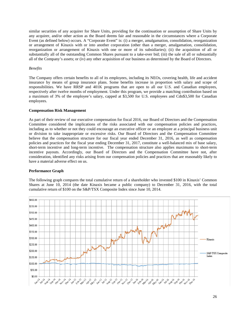similar securities of any acquirer for Share Units, providing for the continuation or assumption of Share Units by any acquirer, and/or other action as the Board deems fair and reasonable in the circumstances where a Corporate Event (as defined below) occurs. A "Corporate Event" is: (i) a merger, amalgamation, consolidation, reorganization or arrangement of Kinaxis with or into another corporation (other than a merger, amalgamation, consolidation, reorganization or arrangement of Kinaxis with one or more of its subsidiaries); (ii) the acquisition of all or substantially all of the outstanding Common Shares pursuant to a take-over bid; (iii) the sale of all or substantially all of the Company's assets; or (iv) any other acquisition of our business as determined by the Board of Directors.

# *Benefits*

The Company offers certain benefits to all of its employees, including its NEOs, covering health, life and accident insurance by means of group insurance plans. Some benefits increase in proportion with salary and scope of responsibilities. We have RRSP and 401K programs that are open to all our U.S. and Canadian employees, respectively after twelve months of employment. Under this program, we provide a matching contribution based on a maximum of 3% of the employee's salary, capped at \$3,500 for U.S. employees and Cdn\$3,500 for Canadian employees.

# **Compensation Risk Management**

As part of their review of our executive compensation for fiscal 2016, our Board of Directors and the Compensation Committee considered the implications of the risks associated with our compensation policies and practices, including as to whether or not they could encourage an executive officer or an employee at a principal business unit or division to take inappropriate or excessive risks. Our Board of Directors and the Compensation Committee believe that the compensation structure for our fiscal year ended December 31, 2016, as well as compensation policies and practices for the fiscal year ending December 31, 2017, constitute a well-balanced mix of base salary, short-term incentive and long-term incentive. The compensation structure also applies maximums to short-term incentive payouts. Accordingly, our Board of Directors and the Compensation Committee have not, after consideration, identified any risks arising from our compensation policies and practices that are reasonably likely to have a material adverse effect on us.

#### **Performance Graph**

The following graph compares the total cumulative return of a shareholder who invested \$100 in Kinaxis' Common Shares at June 10, 2014 (the date Kinaxis became a public company) to December 31, 2016, with the total cumulative return of \$100 on the S&P/TSX Composite Index since June 10, 2014.

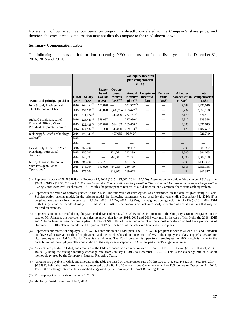No element of our executive compensation program is directly correlated to the Company's share price, and therefore the executives' compensation may not directly compare to the trend shown above.

#### **Summary Compensation Table**

The following table sets out information concerning NEO compensation for the fiscal years ended December 31, 2016, 2015 and 2014.

|                                     |                |                         |                                            |                                                    | <b>Non-equity incentive</b><br>plan compensation<br>(US\$) |                                 |                                   |                                            |                                        |
|-------------------------------------|----------------|-------------------------|--------------------------------------------|----------------------------------------------------|------------------------------------------------------------|---------------------------------|-----------------------------------|--------------------------------------------|----------------------------------------|
| Name and principal position         | Fiscal<br>vear | <b>Salary</b><br>(US\$) | Share-<br>based<br>awards<br>$(US$)^{(1)}$ | Option-<br><b>based</b><br>awards<br>$(US$)^{(2)}$ | <b>Annual</b><br>incentive<br>$plans(3)$                   | Long-term<br>incentive<br>plans | <b>Pension</b><br>value<br>(US\$) | All other<br>compensation<br>$(US$)^{(4)}$ | <b>Total</b><br>compensation<br>(US\$) |
| John Sicard, President and          | 2016           | $264,191^{(5)}$         | 631,828                                    |                                                    | $331,357^{(6)}$                                            |                                 |                                   | 2,642                                      | 1,230,018                              |
| Chief Executive Officer             | 2015           | $234,650^{(5)}$         | 347,020                                    | 2,485,274                                          | $283,447^{(6)}$                                            | $\overline{\phantom{0}}$        |                                   | 2,737                                      | 3,353,128                              |
|                                     | 2014           | $271,674^{(5)}$         |                                            | 313,800                                            | $282,757^{(6)}$                                            | $\overline{\phantom{0}}$        |                                   | 3,170                                      | 871,401                                |
| Richard Monkman, Chief              | 2016           | $226,449^{(5)}$         | 379,097                                    |                                                    | $227,980^{(6)}$                                            | $\overline{\phantom{0}}$        |                                   | 5,812                                      | 839,338                                |
| Financial Officer, Vice-            | 2015           | $222,428^{(5)}$         | 347,020                                    | 994,109                                            | $269,668^{(6)}$                                            | $\overline{\phantom{0}}$        |                                   | 4,388                                      | 1,837,613                              |
| <b>President Corporate Services</b> | 2014           | $249,034^{(5)}$         | 357,300                                    | 313,800                                            | $259,193^{(6)}$                                            | $\overline{\phantom{0}}$        |                                   | 3,170                                      | 1,182,497                              |
| Jack Noppé, Chief Technology        | 2016           | $172,943^{(5)}$         |                                            | 497,055                                            | $56,742^{(6)}$                                             | $\overline{\phantom{0}}$        | $\overline{\phantom{0}}$          |                                            | 726,740                                |
| Officer $(7)$                       | 2015           |                         |                                            |                                                    |                                                            | $\overline{\phantom{a}}$        |                                   |                                            |                                        |
|                                     | 2014           |                         |                                            |                                                    |                                                            |                                 |                                   |                                            |                                        |
| David Kelly, Executive Vice         | 2016           | 250,000                 |                                            | $\overline{\phantom{0}}$                           | 130,437                                                    | $\overline{\phantom{0}}$        | $\overline{\phantom{0}}$          | 3,500                                      | 383,937                                |
| President, Professional             | 2015           | 250,000                 | $\overline{\phantom{0}}$                   | 124,264                                            | 213,289                                                    |                                 | $\qquad \qquad \longleftarrow$    | 3,500                                      | 591,053                                |
| $S$ ervices $(8)$                   | 2014           | 146,792                 |                                            | 766,000                                            | 87,500                                                     |                                 | $\overline{\phantom{0}}$          | 1.896                                      | 1,002,188                              |
| Jeffrey Johnson, Executive          | 2016           | 300,000                 | 252,731                                    | $\equiv$                                           | 587,156                                                    |                                 | $\overline{\phantom{0}}$          | 9,500                                      | 1.149.387                              |
| Vice-President, Global              | 2015           | 275,004                 | 347,020                                    | 497,055                                            | 230,719                                                    | $\overline{\phantom{0}}$        |                                   | 6,358                                      | 1,356,156                              |
| Operations <sup>(9)</sup>           | 2014           | 275,004                 | $\qquad \qquad -$                          | 313,800                                            | 269,013                                                    |                                 |                                   | 3,500                                      | 861,317                                |

(1) Represent a grant of 58,588 RSUs on February 17, 2016 (2015 – 95,000; 2014 – 80,000). Assumes an award date fair value per RSU equal to \$34.93 (2015 - \$17.35; 2014 – \$11.91). See "*Executive Compensation – Compensation Discussion and Analysis – Elements of Compensation – Long-Term Incentive*". Each vested RSU entitles the participant to receive, at our discretion, one Common Share or its cash equivalent.

- (2) Represents the value of options granted to the NEOs. The fair value of each option was determined on the date of grant using a Black-Scholes option pricing model. In the pricing model the following parameters were used for the year ending December 31, 2016: (i) a weighted average risk free interest rate of  $1.16\%$  (2015 – 1.64%; 2014 – 1.98%); (ii) weighted average volatility of 41% (2015 – 40%; 2014  $-46\%$ ); (iii) and dividends of nil (2015 – nil; 2014 – nil). These amounts are not necessarily reflective of actual amounts that may be realized on exercise.
- (3) Represents amounts earned during the years ended December 31, 2016, 2015 and 2014 pursuant to the Company's Bonus Programs. In the case of Mr. Johnson, this represents the sales incentive plan for the 2016, 2015 and 2014 year and, in the case of Mr. Kelly the 2016, 2015 and 2014 professional services bonus plan. A total of \$481,109 of the earned amount of the annual incentive plan had been paid out as of December 31, 2016. The remainder will be paid in 2017 per the terms of the sales and bonus incentive plans.
- (4) Represents our match for employee RRSP/401K contribution and ESPP plan. The RRSP/401K program is open to all our U.S. and Canadian employees after twelve months of employment, and the match is based on a maximum of 3% of the employee's salary, capped at \$3,500 for U.S. employees and Cdn\$3,500 for Canadian employees. The ESPP program is open to all employees. A 20% match is made to the contribution of the employee. The contribution of the employee is capped at 10% of the participant's eligible earnings.
- (5) Amounts are payable in Cdn\$, and amounts in the table are based on a conversion rate of Cdn\$1.00 to U.S. \$0.7548 (2015 \$0.7821; 2014 \$0.9055), being the average monthly exchange rate from January 1, 2016 to December 31, 2016. This is the exchange rate calculation methodology used by the Company's External Reporting Team.
- (6) Amounts are payable in Cdn\$, and amounts in the table are based on a conversion rate of Cdn\$1.00 to U.S. \$0.7448 (2015 \$0.7198; 2014 \$0.8599), being the closing exchange rate reported by the Bank of Canada of one Canadian dollar into U.S. dollars on December 31, 2016. This is the exchange rate calculation methodology used by the Company's External Reporting Team.
- (7) Mr. Noppé joined Kinaxis on January 7, 2016.
- (8) Mr. Kelly joined Kinaxis on July 2, 2014.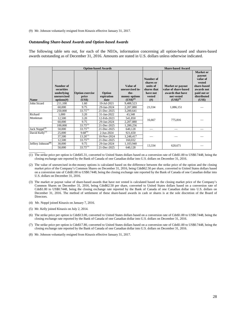(9) Mr. Johnson voluntarily resigned from Kinaxis effective January 31, 2017.

#### *Outstanding Share-based Awards and Option-based Awards*

The following table sets out, for each of the NEOs, information concerning all option-based and shares-based awards outstanding as of December 31, 2016. Amounts are stated in U.S. dollars unless otherwise indicated.

|                                |                                                                    |                                           | <b>Option-based Awards</b>   | <b>Share-based Award</b>                                                    |                                                                               |                                                                                                    |                                                                                                                |
|--------------------------------|--------------------------------------------------------------------|-------------------------------------------|------------------------------|-----------------------------------------------------------------------------|-------------------------------------------------------------------------------|----------------------------------------------------------------------------------------------------|----------------------------------------------------------------------------------------------------------------|
| <b>Name</b>                    | Number of<br>securities<br>underlying<br>unexercised<br>options(f) | <b>Option exercise</b><br>price<br>(US\$) | Option<br>expiration<br>date | Value of<br>unexercised in-<br>the-<br>money options<br>$(US\bar{S})^{(2)}$ | Number of<br>shares or<br>units of<br>shares that<br>have not<br>vested<br>#) | <b>Market or payout</b><br>value of share-based<br>awards that have<br>not vested<br>$(US$)^{(3)}$ | Market or<br>payout<br>value of<br>vested<br>share-based<br>awards not<br>paid out or<br>distributed<br>(US\$) |
| John Sicard                    | 211,100                                                            | 1.60                                      | 19-Jul-2021                  | 9,488,523                                                                   |                                                                               |                                                                                                    |                                                                                                                |
|                                | 60,000                                                             | 9.75                                      | 29-Jan-2024                  | 2,207,880                                                                   | 23,334                                                                        | 1,086,151                                                                                          |                                                                                                                |
|                                | 250,000                                                            | $33.75^{(1)}$                             | 21-Dec-2025                  | 3,200,641                                                                   |                                                                               |                                                                                                    |                                                                                                                |
| Richard                        | 1.000                                                              | 3.20                                      | 31-Jan-2022                  | 43,348                                                                      |                                                                               |                                                                                                    |                                                                                                                |
| Monkman                        | 12,500                                                             | 3.20                                      | 12-Feb-2023                  | 541,850                                                                     | 16,667                                                                        | 775,816                                                                                            |                                                                                                                |
|                                | 60,000                                                             | 9.75                                      | 29-Jan-2024                  | 2,207,880                                                                   |                                                                               |                                                                                                    |                                                                                                                |
|                                | 100,000                                                            | $33.75^{(1)}$                             | 21-Dec-2025                  | 1,280,256                                                                   |                                                                               |                                                                                                    |                                                                                                                |
| Jack Noppé <sup>(4)</sup>      | 50,000                                                             | $33.75^{(1)}$                             | 21-Dec-2025                  | 640,128                                                                     |                                                                               |                                                                                                    |                                                                                                                |
| David Kelly <sup>(5)</sup>     | 25,000                                                             | $9.68^{(6)}$                              | 2-Jun-2024                   | 921,650                                                                     |                                                                               |                                                                                                    |                                                                                                                |
|                                | 37,500                                                             | $13.26^{(7)}$                             | 10-Nov-2024                  | 1,248,417                                                                   |                                                                               |                                                                                                    |                                                                                                                |
|                                | 12,500                                                             | $33.75^{(1)}$                             | 21-Dec-2025                  | 160,032                                                                     |                                                                               |                                                                                                    |                                                                                                                |
| Jeffrey Johnson <sup>(8)</sup> | 30,000                                                             | 9.75                                      | 29-Jan-2024                  | 1,103,940                                                                   | 13,334                                                                        | 620,671                                                                                            |                                                                                                                |
|                                | 50,000                                                             | $33.75^{(1)}$                             | 21-Dec-2025                  | 640,128                                                                     |                                                                               |                                                                                                    |                                                                                                                |

(1) The strike price per option is Cdn\$45.31, converted to United States dollars based on a conversion rate of Cdn\$1.00 to US\$0.7448, being the closing exchange rate reported by the Bank of Canada of one Canadian dollar into U.S. dollars on December 31, 2016.

- (2) The value of unexercised in-the-money options is calculated based on the difference between the strike price of the option and the closing market price of the Company's Common Shares on December 31, 2016, being Cdn\$62.50 per share, converted to United States dollars based on a conversion rate of Cdn\$1.00 to US\$0.7448, being the closing exchange rate reported by the Bank of Canada of one Canadian dollar into U.S. dollars on December 31, 2016.
- (3) The market or payout value of share-based awards that have not vested is calculated based on the closing market price of the Company's Common Shares on December 31, 2016, being Cdn\$62.50 per share, converted to United States dollars based on a conversion rate of Cdn\$1.00 to US\$0.7448, being the closing exchange rate reported by the Bank of Canada of one Canadian dollar into U.S. dollars on December 31, 2016. The method of settlement of these share-based awards in cash or shares is at the sole discretion of the Board of Directors.
- (4) Mr. Noppé joined Kinaxis on January 7, 2016.
- (5) Mr. Kelly joined Kinaxis on July 2, 2014.

 $\overline{\phantom{a}}$ 

- (6) The strike price per option is Cdn\$13.00, converted to United States dollars based on a conversion rate of Cdn\$1.00 to US\$0.7448, being the closing exchange rate reported by the Bank of Canada of one Canadian dollar into U.S. dollars on December 31, 2016.
- (7) The strike price per option is Cdn\$17.80, converted to United States dollars based on a conversion rate of Cdn\$1.00 to US\$0.7448, being the closing exchange rate reported by the Bank of Canada of one Canadian dollar into U.S. dollars on December 31, 2016.
- (8) Mr. Johnson voluntarily resigned from Kinaxis effective January 31, 2017.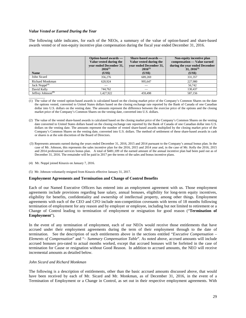# *Value Vested or Earned During the Year*

The following table indicates, for each of the NEOs, a summary of the value of option-based and share-based awards vested or of non-equity incentive plan compensation during the fiscal year ended December 31, 2016.

| <b>Name</b>                    | Option-based awards —<br>Value vested during the<br>vear ended December 31,<br>$2016^{(1)}$<br>(US\$) | Share-based awards —<br>Value vested during the<br>vear ended December 31,<br>$2016^{(2)}$<br>(US\$) | Non-equity incentive plan<br>compensation — Value earned<br>during the year ended December<br>$31, 2016^{(3)}$<br>(US\$) |
|--------------------------------|-------------------------------------------------------------------------------------------------------|------------------------------------------------------------------------------------------------------|--------------------------------------------------------------------------------------------------------------------------|
| John Sicard                    | 356,276                                                                                               | 689.269                                                                                              | 331.357                                                                                                                  |
| Richard Monkman                | 620.924                                                                                               | 995,647                                                                                              | 227.980                                                                                                                  |
| Jack Noppé <sup>(4)</sup>      |                                                                                                       |                                                                                                      | 56,742                                                                                                                   |
| David Kelly                    | 744.762                                                                                               |                                                                                                      | 130.437                                                                                                                  |
| Jeffrey Johnson <sup>(5)</sup> | 1,427,922                                                                                             | 459.498                                                                                              | 587.156                                                                                                                  |

 $\overline{\phantom{a}}$   $\overline{\phantom{a}}$   $\overline{\phantom{a}}$   $\overline{\phantom{a}}$   $\overline{\phantom{a}}$   $\overline{\phantom{a}}$   $\overline{\phantom{a}}$   $\overline{\phantom{a}}$   $\overline{\phantom{a}}$   $\overline{\phantom{a}}$   $\overline{\phantom{a}}$   $\overline{\phantom{a}}$   $\overline{\phantom{a}}$   $\overline{\phantom{a}}$   $\overline{\phantom{a}}$   $\overline{\phantom{a}}$   $\overline{\phantom{a}}$   $\overline{\phantom{a}}$   $\overline{\$ (1) The value of the vested option-based awards is calculated based on the closing market price of the Company's Common Shares on the date the options vested, converted to United States dollars based on the closing exchange rate reported by the Bank of Canada of one Canadian dollar into U.S. dollars on the vesting date. The amounts represent the difference between the exercise price of the options and the closing market price of the Company's Common Shares on the vesting date, converted into U.S. dollars.

- (2) The value of the vested share-based awards is calculated based on the closing market price of the Company's Common Shares on the vesting date converted to United States dollars based on the closing exchange rate reported by the Bank of Canada of one Canadian dollar into U.S. dollars on the vesting date. The amounts represent the number of vested share-based awards multiplied by the closing market price of the Company's Common Shares on the vesting date, converted into U.S. dollars. The method of settlement of these share-based awards in cash or shares is at the sole discretion of the Board of Directors.
- (3) Represents amounts earned during the years ended December 31, 2016, 2015 and 2014 pursuant to the Company's annual bonus plan. In the case of Mr. Johnson, this represents the sales incentive plan for the 2016, 2015 and 2014 year and, in the case of Mr. Kelly the 2016, 2015 and 2014 professional services bonus plan. A total of \$481,109 of the earned amount of the annual incentive plan had been paid out as of December 31, 2016. The remainder will be paid in 2017 per the terms of the sales and bonus incentive plans.
- (4) Mr. Noppé joined Kinaxis on January 7, 2016.

(5) Mr. Johnson voluntarily resigned from Kinaxis effective January 31, 2017.

# **Employment Agreements and Termination and Change of Control Benefits**

Each of our Named Executive Officers has entered into an employment agreement with us. Those employment agreements include provisions regarding base salary, annual bonuses, eligibility for long-term equity incentives, eligibility for benefits, confidentiality and ownership of intellectual property, among other things. Employment agreements with each of the CEO and CFO include non-competition covenants with terms of 18 months following termination of employment for any reason and by employer or employee, including but not limited to retirement or a Change of Control leading to termination of employment or resignation for good reason ("**Termination of Employment**").

In the event of any termination of employment, each of our NEOs would receive those entitlements that have accrued under their employment agreements during the term of their employment through to the date of termination. See the description of such entitlements above in the sections entitled "*Executive Compensation – Elements of Compensation*" and "– *Summary Compensation Table*". As noted above, accrued amounts will include accrued bonuses pro-rated to actual months worked, except that accrued bonuses will be forfeited in the case of termination for Cause or resignation without Good Reason. In addition to accrued amounts, the NEO will receive incremental amounts as detailed below.

# *John Sicard and Richard Monkman*

The following is a description of entitlements, other than the basic accrued amounts discussed above, that would have been received by each of Mr. Sicard and Mr. Monkman, as of December 31, 2016, in the event of a Termination of Employment or a Change in Control, as set out in their respective employment agreements. With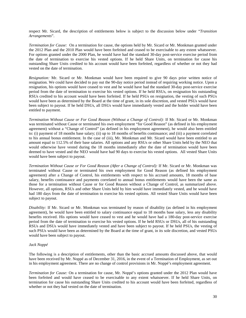respect Mr. Sicard, the description of entitlements below is subject to the discussion below under "*Transition Arrangements*".

*Termination for Cause:* On a termination for cause, the options held by Mr. Sicard or Mr. Monkman granted under the 2012 Plan and the 2010 Plan would have been forfeited and ceased to be exercisable to any extent whatsoever. For options granted under the 2000 Plan, he would have had the standard 30-day post-service exercise period from the date of termination to exercise his vested options. If he held Share Units, on termination for cause his outstanding Share Units credited to his account would have been forfeited, regardless of whether or not they had vested on the date of termination.

*Resignation:* Mr. Sicard or Mr. Monkman would have been required to give 90 days prior written notice of resignation. We could have decided to pay out the 90-day notice period instead of requiring working notice. Upon a resignation, his options would have ceased to vest and he would have had the standard 30-day post-service exercise period from the date of termination to exercise his vested options. If he held RSUs, on resignation his outstanding RSUs credited to his account would have been forfeited. If he held PSUs on resignation, the vesting of such PSUs would have been as determined by the Board at the time of grant, in its sole discretion, and vested PSUs would have been subject to payout. If he held DSUs, all DSUs would have immediately vested and the holder would have been entitled to payment.

*Termination Without Cause or For Good Reason (Without a Change of Control):* If Mr. Sicard or Mr. Monkman was terminated without Cause or terminated his own employment "for Good Reason" (as defined in his employment agreement) without a "Change of Control" (as defined in his employment agreement), he would also been entitled to: (i) payment of 18 months base salary; (ii) up to 18 months of benefits continuance; and (iii) a payment correlated to his annual bonus entitlement. In the case of (iii), Mr. Monkman and Mr. Sicard would have been entitled to an amount equal to 112.5% of their base salaries. All options and any RSUs or other Share Units held by the NEO that would otherwise have vested during the 18 months immediately after the date of termination would have been deemed to have vested and the NEO would have had 90 days to exercise his vested options. All vested Share Units would have been subject to payout.

*Termination Without Cause or For Good Reason (After a Change of Control):* If Mr. Sicard or Mr. Monkman was terminated without Cause or terminated his own employment for Good Reason (as defined his employment agreement) after a Change of Control, his entitlements with respect to his accrued amounts, 18 months of base salary, benefits continuance and payments correlated to annual bonus entitlements would have been the same as those for a termination without Cause or for Good Reason without a Change of Control, as summarized above. However, all options, RSUs and other Share Units held by him would have immediately vested, and he would have had 180 days from the date of termination to exercise his vested options. All vested Share Units would have been subject to payout.

*Disability:* If Mr. Sicard or Mr. Monkman was terminated by reason of disability (as defined in his employment agreement), he would have been entitled to salary continuance equal to 18 months base salary, less any disability benefits received. His options would have ceased to vest and he would have had a 180-day post-service exercise period from the date of termination to exercise his vested options. If he held RSUs or DSUs, all of his outstanding RSUs and DSUs would have immediately vested and have been subject to payout. If he held PSUs, the vesting of such PSUs would have been as determined by the Board at the time of grant, in its sole discretion, and vested PSUs would have been subject to payout.

# *Jack Noppé*

The following is a description of entitlements, other than the basic accrued amounts discussed above, that would have been received by Mr. Noppé as of December 31, 2016, in the event of a Termination of Employment, as set out in his employment agreement. There are no change of control provisions in Mr. Noppé's employment agreement.

*Termination for Cause:* On a termination for cause, Mr. Noppé's options granted under the 2012 Plan would have been forfeited and would have ceased to be exercisable to any extent whatsoever. If he held Share Units, on termination for cause his outstanding Share Units credited to his account would have been forfeited, regardless of whether or not they had vested on the date of termination.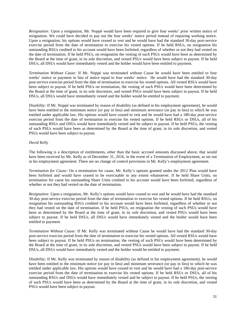*Resignation:* Upon a resignation, Mr. Noppé would have been required to give four weeks' prior written notice of resignation. We could have decided to pay out the four weeks' notice period instead of requiring working notice. Upon a resignation, his options would have ceased to vest and he would have had the standard 30-day post-service exercise period from the date of termination to exercise his vested options. If he held RSUs, on resignation his outstanding RSUs credited to his account would have been forfeited, regardless of whether or not they had vested on the date of termination. If he held PSUs, on resignation the vesting of such PSUs would have been as determined by the Board at the time of grant, in its sole discretion, and vested PSUs would have been subject to payout. If he held DSUs, all DSUs would have immediately vested and the holder would have been entitled to payment.

*Termination Without Cause:* If Mr. Noppé was terminated without Cause he would have been entitled to four weeks' notice or payment in lieu of notice equal to four weeks' notice. He would have had the standard 30-day post-service exercise period from the date of termination to exercise his vested options. All vested RSUs would have been subject to payout. If he held PSUs on termination, the vesting of such PSUs would have been determined by the Board at the time of grant, in its sole discretion, and vested PSUs would have been subject to payout. If he held DSUs, all DSUs would have immediately vested and the holder would be entitled to payment.

*Disability:* If Mr. Noppé was terminated by reason of disability (as defined in his employment agreement), he would have been entitled to the minimum notice (or pay in lieu) and minimum severance (or pay in lieu) to which he was entitled under applicable law. His options would have ceased to vest and he would have had a 180-day post-service exercise period from the date of termination to exercise his vested options. If he held RSUs or DSUs, all of his outstanding RSUs and DSUs would have immediately vested and be subject to payout. If he held PSUs, the vesting of such PSUs would have been as determined by the Board at the time of grant, in its sole discretion, and vested PSUs would have been subject to payout.

# *David Kelly*

The following is a description of entitlements, other than the basic accrued amounts discussed above, that would have been received by Mr. Kelly as of December 31, 2016, in the event of a Termination of Employment, as set out in his employment agreement. There are no change of control provisions in Mr. Kelly's employment agreement.

*Termination for Cause:* On a termination for cause, Mr. Kelly's options granted under the 2012 Plan would have been forfeited and would have ceased to be exercisable to any extent whatsoever. If he held Share Units, on termination for cause his outstanding Share Units credited to his account would have been forfeited, regardless of whether or not they had vested on the date of termination.

*Resignation:* Upon a resignation, Mr. Kelly's options would have ceased to vest and he would have had the standard 30-day post-service exercise period from the date of termination to exercise his vested options. If he held RSUs, on resignation his outstanding RSUs credited to his account would have been forfeited, regardless of whether or not they had vested on the date of termination. If he held PSUs, on resignation the vesting of such PSUs would have been as determined by the Board at the time of grant, in its sole discretion, and vested PSUs would have been subject to payout. If he held DSUs, all DSUs would have immediately vested and the holder would have been entitled to payment.

*Termination Without Cause:* If Mr. Kelly was terminated without Cause he would have had the standard 30-day post-service exercise period from the date of termination to exercise his vested options. All vested RSUs would have been subject to payout. If he held PSUs on termination, the vesting of such PSUs would have been determined by the Board at the time of grant, in its sole discretion, and vested PSUs would have been subject to payout. If he held DSUs, all DSUs would have immediately vested and the holder would be entitled to payment.

*Disability:* If Mr. Kelly was terminated by reason of disability (as defined in his employment agreement), he would have been entitled to the minimum notice (or pay in lieu) and minimum severance (or pay in lieu) to which he was entitled under applicable law. His options would have ceased to vest and he would have had a 180-day post-service exercise period from the date of termination to exercise his vested options. If he held RSUs or DSUs, all of his outstanding RSUs and DSUs would have immediately vested and be subject to payout. If he held PSUs, the vesting of such PSUs would have been as determined by the Board at the time of grant, in its sole discretion, and vested PSUs would have been subject to payout.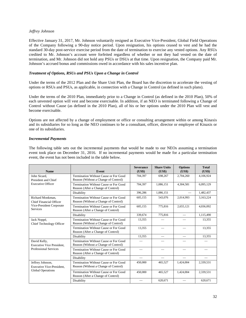## *Jeffrey Johnson*

Effective January 31, 2017, Mr. Johnson voluntarily resigned as Executive Vice-President, Global Field Operations of the Company following a 90-day notice period. Upon resignation, his options ceased to vest and he had the standard 30-day post-service exercise period from the date of termination to exercise any vested options. Any RSUs credited to Mr. Johnson's account were forfeited regardless of whether or not they had vested on the date of termination, and Mr. Johnson did not hold any PSUs or DSUs at that time. Upon resignation, the Company paid Mr. Johnson's accrued bonus and commissions owed in accordance with his sales incentive plan.

## *Treatment of Options, RSUs and PSUs Upon a Change in Control*

Under the terms of the 2012 Plan and the Share Unit Plan, the Board has the discretion to accelerate the vesting of options or RSUs and PSUs, as applicable, in connection with a Change in Control (as defined in such plans).

Under the terms of the 2010 Plan, immediately prior to a Change in Control (as defined in the 2010 Plan), 50% of each unvested option will vest and become exercisable. In addition, if an NEO is terminated following a Change of Control without Cause (as defined in the 2010 Plan), all of his or her options under the 2010 Plan will vest and become exercisable.

Options are not affected by a change of employment or office or consulting arrangement within or among Kinaxis and its subsidiaries for so long as the NEO continues to be a consultant, officer, director or employee of Kinaxis or one of its subsidiaries.

#### *Incremental Payments*

The following table sets out the incremental payments that would be made to our NEOs assuming a termination event took place on December 31, 2016. If no incremental payments would be made for a particular termination event, the event has not been included in the table below.

| <b>Name</b>                                          | Event                                                                         | <b>Severance</b><br>( <b>US\$</b> ) | <b>Share Units</b><br>(US\$) | <b>Options</b><br>$(US*)$ | <b>Total</b><br>(US\$) |
|------------------------------------------------------|-------------------------------------------------------------------------------|-------------------------------------|------------------------------|---------------------------|------------------------|
| John Sicard.<br>President and Chief                  | Termination Without Cause or For Good<br>Reason (Without a Change of Control) | 704.397                             | 698.267                      | 2,704,260                 | 4.106.924              |
| <b>Executive Officer</b>                             | Termination Without Cause or For Good<br>Reason (After a Change of Control)   | 704.397                             | 1.086.151                    | 4.304.581                 | 6.095.129              |
|                                                      | Disability                                                                    | 396.286                             | 1.086.151                    |                           | 1,482,437              |
| Richard Monkman.<br><b>Chief Financial Officer</b>   | Termination Without Cause or For Good<br>Reason (Without a Change of Control) | 605,155                             | 543,076                      | 2,014,993                 | 3,163,224              |
| Vice-President Corporate<br><b>Services</b>          | Termination Without Cause or For Good<br>Reason (After a Change of Control)   | 605,155                             | 775,816                      | 2,655,121                 | 4,036,092              |
|                                                      | Disability                                                                    | 339,674                             | 775,816                      |                           | 1,115,490              |
| Jack Noppé,<br>Chief Technology Officer              | Termination Without Cause or For Good<br>Reason (Without a Change of Control) | 13,355                              |                              |                           | 13,355                 |
|                                                      | Termination Without Cause or For Good<br>Reason (After a Change of Control)   | 13,355                              |                              |                           | 13,355                 |
|                                                      | Disability                                                                    | 13,355                              | $\frac{1}{2}$                | $\overline{\phantom{0}}$  | 13,355                 |
| David Kelly,<br><b>Executive Vice President.</b>     | Termination Without Cause or For Good<br>Reason (Without a Change of Control) |                                     |                              |                           |                        |
| <b>Professional Services</b>                         | Termination Without Cause or For Good<br>Reason (After a Change of Control)   |                                     | $\equiv$                     |                           |                        |
|                                                      | Disability                                                                    |                                     |                              |                           |                        |
| Jeffrey Johnson,<br><b>Executive Vice-President.</b> | Termination Without Cause or For Good<br>Reason (Without a Change of Control) | 450,000                             | 465,527                      | 1,424,004                 | 2,339,531              |
| <b>Global Operations</b>                             | Termination Without Cause or For Good<br>Reason (After a Change of Control)   | 450,000                             | 465,527                      | 1,424,004                 | 2,339,531              |
|                                                      | Disability                                                                    |                                     | 620,671                      |                           | 620,671                |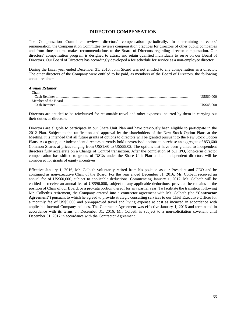## **DIRECTOR COMPENSATION**

The Compensation Committee reviews directors' compensation periodically. In determining directors' remuneration, the Compensation Committee reviews compensation practices for directors of other public companies and from time to time makes recommendations to the Board of Directors regarding director compensation. Our directors' compensation program is designed to attract and retain qualified individuals to serve on our Board of Directors. Our Board of Directors has accordingly developed a fee schedule for service as a non-employee director.

During the fiscal year ended December 31, 2016, John Sicard was not entitled to any compensation as a director. The other directors of the Company were entitled to be paid, as members of the Board of Directors, the following annual retainers:

#### *Annual Retainer*

| Chair               |            |
|---------------------|------------|
| Cash Retainer       | US\$60,000 |
| Member of the Board |            |
| Cash Retainer       | US\$48,000 |

Directors are entitled to be reimbursed for reasonable travel and other expenses incurred by them in carrying out their duties as directors.

Directors are eligible to participate in our Share Unit Plan and have previously been eligible to participate in the 2012 Plan. Subject to the ratification and approval by the shareholders of the New Stock Option Plans at the Meeting, it is intended that all future grants of options to directors will be granted pursuant to the New Stock Option Plans. As a group, our independent directors currently hold unexercised options to purchase an aggregate of 853,600 Common Shares at prices ranging from US\$1.60 to US\$55.02. The options that have been granted to independent directors fully accelerate on a Change of Control transaction. After the completion of our IPO, long-term director compensation has shifted to grants of DSUs under the Share Unit Plan and all independent directors will be considered for grants of equity incentives.

Effective January 1, 2016, Mr. Colbeth voluntarily retired from his position as our President and CEO and he continued as non-executive Chair of the Board. For the year ended December 31, 2016, Mr. Colbeth received an annual fee of US\$60,000, subject to applicable deductions. Commencing January 1, 2017, Mr. Colbeth will be entitled to receive an annual fee of US\$96,000, subject to any applicable deductions, provided he remains in the position of Chair of our Board, or a pro-rata portion thereof for any partial year. To facilitate the transition following Mr. Colbeth's retirement, the Company entered into a contractor agreement with Mr. Colbeth (the "**Contractor Agreement**") pursuant to which he agreed to provide strategic consulting services to our Chief Executive Officer for a monthly fee of US\$5,000 and pre-approved travel and living expense at cost as incurred in accordance with applicable internal Company policies. The Contractor Agreement was effective January 1, 2016 and terminated in accordance with its terms on December 31, 2016. Mr. Colbeth is subject to a non-solicitation covenant until December 31, 2017 in accordance with the Contractor Agreement.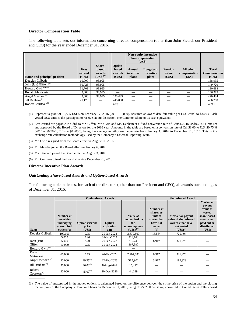#### **Director Compensation Table**

The following table sets out information concerning director compensation (other than John Sicard, our President and CEO) for the year ended December 31, 2016.

|                                          |                                 |                                                   |                                      | Non-equity incentive<br>plan compensation<br>(US\$) |                                 |                                   |                                     |                                               |
|------------------------------------------|---------------------------------|---------------------------------------------------|--------------------------------------|-----------------------------------------------------|---------------------------------|-----------------------------------|-------------------------------------|-----------------------------------------------|
| Name and principal position              | <b>Fees</b><br>earned<br>(US\$) | Share-<br><b>based</b><br>awards<br>$(US$)^{(1)}$ | Option-<br>based<br>awards<br>(US\$) | Annual<br>incentive<br>plans                        | Long-term<br>incentive<br>plans | <b>Pension</b><br>value<br>(US\$) | All other<br>compensation<br>(US\$) | <b>Total</b><br><b>Compensation</b><br>(US\$) |
| Douglas Colbeth                          | 60,000                          | 98,995                                            | --                                   |                                                     | $\sim$                          | $\sim$                            |                                     | 158,995                                       |
| John (Ian) Giffen $(2)$                  | 50.725                          | 98.995                                            |                                      |                                                     |                                 |                                   |                                     | 149,720                                       |
| Howard $\overline{\text{Gwin}}^{(2)(3)}$ | 31,703                          | 98.995                                            |                                      |                                                     |                                 |                                   |                                     | 130,698                                       |
| Ronald Matricaria                        | 48,000                          | 98.995                                            | $\sim$                               |                                                     |                                 | --                                |                                     | 146,995                                       |
| Angel Mendez <sup>(4)</sup>              | 48,000                          | 98.995                                            | 273,439                              |                                                     |                                 |                                   |                                     | 420,434                                       |
| Jill Denham <sup><math>(5)</math></sup>  | 21,178                          |                                                   | 445,080                              |                                                     |                                 |                                   |                                     | 466,258                                       |
| Robert Courteau <sup>(6)</sup>           | $-$                             |                                                   | 439,131                              | --                                                  | __                              | --                                |                                     | 439,131                                       |

(1) Represent a grant of 19,585 DSUs on February 17, 2016 (2015 – 9,000). Assumes an award date fair value per DSU equal to \$34.93. Each vested DSU entitles the participant to receive, at our discretion, one Common Share or its cash equivalent.

(2) Fees earned are payable in Cdn\$ to Mr. Giffen, Mr. Gwin and Ms. Denham at a fixed conversion rate of Cdn\$1.00 to US\$0.7142 a rate set and approved by the Board of Directors for the 2016 year. Amounts in the table are based on a conversion rate of Cdn\$1.00 to U.S. \$0.7548  $(2015 - $0.7821; 2014 - $0.9055)$ , being the average monthly exchange rate from January 1, 2016 to December 31, 2016. This is the exchange rate calculation methodology used by the Company's External Reporting Team.

(3) Mr. Gwin resigned from the Board effective August 11, 2016.

(4) Mr. Mendez joined the Board effective January 6, 2016.

(5) Ms. Denham joined the Board effective August 3, 2016.

(6) Mr. Courteau joined the Board effective December 20, 2016.

#### **Director Incentive Plan Awards**

#### *Outstanding Share-based Awards and Option-based Awards*

The following table indicates, for each of the directors (other than our President and CEO), all awards outstanding as of December 31, 2016.

|                                       |                                                                    |                                           | <b>Option-based Awards</b>   | <b>Share-based Award</b>                                              |                                                                                 |                                                                                                    |                                                                                                                         |
|---------------------------------------|--------------------------------------------------------------------|-------------------------------------------|------------------------------|-----------------------------------------------------------------------|---------------------------------------------------------------------------------|----------------------------------------------------------------------------------------------------|-------------------------------------------------------------------------------------------------------------------------|
| <b>Name</b>                           | Number of<br>securities<br>underlying<br>unexercised<br>options(f) | <b>Option exercise</b><br>price<br>(US\$) | Option<br>expiration<br>date | Value of<br>unexercised in-<br>the-<br>money options<br>$(USS)^{(1)}$ | Number of<br>shares or<br>units of<br>shares that<br>have not<br>vested<br>(# ) | <b>Market or payout</b><br>value of share-based<br>awards that have<br>not vested<br>$(US$)^{(2)}$ | Market or<br>payout<br>value of<br>vested<br>share-based<br>awards not<br>paid out or<br>distributed<br>( <b>US\$</b> ) |
| Douglas Colbeth                       | 100,000                                                            | 9.75                                      | 29-Jan-2024                  | 3,679,800                                                             | 15,584                                                                          | 725,404                                                                                            |                                                                                                                         |
| John (Ian)                            | 5,000<br>5,000                                                     | 3.20<br>3.20                              | 31-Jan-2022<br>29-Jan-2023   | 216,740<br>216,740                                                    | 6,917                                                                           | 321,973                                                                                            |                                                                                                                         |
| Giffen                                | 10.000                                                             | 9.75                                      | 29-Jan-2024                  | 367,980                                                               |                                                                                 |                                                                                                    |                                                                                                                         |
| Howard $\overline{\text{Gwin}}^{(3)}$ |                                                                    |                                           |                              |                                                                       |                                                                                 |                                                                                                    |                                                                                                                         |
| Ronald<br>Matricaria                  | 60,000                                                             | 9.75                                      | 26-Feb-2024                  | 2,207,880                                                             | 6,917                                                                           | 321,973                                                                                            |                                                                                                                         |
| Angel Mendez <sup>(4)</sup>           | 30,000                                                             | $29.35^{(5)}$                             | 22-Feb-2026                  | 515,901                                                               | 3,917                                                                           | 182,329                                                                                            |                                                                                                                         |
| Jill Denham $(6)$                     | 30,000                                                             | $46.03^{(7)}$                             | 8-Aug-2026                   | 15,417                                                                |                                                                                 |                                                                                                    |                                                                                                                         |
| Robert<br>Courteau <sup>(8)</sup>     | 30,000                                                             | $45.07^{(9)}$                             | 20-Dec-2026                  | 44,239                                                                |                                                                                 |                                                                                                    |                                                                                                                         |
|                                       |                                                                    |                                           |                              |                                                                       |                                                                                 |                                                                                                    |                                                                                                                         |

<sup>(1)</sup> The value of unexercised in-the-money options is calculated based on the difference between the strike price of the option and the closing market price of the Company's Common Shares on December 31, 2016, being Cdn\$62.50 per share, converted to United States dollars based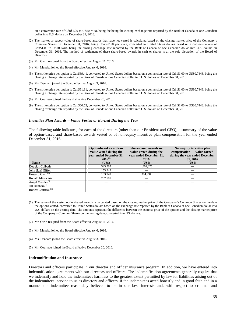on a conversion rate of Cdn\$1.00 to US\$0.7448, being the being the closing exchange rate reported by the Bank of Canada of one Canadian dollar into U.S. dollars on December 31, 2016.

- (2) The market or payout value of share-based awards that have not vested is calculated based on the closing market price of the Company's Common Shares on December 31, 2016, being Cdn\$62.50 per share, converted to United States dollars based on a conversion rate of Cdn\$1.00 to US\$0.7448, being the closing exchange rate reported by the Bank of Canada of one Canadian dollar into U.S. dollars on December 31, 2016. The method of settlement of these share-based awards in cash or shares is at the sole discretion of the Board of Directors.
- (3) Mr. Gwin resigned from the Board effective August 11, 2016.
- (4) Mr. Mendez joined the Board effective January 6, 2016.
- (5) The strike price per option is Cdn\$39.41, converted to United States dollars based on a conversion rate of Cdn\$1.00 to US\$0.7448, being the closing exchange rate reported by the Bank of Canada of one Canadian dollar into U.S. dollars on December 31, 2016.
- (6) Ms. Denham joined the Board effective August 3, 2016.
- (7) The strike price per option is Cdn\$61.81, converted to United States dollars based on a conversion rate of Cdn\$1.00 to US\$0.7448, being the closing exchange rate reported by the Bank of Canada of one Canadian dollar into U.S. dollars on December 31, 2016.
- (8) Mr. Courteau joined the Board effective December 20, 2016.
- (9) The strike price per option is Cdn\$60.52, converted to United States dollars based on a conversion rate of Cdn\$1.00 to US\$0.7448, being the closing exchange rate reported by the Bank of Canada of one Canadian dollar into U.S. dollars on December 31, 2016.

#### *Incentive Plan Awards – Value Vested or Earned During the Year*

The following table indicates, for each of the directors (other than our President and CEO), a summary of the value of option-based and share-based awards vested or of non-equity incentive plan compensation for the year ended December 31, 2016.

|                                         | Option-based awards —<br>Value vested during the<br>vear ended December 31, | Share-based awards —<br>Value vested during the<br>vear ended December 31, | Non-equity incentive plan<br>compensation — Value earned<br>during the year ended December |  |
|-----------------------------------------|-----------------------------------------------------------------------------|----------------------------------------------------------------------------|--------------------------------------------------------------------------------------------|--|
|                                         | $2016^{(1)}$                                                                | 2016                                                                       | 31, 2016                                                                                   |  |
| <b>Name</b>                             | (US\$)                                                                      | (US\$)                                                                     | (US\$)                                                                                     |  |
| Douglas Colbeth                         | 593,793                                                                     | 1,302,025                                                                  |                                                                                            |  |
| John (Ian) Giffen                       | 153,949                                                                     |                                                                            |                                                                                            |  |
| Howard $Gwin^{(2)}$                     | 153,949                                                                     | 314,934                                                                    |                                                                                            |  |
| Ronald Matricaria                       | 287,501                                                                     |                                                                            |                                                                                            |  |
| Angel Mendez <sup>(3)</sup>             |                                                                             |                                                                            |                                                                                            |  |
| Jill Denham <sup><math>(4)</math></sup> |                                                                             |                                                                            |                                                                                            |  |
| Robert Courteau <sup>(5)</sup>          |                                                                             |                                                                            |                                                                                            |  |

- (1) The value of the vested option-based awards is calculated based on the closing market price of the Company's Common Shares on the date the options vested, converted to United States dollars based on the exchange rate reported by the Bank of Canada of one Canadian dollar into U.S. dollars on the vesting date. The amounts represent the difference between the exercise price of the options and the closing market price of the Company's Common Shares on the vesting date, converted into US. dollars.
- (2) Mr. Gwin resigned from the Board effective August 11, 2016.
- (3) Mr. Mendez joined the Board effective January 6, 2016.
- (4) Ms. Denham joined the Board effective August 3, 2016.
- (5) Mr. Courteau joined the Board effective December 20, 2016.

#### **Indemnification and Insurance**

 $\overline{\phantom{a}}$  . The contract of  $\overline{\phantom{a}}$ 

Directors and officers participate in our director and officer insurance program. In addition, we have entered into indemnification agreements with our directors and officers. The indemnification agreements generally require that we indemnify and hold the indemnitees harmless to the greatest extent permitted by law for liabilities arising out of the indemnitees' service to us as directors and officers, if the indemnitees acted honestly and in good faith and in a manner the indemnitee reasonably believed to be in our best interests and, with respect to criminal and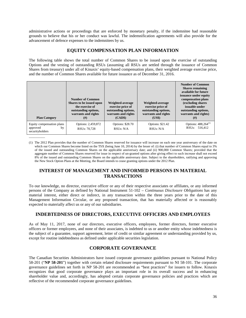administrative actions or proceedings that are enforced by monetary penalty, if the indemnitee had reasonable grounds to believe that his or her conduct was lawful. The indemnification agreements will also provide for the advancement of defence expenses to the indemnitees by us.

# **EQUITY COMPENSATION PLAN INFORMATION**

The following table shows the total number of Common Shares to be issued upon the exercise of outstanding Options and the vesting of outstanding RSUs (assuming all RSUs are settled through the issuance of Common Shares from treasury) under all of Kinaxis' equity-based compensation plans, their weighted average exercise price, and the number of Common Shares available for future issuance as of December 31, 2016.

| <b>Plan Category</b>                                           | <b>Number of Common</b><br>Shares to be issued upon<br>the exercise of<br>outstanding options,<br>warrants and rights<br>$^{(#)}$ | Weighted-average<br>exercise price of<br>outstanding options,<br>warrants and rights<br>(CAD\$) | Weighted-average<br>exercise price of<br>outstanding options,<br>warrants and rights<br>(US\$) | <b>Number of Common</b><br><b>Shares remaining</b><br>available for future<br>issuance under equity<br>compensation plans<br>(excluding shares)<br>issuable under<br>outstanding options,<br>warrants and rights)<br>(# ) |
|----------------------------------------------------------------|-----------------------------------------------------------------------------------------------------------------------------------|-------------------------------------------------------------------------------------------------|------------------------------------------------------------------------------------------------|---------------------------------------------------------------------------------------------------------------------------------------------------------------------------------------------------------------------------|
| Equity compensation plans<br>approved<br>by<br>securityholders | Options: 2,459,872<br>RSU <sub>s</sub> : 70,728                                                                                   | <b>Options: \$28.70</b><br>RSUs: N/A                                                            | Options: \$21.42<br>RSUs: N/A                                                                  | Options: 488,264 <sup>(1)</sup><br>RSUs: 516,412                                                                                                                                                                          |

(1) The 2012 Plan provides that the number of Common Shares reserved for issuance will increase on each one year anniversary of the date on which our Common Shares become listed on the TSX (being June 10, 2014) by the lesser of: (i) that number of Common Shares equal to 3% of the issued and outstanding Common Shares on the applicable anniversary date; and (ii) 900,000 Common Shares; provided that the aggregate number of Common Shares reserved for issue in respect of un-granted options after giving effect to such increase shall not exceed 8% of the issued and outstanding Common Shares on the applicable anniversary date. Subject to the shareholders, ratifying and approving the New Stock Option Plans at the Meeting, the Board intends to cease granting options under the 2012 Plan.

 $\overline{\phantom{a}}$ 

# **INTEREST OF MANAGEMENT AND INFORMED PERSONS IN MATERIAL TRANSACTIONS**

To our knowledge, no director, executive officer or any of their respective associates or affiliates, or any informed persons of the Company as defined by National Instrument 51-102 – *Continuous Disclosure Obligations* has any material interest, either direct or indirect, in any transaction within the three years prior to the date of this Management Information Circular, or any proposed transaction, that has materially affected or is reasonably expected to materially affect us or any of our subsidiaries.

# **INDEBTEDNESS OF DIRECTORS, EXECUTIVE OFFICERS AND EMPLOYEES**

As of May 11, 2017, none of our directors, executive officers, employees, former directors, former executive officers or former employees, and none of their associates, is indebted to us or another entity whose indebtedness is the subject of a guarantee, support agreement, letter of credit or similar agreement or understanding provided by us, except for routine indebtedness as defined under applicable securities legislation.

# **CORPORATE GOVERNANCE**

The Canadian Securities Administrators have issued corporate governance guidelines pursuant to National Policy 58-201 ("**NP 58-201**") together with certain related disclosure requirements pursuant to NI 58-101. The corporate governance guidelines set forth in NP 58-201 are recommended as "best practices" for issuers to follow. Kinaxis recognizes that good corporate governance plays an important role in its overall success and in enhancing shareholder value and, accordingly, has adopted certain corporate governance policies and practices which are reflective of the recommended corporate governance guidelines.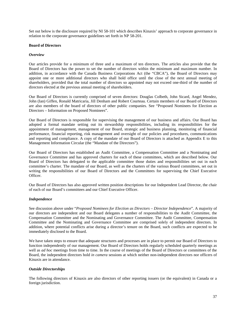Set out below is the disclosure required by NI 58-101 which describes Kinaxis' approach to corporate governance in relation to the corporate governance guidelines set forth in NP 58-201.

### **Board of Directors**

#### *Overview*

Our articles provide for a minimum of three and a maximum of ten directors. The articles also provide that the Board of Directors has the power to set the number of directors within the minimum and maximum number. In addition, in accordance with the Canada Business Corporations Act (the "CBCA"), the Board of Directors may appoint one or more additional directors who shall hold office until the close of the next annual meeting of shareholders, provided that the total number of directors so appointed may not exceed one-third of the number of directors elected at the previous annual meeting of shareholders.

Our Board of Directors is currently comprised of seven directors: Douglas Colbeth, John Sicard, Angel Mendez, John (Ian) Giffen, Ronald Matricaria, Jill Denham and Robert Courteau. Certain members of our Board of Directors are also members of the board of directors of other public companies. See "Proposed Nominees for Election as Directors – Information on Proposed Nominees".

Our Board of Directors is responsible for supervising the management of our business and affairs. Our Board has adopted a formal mandate setting out its stewardship responsibilities, including its responsibilities for the appointment of management, management of our Board, strategic and business planning, monitoring of financial performance, financial reporting, risk management and oversight of our policies and procedures, communications and reporting and compliance. A copy of the mandate of our Board of Directors is attached as Appendix E to this Management Information Circular (the "Mandate of the Directors").

Our Board of Directors has established an Audit Committee, a Compensation Committee and a Nominating and Governance Committee and has approved charters for each of these committees, which are described below. Our Board of Directors has delegated to the applicable committee those duties and responsibilities set out in each committee's charter. The mandate of our Board, as well as the charters of the various Board committees, set out in writing the responsibilities of our Board of Directors and the Committees for supervising the Chief Executive **Officer** 

Our Board of Directors has also approved written position descriptions for our Independent Lead Director, the chair of each of our Board's committees and our Chief Executive Officer.

## *Independence*

See discussion above under "*Proposed Nominees for Election as Directors – Director Independence*". A majority of our directors are independent and our Board delegates a number of responsibilities to the Audit Committee, the Compensation Committee and the Nominating and Governance Committee. The Audit Committee, Compensation Committee and the Nominating and Governance Committee are comprised solely of independent directors. In addition, where potential conflicts arise during a director's tenure on the Board, such conflicts are expected to be immediately disclosed to the Board.

We have taken steps to ensure that adequate structures and processes are in place to permit our Board of Directors to function independently of our management. Our Board of Directors holds regularly scheduled quarterly meetings as well as *ad hoc* meetings from time to time. In the course of meetings of the Board of Directors or committees of the Board, the independent directors hold *in camera* sessions at which neither non-independent directors nor officers of Kinaxis are in attendance.

#### *Outside Directorships*

The following directors of Kinaxis are also directors of other reporting issuers (or the equivalent) in Canada or a foreign jurisdiction.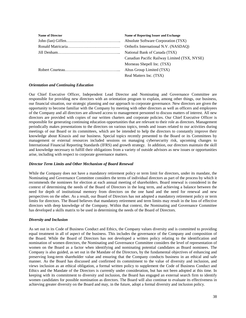| <b>Name of Director</b> | <b>Name of Reporting Issuer and Exchange</b> |
|-------------------------|----------------------------------------------|
|                         | Absolute Software Corporation (TSX)          |
|                         | Orthofix International N.V. (NASDAO)         |
|                         | National Bank of Canada (TSX)                |
|                         | Canadian Pacific Railway Limited (TSX, NYSE) |
|                         | Morneau Shepell Inc. (TSX)                   |
|                         | Altus Group Limited (TSX)                    |
|                         | Real Matters Inc. (TSX)                      |

### *Orientation and Continuing Education*

Our Chief Executive Officer, Independent Lead Director and Nominating and Governance Committee are responsible for providing new directors with an orientation program to explain, among other things, our business, our financial situation, our strategic planning and our approach to corporate governance. New directors are given the opportunity to become familiar with the Company by meeting with other directors as well as officers and employees of the Company and all directors are allowed access to management personnel to discuss matters of interest. All new directors are provided with copies of our written charters and corporate policies. Our Chief Executive Officer is responsible for generating continuing education opportunities that are relevant to their role as directors. Management periodically makes presentations to the directors on various topics, trends and issues related to our activities during meetings of our Board or its committees, which are be intended to help the directors to constantly improve their knowledge about Kinaxis and our business. Special topics recently presented to the Board or its Committees by management or external resources included sessions on managing cybersecurity risk, upcoming changes to International Financial Reporting Standards (IFRS) and growth strategy. In addition, our directors maintain the skill and knowledge necessary to fulfill their obligations from a variety of outside advisors as new issues or opportunities arise, including with respect to corporate governance matters.

#### *Director Term Limits and Other Mechanism of Board Renewal*

While the Company does not have a mandatory retirement policy or term limit for directors, under its mandate, the Nominating and Governance Committee considers the terms of individual directors as part of the process by which it recommends the nominees for election at each annual meeting of shareholders. Board renewal is considered in the context of determining the needs of the Board of Directors in the long term, and achieving a balance between the need for depth of institutional memory from directors on the one hand and the need for renewal and new perspectives on the other. As a result, our Board of Directors has not adopted a mandatory retirement policy or term limits for directors. The Board believes that mandatory retirement and term limits may result in the loss of effective directors with deep knowledge of the Company. Within that context, the Nominating and Governance Committee has developed a skills matrix to be used in determining the needs of the Board of Directors.

#### *Diversity and Inclusion*

As set out in its Code of Business Conduct and Ethics, the Company values diversity and is committed to providing equal treatment in all of aspect of the business. This includes the governance of the Company and composition of the Board. While the Board of Directors has not developed a written policy relating to the identification and nomination of women directors, the Nominating and Governance Committee considers the level of representation of women on the Board as a factor when identifying and nominating potential candidates as Board nominees. The Company is also guided, as set out in the Mandate of the Directors, by the fundamental objectives of enhancing and preserving long-term shareholder value and ensuring that the Company conducts business in an ethical and safe manner. As the Board has discussed and confirmed its commitment to the value of diversity and inclusion, and views inclusion as an ethical obligation, a formal written policy to supplement the Code of Business Conduct and Ethics and the Mandate of the Directors is currently under consideration, but has not been adopted at this time. In keeping with its commitment to diversity and inclusion, the Board has engaged an external search firm to identify women candidates for possible nomination as directors. The Board will also continue to evaluate its effectiveness in achieving greater diversity on the Board and may, in the future, adopt a formal diversity and inclusion policy.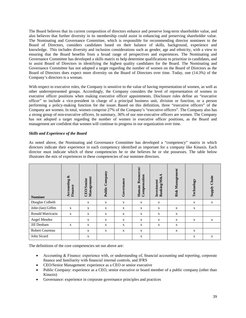The Board believes that its current composition of directors enhance and preserve long-term shareholder value, and also believes that further diversity in its membership could assist in enhancing and preserving shareholder value. The Nominating and Governance Committee, which is responsible for recommending director nominees to the Board of Directors, considers candidates based on their balance of skills, background, experience and knowledge. This includes diversity and inclusion considerations such as gender, age and ethnicity, with a view to ensuring that the Board benefits from a broad range of perspectives and experiences. The Nominating and Governance Committee has developed a skills matrix to help determine qualifications to prioritize in candidates, and to assist Board of Directors in identifying the highest quality candidates for the Board. The Nominating and Governance Committee has not adopted a target regarding the number of women on the Board of Directors as the Board of Directors does expect more diversity on the Board of Directors over time. Today, one (14.3%) of the Company's directors is a woman.

With respect to executive roles, the Company is sensitive to the value of having representation of women, as well as other underrepresented groups. Accordingly, the Company considers the level of representation of women in executive officer positions when making executive officer appointments. Disclosure rules define an "executive officer" to include a vice-president in charge of a principal business unit, division or function, or a person performing a policy-making function for the issuer. Based on this definition, three "executive officers" of the Company are women. In total, women comprise 27% of the Company's "executive officers". The Company also has a strong group of non-executive officers. In summary, 36% of our non-executive officers are women. The Company has not adopted a target regarding the number of women in executive officer positions, as the Board and management are confident that women will continue to progress in our organization over time.

## *Skills and Experience of the Board*

As noted above, the Nominating and Governance Committee has developed a "competency" matrix in which directors indicate their experience in each competency identified as important for a company like Kinaxis. Each director must indicate which of these competencies he or she believes he or she possesses. The table below illustrates the mix of experiences in these competencies of our nominee directors.

| <b>Nominee</b>         | త<br>Accounting<br>Finance | Management<br><b>CEO/Senior</b> | Public Company | Governance   | Resources/<br>Compensation<br>Human | $\&\mathbf{A}$<br>Investment<br><b>Banking/M</b> | Risk Management | Technology  | Chain<br><b><i><u>Alddns</u></i></b> |
|------------------------|----------------------------|---------------------------------|----------------|--------------|-------------------------------------|--------------------------------------------------|-----------------|-------------|--------------------------------------|
| Douglas Colbeth        |                            | $\mathbf X$                     | X              | $\mathbf X$  | $\mathbf X$                         | $\mathbf X$                                      |                 | X           | $\mathbf X$                          |
| John (Ian) Giffen      | $\mathbf{x}$               | X                               | X              | X            | X                                   | X                                                | X               | X           |                                      |
| Ronald Matricaria      | X                          | $\mathbf X$                     | X              | $\mathbf X$  | $\mathbf X$                         | $\mathbf X$                                      | $\mathbf X$     |             |                                      |
| Angel Mendez           |                            | $\mathbf X$                     | X              | $\mathbf X$  | $\mathbf X$                         | X                                                | X               | X           | $\mathbf X$                          |
| Jill Denham            | $\mathbf x$                | $\mathbf X$                     | X              | $\mathbf{X}$ | X                                   | $\mathbf{X}$                                     | X               |             |                                      |
| <b>Robert Courteau</b> |                            | $\mathbf X$                     | $\mathbf X$    | $\mathbf X$  | $\mathbf X$                         |                                                  | X               | $\mathbf X$ |                                      |
| John Sicard            |                            | $\mathbf X$                     |                |              | X                                   |                                                  |                 | X           | $\mathbf X$                          |

The definitions of the core competencies set out above are:

- Accounting & Finance: experience with, or understanding of, financial accounting and reporting, corporate finance and familiarity with financial internal controls, and IFRS
- CEO/Senior Management: experience as a CEO or senior executive
- Public Company: experience as a CEO, senior executive or board member of a public company (other than Kinaxis)
- Governance: experience in corporate governance principles and practices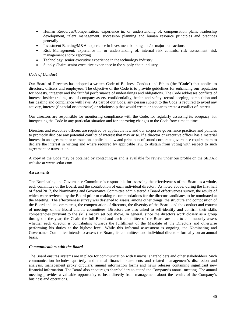- Human Resources/Compensation: experience in, or understanding of, compensation plans, leadership development, talent management, succession planning and human resource principles and practices generally
- Investment Banking/M&A: experience in investment banking and/or major transactions
- Risk Management: experience in, or understanding of, internal risk controls, risk assessment, risk management and/or reporting
- Technology: senior executive experience in the technology industry
- Supply Chain: senior executive experience in the supply chain industry

### *Code of Conduct*

Our Board of Directors has adopted a written Code of Business Conduct and Ethics (the "**Code**") that applies to directors, officers and employees. The objective of the Code is to provide guidelines for enhancing our reputation for honesty, integrity and the faithful performance of undertakings and obligations. The Code addresses conflicts of interest, insider trading, use of company assets, confidentiality, health and safety, record-keeping, competition and fair dealing and compliance with laws. As part of our Code, any person subject to the Code is required to avoid any activity, interest (financial or otherwise) or relationship that would create or appear to create a conflict of interest.

Our directors are responsible for monitoring compliance with the Code, for regularly assessing its adequacy, for interpreting the Code in any particular situation and for approving changes to the Code from time to time.

Directors and executive officers are required by applicable law and our corporate governance practices and policies to promptly disclose any potential conflict of interest that may arise. If a director or executive officer has a material interest in an agreement or transaction, applicable law and principles of sound corporate governance require them to declare the interest in writing and where required by applicable law, to abstain from voting with respect to such agreement or transaction.

A copy of the Code may be obtained by contacting us and is available for review under our profile on the SEDAR website at www.sedar.com.

#### *Assessments*

The Nominating and Governance Committee is responsible for assessing the effectiveness of the Board as a whole, each committee of the Board, and the contribution of each individual director. As noted above, during the first half of fiscal 2017, the Nominating and Governance Committee administered a Board effectiveness survey, the results of which were reviewed by the Board prior to making recommendations for the director candidates to be nominated at the Meeting. The effectiveness survey was designed to assess, among other things, the structure and composition of the Board and its committees, the compensation of directors, the diversity of the Board, and the conduct and content of meetings of the Board and its committees. Directors are also asked to self-identify and confirm their skills competencies pursuant to the skills matrix set out above. In general, since the directors work closely as a group throughout the year, the Chair, the full Board and each committee of the Board are able to continuously assess whether each director is contributing towards the fulfillment of the Mandate of the Directors and otherwise performing his duties at the highest level. While this informal assessment is ongoing, the Nominating and Governance Committee intends to assess the Board, its committees and individual directors formally on an annual basis.

#### *Communications with the Board*

The Board ensures systems are in place for communication with Kinaxis' shareholders and other stakeholders. Such communication includes quarterly and annual financial statements and related management's discussion and analysis, management proxy circulars, annual information forms and news releases containing significant new financial information. The Board also encourages shareholders to attend the Company's annual meeting. The annual meeting provides a valuable opportunity to hear directly from management about the results of the Company's business and operations.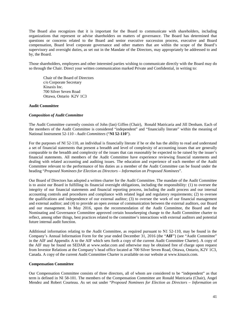The Board also recognizes that it is important for the Board to communicate with shareholders, including organizations that represent or advise shareholders on matters of governance. The Board has determined that questions or concerns related to the Board and senior executive succession process, executive and Board compensation, Board level corporate governance and other matters that are within the scope of the Board's supervisory and oversight duties, as set out in the Mandate of the Directors, may appropriately be addressed to and by, the Board.

Those shareholders, employees and other interested parties wishing to communicate directly with the Board may do so through the Chair. Direct your written communication marked Private and Confidential, in writing to:

Chair of the Board of Directors c/o Corporate Secretary Kinaxis Inc. 700 Silver Seven Road Ottawa, Ontario K2V 1C3

#### **Audit Committee**

#### *Composition of Audit Committee*

The Audit Committee currently consists of John (Ian) Giffen (Chair), Ronald Matricaria and Jill Denham. Each of the members of the Audit Committee is considered "independent" and "financially literate" within the meaning of National Instrument 52-110 - *Audit Committees* ("**NI 52-110**").

For the purposes of NI 52-110, an individual is financially literate if he or she has the ability to read and understand a set of financial statements that present a breadth and level of complexity of accounting issues that are generally comparable to the breadth and complexity of the issues that can reasonably be expected to be raised by the issuer's financial statements. All members of the Audit Committee have experience reviewing financial statements and dealing with related accounting and auditing issues. The education and experience of each member of the Audit Committee relevant to the performance of his duties as a member of the Audit Committee can be found under the heading "*Proposed Nominees for Election as Directors – Information on Proposed Nominees*".

Our Board of Directors has adopted a written charter for the Audit Committee. The mandate of the Audit Committee is to assist our Board in fulfilling its financial oversight obligations, including the responsibility: (1) to oversee the integrity of our financial statements and financial reporting process, including the audit process and our internal accounting controls and procedures and compliance with related legal and regulatory requirements; (2) to oversee the qualifications and independence of our external auditor; (3) to oversee the work of our financial management and external auditor; and (4) to provide an open avenue of communication between the external auditors, our Board and our management. In May 2016, upon the recommendation of the Audit Committee, the Board and the Nominating and Governance Committee approved certain housekeeping change to the Audit Committee charter to reflect, among other things, best practices related to the committee's interactions with external auditors and potential future internal audit function.

Additional information relating to the Audit Committee, as required pursuant to N1 52-110, may be found in the Company's Annual Information Form for the year ended December 31, 2016 (the "**AIF**") (see "Audit Committee" in the AIF and Appendix A to the AIF which sets forth a copy of the current Audit Committee Charter). A copy of the AIF may be found on SEDAR at www.sedar.com and otherwise may be obtained free of charge upon request from Investor Relations at the Company's head office located at 700 Silver Seven Road, Ottawa, Ontario, K2V 1C3, Canada. A copy of the current Audit Committee Charter is available on our website at www.kinaxis.com.

#### **Compensation Committee**

Our Compensation Committee consists of three directors, all of whom are considered to be "independent" as that term is defined in NI 58-101. The members of the Compensation Committee are Ronald Matricaria (Chair), Angel Mendez and Robert Courteau. As set out under "*Proposed Nominees for Election as Directors – Information on*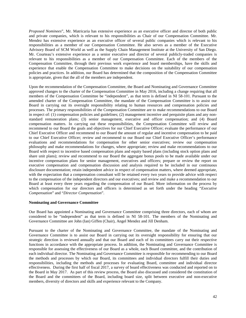*Proposed Nominees*", Mr. Matricaria has extensive experience as an executive officer and director of both public and private companies, which is relevant to his responsibilities as Chair of our Compensation Committee. Mr. Mendez has extensive experience as an executive officer of several public companies which is relevant to his responsibilities as a member of our Compensation Committee. He also serves as a member of the Executive Advisory Board of SCM World as well as the Supply Chain Management Institute at the University of San Diego. Mr. Courteau's extensive experience as a senior executive and director of several publicly-traded companies is relevant to his responsibilities as a member of our Compensation Committee. Each of the members of the Compensation Committee, through their previous work experience and board memberships, have the skills and experience that enable the Compensation Committee to make decisions on the suitability of our compensation policies and practices. In addition, our Board has determined that the composition of the Compensation Committee is appropriate, given that the all of the members are independent.

Upon the recommendation of the Compensation Committee, the Board and Nominating and Governance Committee approved changes to the charter of the Compensation Committee in May 2016, including a change requiring that all members of the Compensation Committee be "independent", as that term is defined in NI 58-101. Pursuant to the amended charter of the Compensation Committee, the mandate of the Compensation Committee is to assist our Board in carrying out its oversight responsibility relating to human resources and compensation policies and processes. The primary responsibilities of the Compensation Committee are to make recommendations to our Board in respect of: (1) compensation policies and guidelines; (2) management incentive and perquisite plans and any nonstandard remuneration plans; (3) senior management, executive and officer compensation; and (4) Board compensation matters. In carrying out these responsibilities, the Compensation Committee will review and recommend to our Board the goals and objectives for our Chief Executive Officer; evaluate the performance of our Chief Executive Officer and recommend to our Board the amount of regular and incentive compensation to be paid to our Chief Executive Officer; review and recommend to our Board our Chief Executive Officer's performance evaluations and recommendations for compensation for other senior executives; review our compensation philosophy and make recommendations for changes, where appropriate; review and make recommendations to our Board with respect to incentive based compensation plans and equity based plans (including stock option plans and share unit plans); review and recommend to our Board the aggregate bonus pools to be made available under our incentive compensation plans for senior management, executives and officers; prepare or review the report on executive compensation and compensation discussion and analysis required to be included in our continuous disclosure documentation; retain independent advice in respect of compensation matters, where deemed appropriate, with the expectation that a compensation consultant will be retained every two years to provide advice with respect to the compensation of the independent directors and our executives; and review and make a recommendation to our Board at least every three years regarding the compensation of our Board. More information on the process by which compensation for our directors and officers is determined as set forth under the heading "*Executive Compensation*" and "*Director Compensation*".

#### **Nominating and Governance Committee**

Our Board has appointed a Nominating and Governance Committee comprising three directors, each of whom are considered to be "independent" as that term is defined in NI 58-101. The members of the Nominating and Governance Committee are John (Ian) Giffen (Chair), Angel Mendez and Jill Denham.

Pursuant to the charter of the Nominating and Governance Committee, the mandate of the Nominating and Governance Committee is to assist our Board in carrying out its oversight responsibility for ensuring that our strategic direction is reviewed annually and that our Board and each of its committees carry out their respective functions in accordance with the appropriate process. In addition, the Nominating and Governance Committee is responsible for assessing the effectiveness of our Board as a whole, each Board committee, and the contribution of each individual director. The Nominating and Governance Committee is responsible for recommending to our Board the methods and processes by which our Board, its committees and individual directors fulfill their duties and responsibilities, including the methods and processes for evaluating Board, committee and individual director effectiveness. During the first half of fiscal 2017, a survey of board effectiveness was conducted and reported on to the Board in May 2017. As part of this review process, the Board also discussed and considered the constitution of the Board and the committees of the Board, including board size, split between executive and non-executive members, diversity of directors and skills and experience relevant to the Company.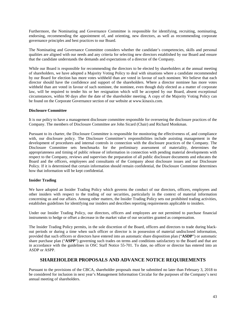Furthermore, the Nominating and Governance Committee is responsible for identifying, recruiting, nominating, endorsing, recommending the appointment of, and orienting, new directors, as well as recommending corporate governance principles and best practices to our Board.

The Nominating and Governance Committee considers whether the candidate's competencies, skills and personal qualities are aligned with our needs and any criteria for selecting new directors established by our Board and ensure that the candidate understands the demands and expectations of a director of the Company.

While our Board is responsible for recommending the directors to be elected by shareholders at the annual meeting of shareholders, we have adopted a Majority Voting Policy to deal with situations where a candidate recommended by our Board for election has more votes withheld than are voted in favour of such nominee. We believe that each director should have the confidence and support of the shareholders. Where a director nominee has more votes withheld than are voted in favour of such nominee, the nominee, even though duly elected as a matter of corporate law, will be required to tender his or her resignation which will be accepted by our Board, absent exceptional circumstances, within 90 days after the date of the shareholder meeting. A copy of the Majority Voting Policy can be found on the Corporate Governance section of our website at www.kinaxis.com.

### **Disclosure Committee**

It is our policy to have a management disclosure committee responsible for overseeing the disclosure practices of the Company. The members of Disclosure Committee are John Sicard (Chair) and Richard Monkman.

Pursuant to its charter, the Disclosure Committee is responsible for monitoring the effectiveness of, and compliance with, our disclosure policy. The Disclosure Committee's responsibilities include assisting management in the development of procedures and internal controls in connection with the disclosure practices of the Company. The Disclosure Committee sets benchmarks for the preliminary assessment of materiality, determines the appropriateness and timing of public release of information in connection with pending material developments with respect to the Company, reviews and supervises the preparation of all public disclosure documents and educates the Board and the officers, employees and consultants of the Company about disclosure issues and our Disclosure Policy. If it is determined that certain information should remain confidential, the Disclosure Committee determines how that information will be kept confidential.

#### **Insider Trading**

We have adopted an Insider Trading Policy which governs the conduct of our directors, officers, employees and other insiders with respect to the trading of our securities, particularly in the context of material information concerning us and our affairs. Among other matters, the Insider Trading Policy sets out prohibited trading activities, establishes guidelines for identifying our insiders and describes reporting requirements applicable to insiders.

Under our Insider Trading Policy, our directors, officers and employees are not permitted to purchase financial instruments to hedge or offset a decrease in the market value of our securities granted as compensation.

The Insider Trading Policy permits, in the sole discretion of the Board, officers and directors to trade during blackout periods or during a time when such officer or director is in possession of material undisclosed information, provided that such officers or directors have entered into an automatic share disposition plan ("**ASDP**") or automatic share purchase plan ("**ASPP**") governing such trades on terms and conditions satisfactory to the Board and that are in accordance with the guidelines in OSC Staff Notice 55-701. To date, no officer or director has entered into an ASDP or ASPP.

## **SHAREHOLDER PROPOSALS AND ADVANCE NOTICE REQUIREMENTS**

Pursuant to the provisions of the CBCA, shareholder proposals must be submitted no later than February 3, 2018 to be considered for inclusion in next year's Management Information Circular for the purposes of the Company's next annual meeting of shareholders.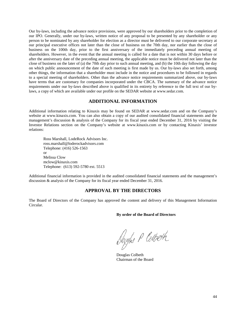Our by-laws, including the advance notice provisions, were approved by our shareholders prior to the completion of our IPO. Generally, under our by-laws, written notice of any proposal to be presented by any shareholder or any person to be nominated by any shareholder for election as a director must be delivered to our corporate secretary at our principal executive offices not later than the close of business on the 70th day, nor earlier than the close of business on the 100th day, prior to the first anniversary of the immediately preceding annual meeting of shareholders. However, in the event that the annual meeting is called for a date that is not within 30 days before or after the anniversary date of the preceding annual meeting, the applicable notice must be delivered not later than the close of business on the later of (a) the 70th day prior to such annual meeting, and (b) the 10th day following the day on which public announcement of the date of such meeting is first made by us. Our by-laws also set forth, among other things, the information that a shareholder must include in the notice and procedures to be followed in regards to a special meeting of shareholders. Other than the advance notice requirements summarized above, our by-laws have terms that are customary for companies incorporated under the CBCA. The summary of the advance notice requirements under our by-laws described above is qualified in its entirety by reference to the full text of our bylaws, a copy of which are available under our profile on the SEDAR website at www.sedar.com.

## **ADDITIONAL INFORMATION**

Additional information relating to Kinaxis may be found on SEDAR at www.sedar.com and on the Company's website at www.kinaxis.com. You can also obtain a copy of our audited consolidated financial statements and the management's discussion & analysis of the Company for its fiscal year ended December 31, 2016 by visiting the Investor Relations section on the Company's website at www.kinaxis.com or by contacting Kinaxis' investor relations:

Ross Marshall, LodeRock Advisors Inc. ross.marshall@loderockadvisors.com Telephone: (416) 526-1563 or Melissa Clow mclow@kinaxis.com Telephone: (613) 592-5780 ext. 5513

Additional financial information is provided in the audited consolidated financial statements and the management's discussion & analysis of the Company for its fiscal year ended December 31, 2016.

## **APPROVAL BY THE DIRECTORS**

The Board of Directors of the Company has approved the content and delivery of this Management Information Circular.

**By order of the Board of Directors** 

Dougles P Colbeth

Douglas Colbeth Chairman of the Board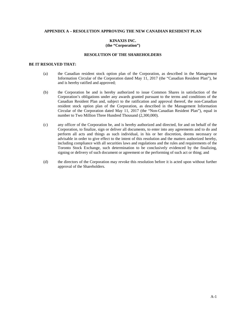## **APPENDIX A – RESOLUTION APPROVING THE NEW CANADIAN RESIDENT PLAN**

## **KINAXIS INC. (the "Corporation")**

#### **RESOLUTION OF THE SHAREHOLDERS**

## **BE IT RESOLVED THAT:**

- (a) the Canadian resident stock option plan of the Corporation, as described in the Management Information Circular of the Corporation dated May 11, 2017 (the "Canadian Resident Plan"), be and is hereby ratified and approved;
- (b) the Corporation be and is hereby authorized to issue Common Shares in satisfaction of the Corporation's obligations under any awards granted pursuant to the terms and conditions of the Canadian Resident Plan and, subject to the ratification and approval thereof, the non-Canadian resident stock option plan of the Corporation, as described in the Management Information Circular of the Corporation dated May 11, 2017 (the "Non-Canadian Resident Plan"), equal in number to Two Million Three Hundred Thousand (2,300,000).
- (c) any officer of the Corporation be, and is hereby authorized and directed, for and on behalf of the Corporation, to finalize, sign or deliver all documents, to enter into any agreements and to do and perform all acts and things as such individual, in his or her discretion, deems necessary or advisable in order to give effect to the intent of this resolution and the matters authorized hereby, including compliance with all securities laws and regulations and the rules and requirements of the Toronto Stock Exchange, such determination to be conclusively evidenced by the finalizing, signing or delivery of such document or agreement or the performing of such act or thing; and
- (d) the directors of the Corporation may revoke this resolution before it is acted upon without further approval of the Shareholders.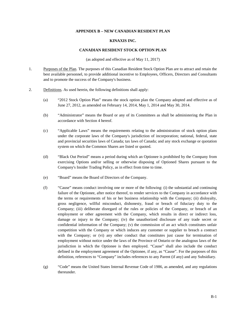### **APPENDIX B – NEW CANADIAN RESIDENT PLAN**

## **KINAXIS INC.**

#### **CANADIAN RESIDENT STOCK OPTION PLAN**

(as adopted and effective as of May 11, 2017)

- 1. Purposes of the Plan. The purposes of this Canadian Resident Stock Option Plan are to attract and retain the best available personnel, to provide additional incentive to Employees, Officers, Directors and Consultants and to promote the success of the Company's business.
- 2. Definitions. As used herein, the following definitions shall apply:
	- (a) "2012 Stock Option Plan" means the stock option plan the Company adopted and effective as of June 27, 2012, as amended on February 14, 2014, May 1, 2014 and May 30, 2014.
	- (b) "Administrator" means the Board or any of its Committees as shall be administering the Plan in accordance with Section 4 hereof.
	- (c) "Applicable Laws" means the requirements relating to the administration of stock option plans under the corporate laws of the Company's jurisdiction of incorporation; national, federal, state and provincial securities laws of Canada; tax laws of Canada; and any stock exchange or quotation system on which the Common Shares are listed or quoted.
	- (d) "Black Out Period" means a period during which an Optionee is prohibited by the Company from exercising Options and/or selling or otherwise disposing of Optioned Shares pursuant to the Company's Insider Trading Policy, as in effect from time to time.
	- (e) "Board" means the Board of Directors of the Company.
	- (f) "Cause" means conduct involving one or more of the following: (i) the substantial and continuing failure of the Optionee, after notice thereof, to render services to the Company in accordance with the terms or requirements of his or her business relationship with the Company; (ii) disloyalty, gross negligence, willful misconduct, dishonesty, fraud or breach of fiduciary duty to the Company; (iii) deliberate disregard of the rules or policies of the Company, or breach of an employment or other agreement with the Company, which results in direct or indirect loss, damage or injury to the Company; (iv) the unauthorized disclosure of any trade secret or confidential information of the Company; (v) the commission of an act which constitutes unfair competition with the Company or which induces any customer or supplier to breach a contract with the Company; or (vi) any other conduct that constitutes just cause for termination of employment without notice under the laws of the Province of Ontario or the analogous laws of the jurisdiction in which the Optionee is then employed. "Cause" shall also include the conduct defined in the employment agreement of the Optionee, if any, as "Cause". For the purposes of this definition, references to "Company" includes references to any Parent (if any) and any Subsidiary.
	- (g) "Code" means the United States Internal Revenue Code of 1986, as amended, and any regulations thereunder.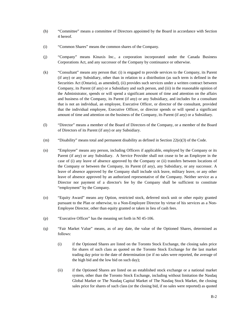- (h) "Committee" means a committee of Directors appointed by the Board in accordance with Section 4 hereof.
- (i) "Common Shares" means the common shares of the Company.
- (j) "Company" means Kinaxis Inc., a corporation incorporated under the Canada Business Corporations Act, and any successor of the Company by continuance or otherwise.
- (k) "Consultant" means any person that: (i) is engaged to provide services to the Company, its Parent (if any) or any Subsidiary, other than in relation to a distribution (as such term is defined in the Securities Act (Ontario), as amended), (ii) provides such services under a written contract between Company, its Parent (if any) or a Subsidiary and such person, and (iii) in the reasonable opinion of the Administrator, spends or will spend a significant amount of time and attention on the affairs and business of the Company, its Parent (if any) or any Subsidiary, and includes for a consultant that is not an individual, an employee, Executive Officer, or director of the consultant, provided that the individual employee, Executive Officer, or director spends or will spend a significant amount of time and attention on the business of the Company, its Parent (if any) or a Subsidiary.
- (l) "Director" means a member of the Board of Directors of the Company, or a member of the Board of Directors of its Parent (if any) or any Subsidiary.
- (m) "Disability" means total and permanent disability as defined in Section  $22(e)(3)$  of the Code.
- (n) "Employee" means any person, including Officers if applicable, employed by the Company or its Parent (if any) or any Subsidiary. A Service Provider shall not cease to be an Employee in the case of (i) any leave of absence approved by the Company or (ii) transfers between locations of the Company or between the Company, its Parent (if any), any Subsidiary, or any successor. A leave of absence approved by the Company shall include sick leave, military leave, or any other leave of absence approved by an authorized representative of the Company. Neither service as a Director nor payment of a director's fee by the Company shall be sufficient to constitute "employment" by the Company.
- (o) "Equity Award" means any Option, restricted stock, deferred stock unit or other equity granted pursuant to the Plan or otherwise, to a Non-Employee Director by virtue of his services as a Non-Employee Director, other than equity granted or taken in lieu of cash fees.
- (p) "Executive Officer" has the meaning set forth in NI 45-106.
- (q) "Fair Market Value" means, as of any date, the value of the Optioned Shares, determined as follows:
	- (i) if the Optioned Shares are listed on the Toronto Stock Exchange, the closing sales price for shares of such class as quoted on the Toronto Stock Exchange for the last market trading day prior to the date of determination (or if no sales were reported, the average of the high bid and the low bid on such day);
	- (ii) if the Optioned Shares are listed on an established stock exchange or a national market system, other than the Toronto Stock Exchange, including without limitation the Nasdaq Global Market or The Nasdaq Capital Market of The Nasdaq Stock Market, the closing sales price for shares of such class (or the closing bid, if no sales were reported) as quoted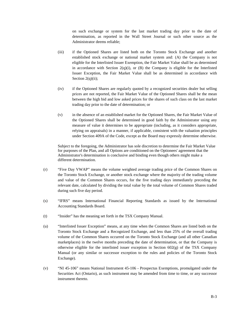on such exchange or system for the last market trading day prior to the date of determination, as reported in the Wall Street Journal or such other source as the Administrator deems reliable;

- (iii) if the Optioned Shares are listed both on the Toronto Stock Exchange and another established stock exchange or national market system and: (A) the Company is not eligible for the Interlisted Issuer Exemption, the Fair Market Value shall be as determined in accordance with Section  $2(q)(i)$ , or  $(B)$  the Company is eligible for the Interlisted Issuer Exception, the Fair Market Value shall be as determined in accordance with Section  $2(q)(ii)$ ;
- (iv) if the Optioned Shares are regularly quoted by a recognized securities dealer but selling prices are not reported, the Fair Market Value of the Optioned Shares shall be the mean between the high bid and low asked prices for the shares of such class on the last market trading day prior to the date of determination; or
- (v) in the absence of an established market for the Optioned Shares, the Fair Market Value of the Optioned Shares shall be determined in good faith by the Administrator using any measure of value it determines to be appropriate (including, as it considers appropriate, relying on appraisals) in a manner, if applicable, consistent with the valuation principles under Section 409A of the Code, except as the Board may expressly determine otherwise.

Subject to the foregoing, the Administrator has sole discretion to determine the Fair Market Value for purposes of the Plan, and all Options are conditioned on the Optionees' agreement that the Administrator's determination is conclusive and binding even though others might make a different determination.

- (r) "Five Day VWAP" means the volume weighted average trading price of the Common Shares on the Toronto Stock Exchange, or another stock exchange where the majority of the trading volume and value of the Common Shares occurs, for the five trading days immediately preceding the relevant date, calculated by dividing the total value by the total volume of Common Shares traded during such five day period.
- (s) "IFRS" means International Financial Reporting Standards as issued by the International Accounting Standards Board.
- (t) "Insider" has the meaning set forth in the TSX Company Manual.
- (u) "Interlisted Issuer Exception" means, at any time when the Common Shares are listed both on the Toronto Stock Exchange and a Recognized Exchange, and less than 25% of the overall trading volume of the Common Shares occurred on the Toronto Stock Exchange (and all other Canadian marketplaces) in the twelve months preceding the date of determination, or that the Company is otherwise eligible for the interlisted issuer exception in Section  $602(g)$  of the TSX Company Manual (or any similar or successor exception to the rules and policies of the Toronto Stock Exchange).
- (v) "NI 45-106" means National Instrument 45-106 Prospectus Exemptions, promulgated under the Securities Act (Ontario), as such instrument may be amended from time to time, or any successor instrument thereto.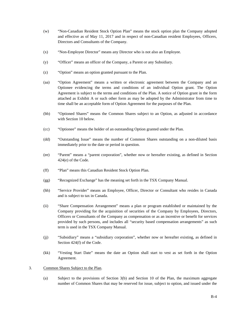- (w) "Non-Canadian Resident Stock Option Plan" means the stock option plan the Company adopted and effective as of May 11, 2017 and in respect of non-Canadian resident Employees, Officers, Directors and Consultants of the Company.
- (x) "Non-Employee Director" means any Director who is not also an Employee.
- (y) "Officer" means an officer of the Company, a Parent or any Subsidiary.
- (z) "Option" means an option granted pursuant to the Plan.
- (aa) "Option Agreement" means a written or electronic agreement between the Company and an Optionee evidencing the terms and conditions of an individual Option grant. The Option Agreement is subject to the terms and conditions of the Plan. A notice of Option grant in the form attached as Exhibit A or such other form as may be adopted by the Administrator from time to time shall be an acceptable form of Option Agreement for the purposes of the Plan.
- (bb) "Optioned Shares" means the Common Shares subject to an Option, as adjusted in accordance with Section 10 below.
- (cc) "Optionee" means the holder of an outstanding Option granted under the Plan.
- (dd) "Outstanding Issue" means the number of Common Shares outstanding on a non-diluted basis immediately prior to the date or period in question.
- (ee) "Parent" means a "parent corporation", whether now or hereafter existing, as defined in Section 424(e) of the Code.
- (ff) "Plan" means this Canadian Resident Stock Option Plan.
- (gg) "Recognized Exchange" has the meaning set forth in the TSX Company Manual.
- (hh) "Service Provider" means an Employee, Officer, Director or Consultant who resides in Canada and is subject to tax in Canada.
- (ii) "Share Compensation Arrangement" means a plan or program established or maintained by the Company providing for the acquisition of securities of the Company by Employees, Directors, Officers or Consultants of the Company as compensation or as an incentive or benefit for services provided by such persons, and includes all "security based compensation arrangements" as such term is used in the TSX Company Manual.
- (jj) "Subsidiary" means a "subsidiary corporation", whether now or hereafter existing, as defined in Section 424(f) of the Code.
- (kk) "Vesting Start Date" means the date an Option shall start to vest as set forth in the Option Agreement.
- 3. Common Shares Subject to the Plan.
	- (a) Subject to the provisions of Section 3(b) and Section 10 of the Plan, the maximum aggregate number of Common Shares that may be reserved for issue, subject to option, and issued under the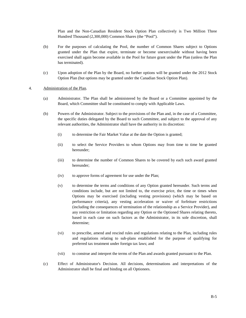Plan and the Non-Canadian Resident Stock Option Plan collectively is Two Million Three Hundred Thousand (2,300,000) Common Shares (the "Pool").

- (b) For the purposes of calculating the Pool, the number of Common Shares subject to Options granted under the Plan that expire, terminate or become unexercisable without having been exercised shall again become available in the Pool for future grant under the Plan (unless the Plan has terminated).
- (c) Upon adoption of the Plan by the Board, no further options will be granted under the 2012 Stock Option Plan (but options may be granted under the Canadian Stock Option Plan).

## 4. Administration of the Plan.

- (a) Administrator. The Plan shall be administered by the Board or a Committee appointed by the Board, which Committee shall be constituted to comply with Applicable Laws.
- (b) Powers of the Administrator. Subject to the provisions of the Plan and, in the case of a Committee, the specific duties delegated by the Board to such Committee, and subject to the approval of any relevant authorities, the Administrator shall have the authority in its discretion:
	- (i) to determine the Fair Market Value at the date the Option is granted;
	- (ii) to select the Service Providers to whom Options may from time to time be granted hereunder;
	- (iii) to determine the number of Common Shares to be covered by each such award granted hereunder;
	- (iv) to approve forms of agreement for use under the Plan;
	- (v) to determine the terms and conditions of any Option granted hereunder. Such terms and conditions include, but are not limited to, the exercise price, the time or times when Options may be exercised (including vesting provisions) (which may be based on performance criteria), any vesting acceleration or waiver of forfeiture restrictions (including the consequences of termination of the relationship as a Service Provider), and any restriction or limitation regarding any Option or the Optioned Shares relating thereto, based in each case on such factors as the Administrator, in its sole discretion, shall determine;
	- (vi) to prescribe, amend and rescind rules and regulations relating to the Plan, including rules and regulations relating to sub-plans established for the purpose of qualifying for preferred tax treatment under foreign tax laws; and
	- (vii) to construe and interpret the terms of the Plan and awards granted pursuant to the Plan.
- (c) Effect of Administrator's Decision. All decisions, determinations and interpretations of the Administrator shall be final and binding on all Optionees.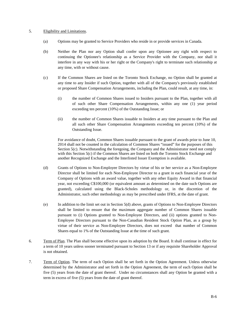## 5. Eligibility and Limitations.

- (a) Options may be granted to Service Providers who reside in or provide services in Canada.
- (b) Neither the Plan nor any Option shall confer upon any Optionee any right with respect to continuing the Optionee's relationship as a Service Provider with the Company, nor shall it interfere in any way with his or her right or the Company's right to terminate such relationship at any time, with or without cause.
- (c) If the Common Shares are listed on the Toronto Stock Exchange, no Option shall be granted at any time to any Insider if such Option, together with all of the Company's previously established or proposed Share Compensation Arrangements, including the Plan, could result, at any time, in:
	- (i) the number of Common Shares issued to Insiders pursuant to the Plan, together with all of such other Share Compensation Arrangements, within any one (1) year period exceeding ten percent (10%) of the Outstanding Issue; or
	- (ii) the number of Common Shares issuable to Insiders at any time pursuant to the Plan and all such other Share Compensation Arrangements exceeding ten percent (10%) of the Outstanding Issue.

For avoidance of doubt, Common Shares issuable pursuant to the grant of awards prior to June 10, 2014 shall not be counted in the calculation of Common Shares "issued" for the purposes of this Section 5(c). Notwithstanding the foregoing, the Company and the Administrator need not comply with this Section 5(c) if the Common Shares are listed on both the Toronto Stock Exchange and another Recognized Exchange and the Interlisted Issuer Exemption is available.

- (d) Grants of Options to Non-Employee Directors by virtue of his or her service as a Non-Employee Director shall be limited for each Non-Employee Director to a grant in each financial year of the Company of Options with an award value, together with any other Equity Award in that financial year, not exceeding C\$100,000 (or equivalent amount as determined on the date such Options are granted), calculated using the Black-Scholes methodology or, in the discretion of the Administrator, such other methodology as may be prescribed under IFRS, at the date of grant.
- (e) In addition to the limit set out in Section 5(d) above, grants of Options to Non-Employee Directors shall be limited to ensure that the maximum aggregate number of Common Shares issuable pursuant to (i) Options granted to Non-Employee Directors, and (ii) options granted to Non-Employee Directors pursuant to the Non-Canadian Resident Stock Option Plan, as a group by virtue of their service as Non-Employee Directors, does not exceed that number of Common Shares equal to 1% of the Outstanding Issue at the time of such grant.
- 6. Term of Plan. The Plan shall become effective upon its adoption by the Board. It shall continue in effect for a term of 10 years unless sooner terminated pursuant to Section 13 or if any requisite Shareholder Approval is not obtained.
- 7. Term of Option. The term of each Option shall be set forth in the Option Agreement. Unless otherwise determined by the Administrator and set forth in the Option Agreement, the term of each Option shall be five (5) years from the date of grant thereof. Under no circumstances shall any Option be granted with a term in excess of five (5) years from the date of grant thereof.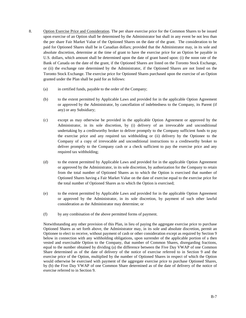- 8. Option Exercise Price and Consideration. The per share exercise price for the Common Shares to be issued upon exercise of an Option shall be determined by the Administrator but shall in any event be not less than the per share Fair Market Value of the Optioned Shares on the date of the grant. The consideration to be paid for Optioned Shares shall be in Canadian dollars; provided that the Administrator may, in its sole and absolute discretion, determine at the time of grant to have the exercise price for an Option be payable in U.S. dollars, which amount shall be determined upon the date of grant based upon: (i) the noon rate of the Bank of Canada on the date of the grant, if the Optioned Shares are listed on the Toronto Stock Exchange, or (ii) the exchange rate determined by the Administrator, if the Optioned Shares are not listed on the Toronto Stock Exchange. The exercise price for Optioned Shares purchased upon the exercise of an Option granted under the Plan shall be paid for as follows:
	- (a) in certified funds, payable to the order of the Company;
	- (b) to the extent permitted by Applicable Laws and provided for in the applicable Option Agreement or approved by the Administrator, by cancellation of indebtedness to the Company, its Parent (if any) or any Subsidiary;
	- (c) except as may otherwise be provided in the applicable Option Agreement or approved by the Administrator, in its sole discretion, by (i) delivery of an irrevocable and unconditional undertaking by a creditworthy broker to deliver promptly to the Company sufficient funds to pay the exercise price and any required tax withholding or (ii) delivery by the Optionee to the Company of a copy of irrevocable and unconditional instructions to a creditworthy broker to deliver promptly to the Company cash or a check sufficient to pay the exercise price and any required tax withholding;
	- (d) to the extent permitted by Applicable Laws and provided for in the applicable Option Agreement or approved by the Administrator, in its sole discretion, by authorization for the Company to retain from the total number of Optioned Shares as to which the Option is exercised that number of Optioned Shares having a Fair Market Value on the date of exercise equal to the exercise price for the total number of Optioned Shares as to which the Option is exercised;
	- (e) to the extent permitted by Applicable Laws and provided for in the applicable Option Agreement or approved by the Administrator, in its sole discretion, by payment of such other lawful consideration as the Administrator may determine; or
	- (f) by any combination of the above permitted forms of payment.

Notwithstanding any other provision of this Plan, in lieu of paying the aggregate exercise price to purchase Optioned Shares as set forth above, the Administrator may, in its sole and absolute discretion, permit an Optionee to elect to receive, without payment of cash or other consideration except as required by Section 9 below in connection with any withholding obligations, upon surrender of the applicable portion of a then vested and exercisable Option to the Company, that number of Common Shares, disregarding fractions, equal to the number obtained by dividing (a) the difference between the Five Day VWAP of one Common Share determined as of the date of delivery of the notice of exercise referred to in Section 9 and the exercise price of the Option, multiplied by the number of Optioned Shares in respect of which the Option would otherwise be exercised with payment of the aggregate exercise price to purchase Optioned Shares, by (b) the Five Day VWAP of one Common Share determined as of the date of delivery of the notice of exercise referred to in Section 9.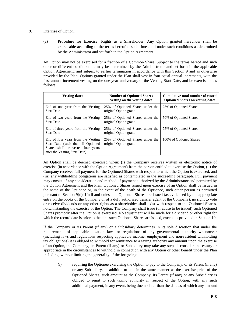### 9. Exercise of Option.

(a) Procedure for Exercise; Rights as a Shareholder. Any Option granted hereunder shall be exercisable according to the terms hereof at such times and under such conditions as determined by the Administrator and set forth in the Option Agreement.

An Option may not be exercised for a fraction of a Common Share. Subject to the terms hereof and such other or different conditions as may be determined by the Administrator and set forth in the applicable Option Agreement, and subject to earlier termination in accordance with this Section 9 and as otherwise provided by the Plan, Options granted under the Plan shall vest in four equal annual increments, with the first annual increment vesting on the one-year anniversary of the Vesting Start Date, and be exercisable as follows:

| <b>Vesting date:</b>                                                                                                                           | <b>Number of Optioned Shares</b><br>vesting on the vesting date: | Cumulative total number of vested<br><b>Optioned Shares on vesting date:</b> |
|------------------------------------------------------------------------------------------------------------------------------------------------|------------------------------------------------------------------|------------------------------------------------------------------------------|
| End of one year from the Vesting<br><b>Start Date</b>                                                                                          | 25% of Optioned Shares under the<br>original Option grant        | 25% of Optioned Shares                                                       |
| End of two years from the Vesting<br><b>Start Date</b>                                                                                         | 25% of Optioned Shares under the<br>original Option grant        | 50% of Optioned Shares                                                       |
| End of three years from the Vesting<br><b>Start Date</b>                                                                                       | 25% of Optioned Shares under the<br>original Option grant        | 75% of Optioned Shares                                                       |
| End of four years from the Vesting<br>Start Date (such that all Optioned<br>Shares shall be vested four years<br>after the Vesting Start Date) | 25% of Optioned Shares under the<br>original Option grant        | 100% of Optioned Shares                                                      |

An Option shall be deemed exercised when: (i) the Company receives written or electronic notice of exercise (in accordance with the Option Agreement) from the person entitled to exercise the Option, (ii) the Company receives full payment for the Optioned Shares with respect to which the Option is exercised, and (iii) any withholding obligations are satisfied as contemplated in the succeeding paragraph. Full payment may consist of any consideration and method of payment authorized by the Administrator and permitted by the Option Agreement and the Plan. Optioned Shares issued upon exercise of an Option shall be issued in the name of the Optionee or, in the event of the death of the Optionee, such other person as permitted pursuant to Section 9(d). Until and unless the Optioned Shares are issued (as evidenced by the appropriate entry on the books of the Company or of a duly authorized transfer agent of the Company), no right to vote or receive dividends or any other rights as a shareholder shall exist with respect to the Optioned Shares, notwithstanding the exercise of the Option. The Company shall issue (or cause to be issued) such Optioned Shares promptly after the Option is exercised. No adjustment will be made for a dividend or other right for which the record date is prior to the date such Optioned Shares are issued, except as provided in Section 10.

If the Company or its Parent (if any) or a Subsidiary determines in its sole discretion that under the requirements of applicable taxation laws or regulations of any governmental authority whatsoever (including laws and regulations respecting applicable income, employment and non-resident withholding tax obligations) it is obliged to withhold for remittance to a taxing authority any amount upon the exercise of an Option, the Company, its Parent (if any) or Subsidiary may take any steps it considers necessary or appropriate in the circumstances to withhold in connection with any Option or other benefit under the Plan including, without limiting the generality of the foregoing:

(i) requiring the Optionee exercising the Option to pay to the Company, or its Parent (if any) or any Subsidiary, in addition to and in the same manner as the exercise price of the Optioned Shares, such amount as the Company, its Parent (if any) or any Subsidiary is obliged to remit to such taxing authority in respect of the Option, with any such additional payment, in any event, being due no later than the date as of which any amount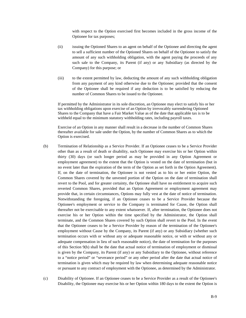with respect to the Option exercised first becomes included in the gross income of the Optionee for tax purposes;

- (ii) issuing the Optioned Shares to an agent on behalf of the Optionee and directing the agent to sell a sufficient number of the Optioned Shares on behalf of the Optionee to satisfy the amount of any such withholding obligation, with the agent paying the proceeds of any such sale to the Company, its Parent (if any) or any Subsidiary (as directed by the Company) for this purpose; or
- (iii) to the extent permitted by law, deducting the amount of any such withholding obligation from any payment of any kind otherwise due to the Optionee; provided that the consent of the Optionee shall be required if any deduction is to be satisfied by reducing the number of Common Shares to be issued to the Optionee.

If permitted by the Administrator in its sole discretion, an Optionee may elect to satisfy his or her tax withholding obligations upon exercise of an Option by irrevocably surrendering Optioned Shares to the Company that have a Fair Market Value as of the date that applicable tax is to be withheld equal to the minimum statutory withholding rates, including payroll taxes.

Exercise of an Option in any manner shall result in a decrease in the number of Common Shares thereafter available for sale under the Option, by the number of Common Shares as to which the Option is exercised.

- (b) Termination of Relationship as a Service Provider. If an Optionee ceases to be a Service Provider other than as a result of death or disability, such Optionee may exercise his or her Option within thirty (30) days (or such longer period as may be provided in any Option Agreement or employment agreement) to the extent that the Option is vested on the date of termination (but in no event later than the expiration of the term of the Option as set forth in the Option Agreement). If, on the date of termination, the Optionee is not vested as to his or her entire Option, the Common Shares covered by the unvested portion of the Option on the date of termination shall revert to the Pool, and for greater certainty, the Optionee shall have no entitlement to acquire such reverted Common Shares, provided that an Option Agreement or employment agreement may provide that, in certain circumstances, Options may fully vest at the date of notice of termination. Notwithstanding the foregoing, if an Optionee ceases to be a Service Provider because the Optionee's employment or service to the Company is terminated for Cause, the Option shall thereafter not be exercisable to any extent whatsoever. If, after termination, the Optionee does not exercise his or her Option within the time specified by the Administrator, the Option shall terminate, and the Common Shares covered by such Option shall revert to the Pool. In the event that the Optionee ceases to be a Service Provider by reason of the termination of the Optionee's employment without Cause by the Company, its Parent (if any) or any Subsidiary (whether such termination occurs with or without any or adequate reasonable notice, or with or without any or adequate compensation in lieu of such reasonable notice), the date of termination for the purposes of this Section 9(b) shall be the date that actual notice of termination of employment or dismissal is given by the Company, its Parent (if any) or any Subsidiary to the Optionee, without reference to a "notice period" or "severance period" or any other period after the date that actual notice of termination is given which may be required by law when determining adequate reasonable notice or pursuant to any contract of employment with the Optionee, as determined by the Administrator.
- (c) Disability of Optionee. If an Optionee ceases to be a Service Provider as a result of the Optionee's Disability, the Optionee may exercise his or her Option within 180 days to the extent the Option is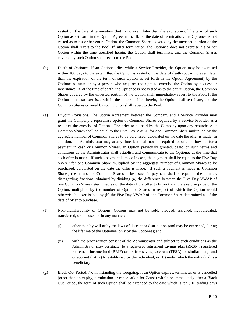vested on the date of termination (but in no event later than the expiration of the term of such Option as set forth in the Option Agreement). If, on the date of termination, the Optionee is not vested as to his or her entire Option, the Common Shares covered by the unvested portion of the Option shall revert to the Pool. If, after termination, the Optionee does not exercise his or her Option within the time specified herein, the Option shall terminate, and the Common Shares covered by such Option shall revert to the Pool.

- (d) Death of Optionee. If an Optionee dies while a Service Provider, the Option may be exercised within 180 days to the extent that the Option is vested on the date of death (but in no event later than the expiration of the term of such Option as set forth in the Option Agreement) by the Optionee's estate or by a person who acquires the right to exercise the Option by bequest or inheritance. If, at the time of death, the Optionee is not vested as to the entire Option, the Common Shares covered by the unvested portion of the Option shall immediately revert to the Pool. If the Option is not so exercised within the time specified herein, the Option shall terminate, and the Common Shares covered by such Option shall revert to the Pool.
- (e) Buyout Provisions. The Option Agreement between the Company and a Service Provider may grant the Company a repurchase option of Common Shares acquired by a Service Provider as a result of the exercise of Options. The price to be paid by the Company upon any repurchase of Common Shares shall be equal to the Five Day VWAP for one Common Share multiplied by the aggregate number of Common Shares to be purchased, calculated on the date the offer is made. In addition, the Administrator may at any time, but shall not be required to, offer to buy out for a payment in cash or Common Shares, an Option previously granted, based on such terms and conditions as the Administrator shall establish and communicate to the Optionee at the time that such offer is made. If such a payment is made in cash, the payment shall be equal to the Five Day VWAP for one Common Share multiplied by the aggregate number of Common Shares to be purchased, calculated on the date the offer is made. If such a payment is made in Common Shares, the number of Common Shares to be issued in payment shall be equal to the number, disregarding fractions, obtained by dividing (a) the difference between the Five Day VWAP of one Common Share determined as of the date of the offer to buyout and the exercise price of the Option, multiplied by the number of Optioned Shares in respect of which the Option would otherwise be exercisable, by (b) the Five Day VWAP of one Common Share determined as of the date of offer to purchase.
- (f) Non-Transferability of Options. Options may not be sold, pledged, assigned, hypothecated, transferred, or disposed of in any manner:
	- (i) other than by will or by the laws of descent or distribution (and may be exercised, during the lifetime of the Optionee, only by the Optionee); and
	- (ii) with the prior written consent of the Administrator and subject to such conditions as the Administrator may designate, to a registered retirement savings plan (RRSP), registered retirement income fund (RRIF) or tax-free savings account (TFSA), or similar plan, fund or account that is (A) established by the individual, or (B) under which the individual is a beneficiary.
- (g) Black Out Period. Notwithstanding the foregoing, if an Option expires, terminates or is cancelled (other than an expiry, termination or cancellation for Cause) within or immediately after a Black Out Period, the term of such Option shall be extended to the date which is ten (10) trading days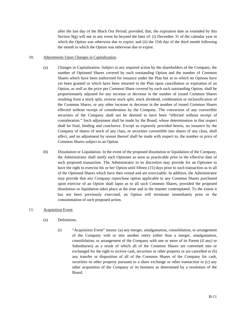after the last day of the Black Out Period; provided, that, the expiration date as extended by this Section  $9(g)$  will not in any event be beyond the later of: (i) December 31 of the calendar year in which the Option was otherwise due to expire; and (ii) the 15th day of the third month following the month in which the Option was otherwise due to expire.

## 10. Adjustments Upon Changes in Capitalization.

- (a) Changes in Capitalization. Subject to any required action by the shareholders of the Company, the number of Optioned Shares covered by each outstanding Option and the number of Common Shares which have been authorized for issuance under the Plan but as to which no Options have yet been granted or which have been returned to the Plan upon cancellation or expiration of an Option, as well as the price per Common Share covered by each such outstanding Option, shall be proportionately adjusted for any increase or decrease in the number of issued Common Shares resulting from a stock split, reverse stock split, stock dividend, combination or reclassification of the Common Shares, or any other increase or decrease in the number of issued Common Shares effected without receipt of consideration by the Company. The conversion of any convertible securities of the Company shall not be deemed to have been "effected without receipt of consideration." Such adjustment shall be made by the Board, whose determination in that respect shall be final, binding and conclusive. Except as expressly provided herein, no issuance by the Company of shares of stock of any class, or securities convertible into shares of any class, shall affect, and no adjustment by reason thereof shall be made with respect to, the number or price of Common Shares subject to an Option.
- (b) Dissolution or Liquidation. In the event of the proposed dissolution or liquidation of the Company, the Administrator shall notify each Optionee as soon as practicable prior to the effective date of such proposed transaction. The Administrator in its discretion may provide for an Optionee to have the right to exercise his or her Option until fifteen (15) days prior to such transaction as to all of the Optioned Shares which have then vested and are exercisable. In addition, the Administrator may provide that any Company repurchase option applicable to any Common Shares purchased upon exercise of an Option shall lapse as to all such Common Shares, provided the proposed dissolution or liquidation takes place at the time and in the manner contemplated. To the extent it has not been previously exercised, an Option will terminate immediately prior to the consummation of such proposed action.

## 11. Acquisition Event.

- (a) Definitions.
	- (i) "Acquisition Event" means: (a) any merger, amalgamation, consolidation, or arrangement of the Company with or into another entity (other than a merger, amalgamation, consolidation, or arrangement of the Company with one or more of its Parent (if any) or Subsidiaries) as a result of which all of the Common Shares are converted into or exchanged for the right to receive cash, securities or other property or are cancelled or (b) any transfer or disposition of all of the Common Shares of the Company for cash, securities or other property pursuant to a share exchange or other transaction or (c) any other acquisition of the Company or its business as determined by a resolution of the Board.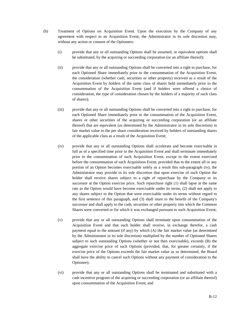- (b) Treatment of Options on Acquisition Event. Upon the execution by the Company of any agreement with respect to an Acquisition Event, the Administrator in its sole discretion may, without any action or consent of the Optionees:
	- (i) provide that any or all outstanding Options shall be assumed, or equivalent options shall be substituted, by the acquiring or succeeding corporation (or an affiliate thereof);
	- (ii) provide that any or all outstanding Options shall be converted into a right to purchase, for each Optioned Share immediately prior to the consummation of the Acquisition Event, the consideration (whether cash, securities or other property) received as a result of the Acquisition Event by holders of the same class of shares held immediately prior to the consummation of the Acquisition Event (and if holders were offered a choice of consideration, the type of consideration chosen by the holders of a majority of such class of shares);
	- (iii) provide that any or all outstanding Options shall be converted into a right to purchase, for each Optioned Share immediately prior to the consummation of the Acquisition Event, shares or other securities of the acquiring or succeeding corporation (or an affiliate thereof) that are equivalent (as determined by the Administrator in its sole discretion) in fair market value to the per share consideration received by holders of outstanding shares of the applicable class as a result of the Acquisition Event;
	- (iv) provide that any or all outstanding Options shall accelerate and become exercisable in full as of a specified time prior to the Acquisition Event and shall terminate immediately prior to the consummation of such Acquisition Event, except to the extent exercised before the consummation of such Acquisition Event; provided that to the extent all or any portion of an Option becomes exercisable solely as a result this sub-paragraph (iv), the Administrator may provide in its sole discretion that upon exercise of such Option the holder shall receive shares subject to a right of repurchase by the Company or its successor at the Option exercise price. Such repurchase right (1) shall lapse at the same rate as the Option would have become exercisable under its terms, (2) shall not apply to any shares subject to the Option that were exercisable under its terms without regard to the first sentence of this paragraph, and (3) shall inure to the benefit of the Company's successor and shall apply to the cash, securities or other property into which the Common Shares were converted or for which it was exchanged pursuant to such Acquisition Event;
	- (v) provide that any or all outstanding Options shall terminate upon consummation of the Acquisition Event and that each holder shall receive, in exchange therefor, a cash payment equal to the amount (if any) by which (A) the fair market value (as determined by the Administrator in its sole discretion) multiplied by the number of Optioned Shares subject to such outstanding Options (whether or not then exercisable), exceeds (B) the aggregate exercise price of such Options (provided, that, for greater certainty, if the exercise price of the Options exceeds the fair market value as so determined, the Board shall have the ability to cancel such Options without any payment of consideration to the Optionee);
	- (vi) provide that any or all outstanding Options shall be terminated and substituted with a cash incentive program of the acquiring or succeeding corporation (or an affiliate thereof) upon consummation of the Acquisition Event; and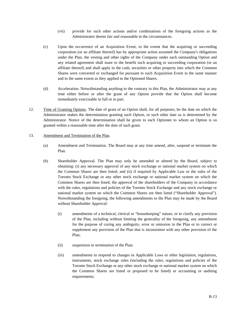- (vii) provide for such other actions and/or combinations of the foregoing actions as the Administrator deems fair and reasonable in the circumstances.
- (c) Upon the occurrence of an Acquisition Event, to the extent that the acquiring or succeeding corporation (or an affiliate thereof) has by appropriate action assumed the Company's obligations under the Plan, the vesting and other rights of the Company under each outstanding Option and any related agreement shall inure to the benefit such acquiring or succeeding corporation (or an affiliate thereof) and shall apply to the cash, securities or other property into which the Common Shares were converted or exchanged for pursuant to such Acquisition Event in the same manner and to the same extent as they applied to the Optioned Shares.
- (d) Acceleration. Notwithstanding anything to the contrary in this Plan, the Administrator may at any time either before or after the grant of any Option provide that the Option shall become immediately exercisable in full or in part.
- 12. Time of Granting Options. The date of grant of an Option shall, for all purposes, be the date on which the Administrator makes the determination granting such Option, or such other date as is determined by the Administrator. Notice of the determination shall be given to each Optionee to whom an Option is so granted within a reasonable time after the date of such grant.

### 13. Amendment and Termination of the Plan.

- (a) Amendment and Termination. The Board may at any time amend, alter, suspend or terminate the Plan.
- (b) Shareholder Approval. The Plan may only be amended or altered by the Board, subject to obtaining: (i) any necessary approval of any stock exchange or national market system on which the Common Shares are then listed; and (ii) if required by Applicable Law or the rules of the Toronto Stock Exchange or any other stock exchange or national market system on which the Common Shares are then listed, the approval of the shareholders of the Company in accordance with the rules, regulations and policies of the Toronto Stock Exchange and any stock exchange or national market system on which the Common Shares are then listed ("Shareholder Approval"). Notwithstanding the foregoing, the following amendments to the Plan may be made by the Board without Shareholder Approval:
	- (i) amendments of a technical, clerical or "housekeeping" nature, or to clarify any provision of the Plan, including without limiting the generality of the foregoing, any amendment for the purpose of curing any ambiguity, error or omission in the Plan or to correct or supplement any provision of the Plan that is inconsistent with any other provision of the Plan;
	- (ii) suspension or termination of the Plan;
	- (iii) amendments to respond to changes in Applicable Laws or other legislation, regulations, instruments, stock exchange rules (including the rules, regulations and policies of the Toronto Stock Exchange or any other stock exchange or national market system on which the Common Shares are listed or proposed to be listed) or accounting or auditing requirements;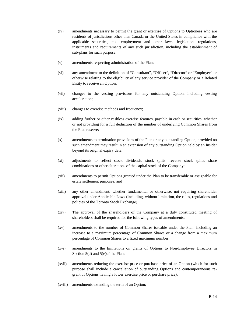- (iv) amendments necessary to permit the grant or exercise of Options to Optionees who are residents of jurisdictions other than Canada or the United States in compliance with the applicable securities, tax, employment and other laws, legislation, regulations, instruments and requirements of any such jurisdiction, including the establishment of sub-plans for such purpose;
- (v) amendments respecting administration of the Plan;
- (vi) any amendment to the definition of "Consultant", "Officer", "Director" or "Employee" or otherwise relating to the eligibility of any service provider of the Company or a Related Entity to receive an Option;
- (vii) changes to the vesting provisions for any outstanding Option, including vesting acceleration;
- (viii) changes to exercise methods and frequency;
- (ix) adding further or other cashless exercise features, payable in cash or securities, whether or not providing for a full deduction of the number of underlying Common Shares from the Plan reserve;
- (x) amendments to termination provisions of the Plan or any outstanding Option, provided no such amendment may result in an extension of any outstanding Option held by an Insider beyond its original expiry date;
- (xi) adjustments to reflect stock dividends, stock splits, reverse stock splits, share combinations or other alterations of the capital stock of the Company;
- (xii) amendments to permit Options granted under the Plan to be transferable or assignable for estate settlement purposes; and
- (xiii) any other amendment, whether fundamental or otherwise, not requiring shareholder approval under Applicable Laws (including, without limitation, the rules, regulations and policies of the Toronto Stock Exchange).
- (xiv) The approval of the shareholders of the Company at a duly constituted meeting of shareholders shall be required for the following types of amendments:
- (xv) amendments to the number of Common Shares issuable under the Plan, including an increase to a maximum percentage of Common Shares or a change from a maximum percentage of Common Shares to a fixed maximum number;
- (xvi) amendments to the limitations on grants of Options to Non-Employee Directors in Section 5(d) and 5(e)of the Plan;
- (xvii) amendments reducing the exercise price or purchase price of an Option (which for such purpose shall include a cancellation of outstanding Options and contemporaneous regrant of Options having a lower exercise price or purchase price);
- (xviii) amendments extending the term of an Option;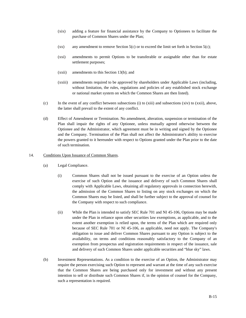- (xix) adding a feature for financial assistance by the Company to Optionees to facilitate the purchase of Common Shares under the Plan;
- (xx) any amendment to remove Section  $5(c)$  or to exceed the limit set forth in Section  $5(c)$ ;
- (xxi) amendments to permit Options to be transferable or assignable other than for estate settlement purposes;
- (xxii) amendments to this Section 13(b); and
- (xxiii) amendments required to be approved by shareholders under Applicable Laws (including, without limitation, the rules, regulations and policies of any established stock exchange or national market system on which the Common Shares are then listed).
- (c) In the event of any conflict between subsections (i) to (xiii) and subsections (xiv) to (xxii), above, the latter shall prevail to the extent of any conflict.
- (d) Effect of Amendment or Termination. No amendment, alteration, suspension or termination of the Plan shall impair the rights of any Optionee, unless mutually agreed otherwise between the Optionee and the Administrator, which agreement must be in writing and signed by the Optionee and the Company. Termination of the Plan shall not affect the Administrator's ability to exercise the powers granted to it hereunder with respect to Options granted under the Plan prior to the date of such termination.
- 14. Conditions Upon Issuance of Common Shares.
	- (a) Legal Compliance.
		- (i) Common Shares shall not be issued pursuant to the exercise of an Option unless the exercise of such Option and the issuance and delivery of such Common Shares shall comply with Applicable Laws, obtaining all regulatory approvals in connection herewith, the admission of the Common Shares to listing on any stock exchanges on which the Common Shares may be listed, and shall be further subject to the approval of counsel for the Company with respect to such compliance.
		- (ii) While the Plan is intended to satisfy SEC Rule 701 and NI 45-106, Options may be made under the Plan in reliance upon other securities law exemptions, as applicable, and to the extent another exemption is relied upon, the terms of the Plan which are required only because of SEC Rule 701 or NI 45-106, as applicable, need not apply. The Company's obligation to issue and deliver Common Shares pursuant to any Option is subject to the availability, on terms and conditions reasonably satisfactory to the Company of an exemption from prospectus and registration requirements in respect of the issuance, sale and delivery of such Common Shares under applicable securities and "blue sky" laws.
	- (b) Investment Representations. As a condition to the exercise of an Option, the Administrator may require the person exercising such Option to represent and warrant at the time of any such exercise that the Common Shares are being purchased only for investment and without any present intention to sell or distribute such Common Shares if, in the opinion of counsel for the Company, such a representation is required.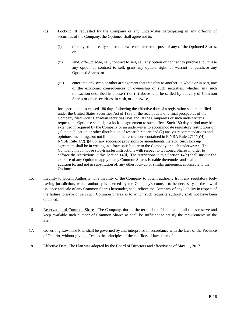- (c) Lock-up. If requested by the Company or any underwriter participating in any offering of securities of the Company, the Optionee shall agree not to:
	- (i) directly or indirectly sell or otherwise transfer or dispose of any of the Optioned Shares, or
	- (ii) lend, offer, pledge, sell, contract to sell, sell any option or contract to purchase, purchase any option or contract to sell, grant any option, right, or warrant to purchase any Optioned Shares, or
	- (iii) enter into any swap or other arrangement that transfers to another, in whole or in part, any of the economic consequences of ownership of such securities, whether any such transaction described in clause (i) or (ii) above is to be settled by delivery of Common Shares or other securities, in cash, or otherwise,

for a period not to exceed 180 days following the effective date of a registration statement filed under the United States Securities Act of 1933 or the receipt date of a final prospectus of the Company filed under Canadian securities laws and, at the Company's or such underwriter's request, the Optionee shall sign a lock-up agreement to such effect. Such 180 day period may be extended if required by the Company or an underwriter to accommodate regulatory restrictions on (1) the publication or other distribution of research reports and (2) analyst recommendations and opinions, including, but not limited to, the restrictions contained in FINRA Rule  $2711(f)(4)$  or NYSE Rule 472(f)(4), or any successor provisions or amendments thereto. Such lock-up agreement shall be in writing in a form satisfactory to the Company or such underwriter. The Company may impose stop-transfer instructions with respect to Optioned Shares in order to enforce the restrictions in this Section 14(d). The restrictions in this Section 14(c) shall survive the exercise of any Option to apply to any Common Shares issuable thereunder and shall be in addition to, and not in substitution of, any other lock-up or similar agreement applicable to the Optionee.

- 15. Inability to Obtain Authority. The inability of the Company to obtain authority from any regulatory body having jurisdiction, which authority is deemed by the Company's counsel to be necessary to the lawful issuance and sale of any Common Shares hereunder, shall relieve the Company of any liability in respect of the failure to issue or sell such Common Shares as to which such requisite authority shall not have been obtained.
- 16. Reservation of Common Shares. The Company, during the term of the Plan, shall at all times reserve and keep available such number of Common Shares as shall be sufficient to satisfy the requirements of the Plan.
- 17. Governing Law. The Plan shall be governed by and interpreted in accordance with the laws of the Province of Ontario, without giving effect to the principles of the conflicts of laws thereof.
- 18. Effective Date. The Plan was adopted by the Board of Directors and effective as of May 11, 2017.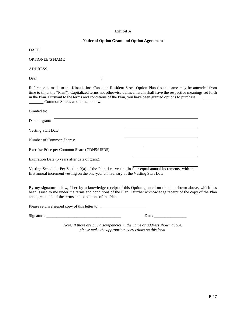## **Exhibit A**

## **Notice of Option Grant and Option Agreement**

DATE

OPTIONEE'S NAME

ADDRESS

Dear :

Reference is made to the Kinaxis Inc. Canadian Resident Stock Option Plan (as the same may be amended from time to time, the "Plan"). Capitalized terms not otherwise defined herein shall have the respective meanings set forth in the Plan. Pursuant to the terms and conditions of the Plan, you have been granted options to purchase **Common Shares as outlined below.** 

Granted to: Date of grant: Vesting Start Date: Number of Common Shares: Exercise Price per Common Share (CDN\$/USD\$): Expiration Date (5 years after date of grant):

Vesting Schedule: Per Section 9(a) of the Plan, i.e., vesting in four equal annual increments, with the first annual increment vesting on the one-year anniversary of the Vesting Start Date.

By my signature below, I hereby acknowledge receipt of this Option granted on the date shown above, which has been issued to me under the terms and conditions of the Plan. I further acknowledge receipt of the copy of the Plan and agree to all of the terms and conditions of the Plan.

Please return a signed copy of this letter to

 $Signature:$   $\qquad \qquad$   $Date:$   $\qquad \qquad$ 

*Note: If there are any discrepancies in the name or address shown above, please make the appropriate corrections on this form.*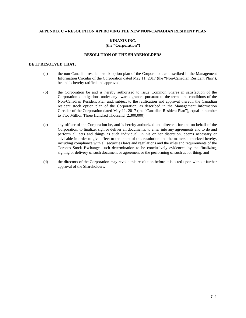## **APPENDIX C – RESOLUTION APPROVING THE NEW NON-CANADIAN RESIDENT PLAN**

## **KINAXIS INC. (the "Corporation")**

#### **RESOLUTION OF THE SHAREHOLDERS**

## **BE IT RESOLVED THAT:**

- (a) the non-Canadian resident stock option plan of the Corporation, as described in the Management Information Circular of the Corporation dated May 11, 2017 (the "Non-Canadian Resident Plan"), be and is hereby ratified and approved;
- (b) the Corporation be and is hereby authorized to issue Common Shares in satisfaction of the Corporation's obligations under any awards granted pursuant to the terms and conditions of the Non-Canadian Resident Plan and, subject to the ratification and approval thereof, the Canadian resident stock option plan of the Corporation, as described in the Management Information Circular of the Corporation dated May 11, 2017 (the "Canadian Resident Plan"), equal in number to Two Million Three Hundred Thousand (2,300,000);
- (c) any officer of the Corporation be, and is hereby authorized and directed, for and on behalf of the Corporation, to finalize, sign or deliver all documents, to enter into any agreements and to do and perform all acts and things as such individual, in his or her discretion, deems necessary or advisable in order to give effect to the intent of this resolution and the matters authorized hereby, including compliance with all securities laws and regulations and the rules and requirements of the Toronto Stock Exchange, such determination to be conclusively evidenced by the finalizing, signing or delivery of such document or agreement or the performing of such act or thing; and
- (d) the directors of the Corporation may revoke this resolution before it is acted upon without further approval of the Shareholders.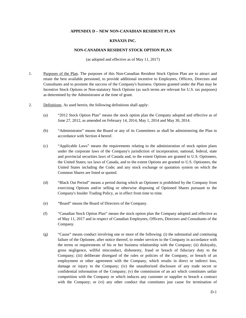### **APPENDIX D – NEW NON-CANADIAN RESIDENT PLAN**

#### **KINAXIS INC.**

#### **NON-CANADIAN RESIDENT STOCK OPTION PLAN**

(as adopted and effective as of May 11, 2017)

- 1. Purposes of the Plan. The purposes of this Non-Canadian Resident Stock Option Plan are to attract and retain the best available personnel, to provide additional incentive to Employees, Officers, Directors and Consultants and to promote the success of the Company's business. Options granted under the Plan may be Incentive Stock Options or Non-statutory Stock Options (as such terms are relevant for U.S. tax purposes) as determined by the Administrator at the time of grant.
- 2. Definitions. As used herein, the following definitions shall apply:
	- (a) "2012 Stock Option Plan" means the stock option plan the Company adopted and effective as of June 27, 2012, as amended on February 14, 2014, May 1, 2014 and May 30, 2014.
	- (b) "Administrator" means the Board or any of its Committees as shall be administering the Plan in accordance with Section 4 hereof.
	- (c) "Applicable Laws" means the requirements relating to the administration of stock option plans under the corporate laws of the Company's jurisdiction of incorporation; national, federal, state and provincial securities laws of Canada and, to the extent Options are granted to U.S. Optionees, the United States; tax laws of Canada, and to the extent Options are granted to U.S. Optionees, the United States including the Code; and any stock exchange or quotation system on which the Common Shares are listed or quoted.
	- (d) "Black Out Period" means a period during which an Optionee is prohibited by the Company from exercising Options and/or selling or otherwise disposing of Optioned Shares pursuant to the Company's Insider Trading Policy, as in effect from time to time.
	- (e) "Board" means the Board of Directors of the Company.
	- (f) "Canadian Stock Option Plan" means the stock option plan the Company adopted and effective as of May 11, 2017 and in respect of Canadian Employees, Officers, Directors and Consultants of the Company.
	- (g) "Cause" means conduct involving one or more of the following: (i) the substantial and continuing failure of the Optionee, after notice thereof, to render services to the Company in accordance with the terms or requirements of his or her business relationship with the Company; (ii) disloyalty, gross negligence, willful misconduct, dishonesty, fraud or breach of fiduciary duty to the Company; (iii) deliberate disregard of the rules or policies of the Company, or breach of an employment or other agreement with the Company, which results in direct or indirect loss, damage or injury to the Company; (iv) the unauthorized disclosure of any trade secret or confidential information of the Company; (v) the commission of an act which constitutes unfair competition with the Company or which induces any customer or supplier to breach a contract with the Company; or (vi) any other conduct that constitutes just cause for termination of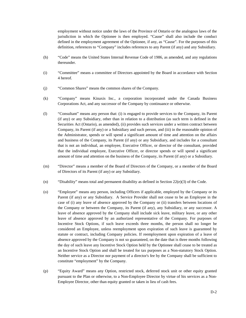employment without notice under the laws of the Province of Ontario or the analogous laws of the jurisdiction in which the Optionee is then employed. "Cause" shall also include the conduct defined in the employment agreement of the Optionee, if any, as "Cause". For the purposes of this definition, references to "Company" includes references to any Parent (if any) and any Subsidiary.

- (h) "Code" means the United States Internal Revenue Code of 1986, as amended, and any regulations thereunder.
- (i) "Committee" means a committee of Directors appointed by the Board in accordance with Section 4 hereof.
- (j) "Common Shares" means the common shares of the Company.
- (k) "Company" means Kinaxis Inc., a corporation incorporated under the Canada Business Corporations Act, and any successor of the Company by continuance or otherwise.
- (l) "Consultant" means any person that: (i) is engaged to provide services to the Company, its Parent (if any) or any Subsidiary, other than in relation to a distribution (as such term is defined in the Securities Act (Ontario), as amended), (ii) provides such services under a written contract between Company, its Parent (if any) or a Subsidiary and such person, and (iii) in the reasonable opinion of the Administrator, spends or will spend a significant amount of time and attention on the affairs and business of the Company, its Parent (if any) or any Subsidiary, and includes for a consultant that is not an individual, an employee, Executive Officer, or director of the consultant, provided that the individual employee, Executive Officer, or director spends or will spend a significant amount of time and attention on the business of the Company, its Parent (if any) or a Subsidiary.
- (m) "Director" means a member of the Board of Directors of the Company, or a member of the Board of Directors of its Parent (if any) or any Subsidiary.
- (n) "Disability" means total and permanent disability as defined in Section  $22(e)(3)$  of the Code.
- (o) "Employee" means any person, including Officers if applicable, employed by the Company or its Parent (if any) or any Subsidiary. A Service Provider shall not cease to be an Employee in the case of (i) any leave of absence approved by the Company or (ii) transfers between locations of the Company or between the Company, its Parent (if any), any Subsidiary, or any successor. A leave of absence approved by the Company shall include sick leave, military leave, or any other leave of absence approved by an authorized representative of the Company. For purposes of Incentive Stock Options, if such leave exceeds three months, the person shall no longer be considered an Employee, unless reemployment upon expiration of such leave is guaranteed by statute or contract, including Company policies. If reemployment upon expiration of a leave of absence approved by the Company is not so guaranteed, on the date that is three months following the day of such leave any Incentive Stock Option held by the Optionee shall cease to be treated as an Incentive Stock Option and shall be treated for tax purposes as a Non-statutory Stock Option. Neither service as a Director nor payment of a director's fee by the Company shall be sufficient to constitute "employment" by the Company.
- (p) "Equity Award" means any Option, restricted stock, deferred stock unit or other equity granted pursuant to the Plan or otherwise, to a Non-Employee Director by virtue of his services as a Non-Employee Director, other than equity granted or taken in lieu of cash fees.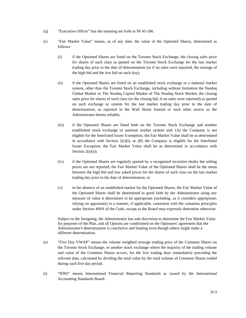- (q) "Executive Officer" has the meaning set forth in NI 45-106.
- (r) "Fair Market Value" means, as of any date, the value of the Optioned Shares, determined as follows:
	- (i) if the Optioned Shares are listed on the Toronto Stock Exchange, the closing sales price for shares of such class as quoted on the Toronto Stock Exchange for the last market trading day prior to the date of determination (or if no sales were reported, the average of the high bid and the low bid on such day);
	- (ii) if the Optioned Shares are listed on an established stock exchange or a national market system, other than the Toronto Stock Exchange, including without limitation the Nasdaq Global Market or The Nasdaq Capital Market of The Nasdaq Stock Market, the closing sales price for shares of such class (or the closing bid, if no sales were reported) as quoted on such exchange or system for the last market trading day prior to the date of determination, as reported in the Wall Street Journal or such other source as the Administrator deems reliable;
	- (iii) if the Optioned Shares are listed both on the Toronto Stock Exchange and another established stock exchange or national market system and: (A) the Company is not eligible for the Interlisted Issuer Exemption, the Fair Market Value shall be as determined in accordance with Section  $2(r)(i)$ , or  $(B)$  the Company is eligible for the Interlisted Issuer Exception, the Fair Market Value shall be as determined in accordance with Section  $2(r)(ii)$ ;
	- (iv) if the Optioned Shares are regularly quoted by a recognized securities dealer but selling prices are not reported, the Fair Market Value of the Optioned Shares shall be the mean between the high bid and low asked prices for the shares of such class on the last market trading day prior to the date of determination; or
	- (v) in the absence of an established market for the Optioned Shares, the Fair Market Value of the Optioned Shares shall be determined in good faith by the Administrator using any measure of value it determines to be appropriate (including, as it considers appropriate, relying on appraisals) in a manner, if applicable, consistent with the valuation principles under Section 409A of the Code, except as the Board may expressly determine otherwise.

Subject to the foregoing, the Administrator has sole discretion to determine the Fair Market Value for purposes of the Plan, and all Options are conditioned on the Optionees' agreement that the Administrator's determination is conclusive and binding even though others might make a different determination.

- (s) "Five Day VWAP" means the volume weighted average trading price of the Common Shares on the Toronto Stock Exchange, or another stock exchange where the majority of the trading volume and value of the Common Shares occurs, for the five trading days immediately preceding the relevant date, calculated by dividing the total value by the total volume of Common Shares traded during such five day period.
- (t) "IFRS" means International Financial Reporting Standards as issued by the International Accounting Standards Board.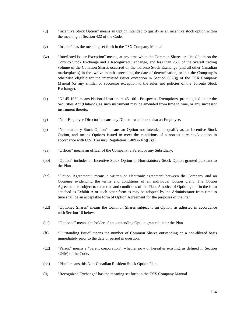- (u) "Incentive Stock Option" means an Option intended to qualify as an incentive stock option within the meaning of Section 422 of the Code.
- (v) "Insider" has the meaning set forth in the TSX Company Manual.
- (w) "Interlisted Issuer Exception" means, at any time when the Common Shares are listed both on the Toronto Stock Exchange and a Recognized Exchange, and less than 25% of the overall trading volume of the Common Shares occurred on the Toronto Stock Exchange (and all other Canadian marketplaces) in the twelve months preceding the date of determination, or that the Company is otherwise eligible for the interlisted issuer exception in Section  $602(g)$  of the TSX Company Manual (or any similar or successor exception to the rules and policies of the Toronto Stock Exchange).
- (x) "NI 45-106" means National Instrument 45-106 Prospectus Exemptions, promulgated under the Securities Act (Ontario), as such instrument may be amended from time to time, or any successor instrument thereto.
- (y) "Non-Employee Director" means any Director who is not also an Employee.
- (z) "Non-statutory Stock Option" means an Option not intended to qualify as an Incentive Stock Option, and means Options issued to meet the conditions of a nonstatutory stock option in accordance with U.S. Treasury Regulation 1.409A-1(b)(5)(i).
- (aa) "Officer" means an officer of the Company, a Parent or any Subsidiary.
- (bb) "Option" includes an Incentive Stock Option or Non-statutory Stock Option granted pursuant to the Plan.
- (cc) "Option Agreement" means a written or electronic agreement between the Company and an Optionee evidencing the terms and conditions of an individual Option grant. The Option Agreement is subject to the terms and conditions of the Plan. A notice of Option grant in the form attached as Exhibit A or such other form as may be adopted by the Administrator from time to time shall be an acceptable form of Option Agreement for the purposes of the Plan.
- (dd) "Optioned Shares" means the Common Shares subject to an Option, as adjusted in accordance with Section 10 below.
- (ee) "Optionee" means the holder of an outstanding Option granted under the Plan.
- (ff) "Outstanding Issue" means the number of Common Shares outstanding on a non-diluted basis immediately prior to the date or period in question.
- (gg) "Parent" means a "parent corporation", whether now or hereafter existing, as defined in Section 424(e) of the Code.
- (hh) "Plan" means this Non-Canadian Resident Stock Option Plan.
- (ii) "Recognized Exchange" has the meaning set forth in the TSX Company Manual.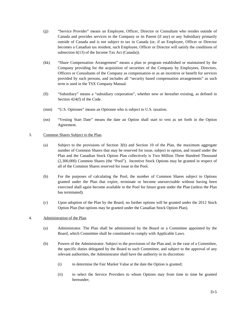- (jj) "Service Provider" means an Employee, Officer, Director or Consultant who resides outside of Canada and provides services to the Company or its Parent (if any) or any Subsidiary primarily outside of Canada and is not subject to tax in Canada (or, if an Employee, Officer or Director becomes a Canadian tax resident, such Employee, Officer or Director will satisfy the conditions of subsection 6(13) of the Income Tax Act (Canada)).
- (kk) "Share Compensation Arrangement" means a plan or program established or maintained by the Company providing for the acquisition of securities of the Company by Employees, Directors, Officers or Consultants of the Company as compensation or as an incentive or benefit for services provided by such persons, and includes all "security based compensation arrangements" as such term is used in the TSX Company Manual.
- (ll) "Subsidiary" means a "subsidiary corporation", whether now or hereafter existing, as defined in Section 424(f) of the Code.
- (mm) "U.S. Optionee" means an Optionee who is subject to U.S. taxation.
- (nn) "Vesting Start Date" means the date an Option shall start to vest as set forth in the Option Agreement.

# 3. Common Shares Subject to the Plan.

- (a) Subject to the provisions of Section 3(b) and Section 10 of the Plan, the maximum aggregate number of Common Shares that may be reserved for issue, subject to option, and issued under the Plan and the Canadian Stock Option Plan collectively is Two Million Three Hundred Thousand (2,300,000) Common Shares (the "Pool"). Incentive Stock Options may be granted in respect of all of the Common Shares reserved for issue in the Pool.
- (b) For the purposes of calculating the Pool, the number of Common Shares subject to Options granted under the Plan that expire, terminate or become unexercisable without having been exercised shall again become available in the Pool for future grant under the Plan (unless the Plan has terminated).
- (c) Upon adoption of the Plan by the Board, no further options will be granted under the 2012 Stock Option Plan (but options may be granted under the Canadian Stock Option Plan).

# 4. Administration of the Plan.

- (a) Administrator. The Plan shall be administered by the Board or a Committee appointed by the Board, which Committee shall be constituted to comply with Applicable Laws.
- (b) Powers of the Administrator. Subject to the provisions of the Plan and, in the case of a Committee, the specific duties delegated by the Board to such Committee, and subject to the approval of any relevant authorities, the Administrator shall have the authority in its discretion:
	- (i) to determine the Fair Market Value at the date the Option is granted;
	- (ii) to select the Service Providers to whom Options may from time to time be granted hereunder;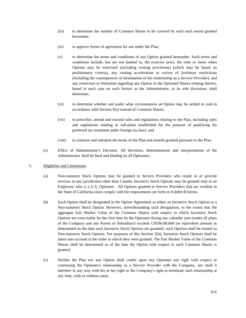- (iii) to determine the number of Common Shares to be covered by each such award granted hereunder;
- (iv) to approve forms of agreement for use under the Plan;
- (v) to determine the terms and conditions of any Option granted hereunder. Such terms and conditions include, but are not limited to, the exercise price, the time or times when Options may be exercised (including vesting provisions) (which may be based on performance criteria), any vesting acceleration or waiver of forfeiture restrictions (including the consequences of termination of the relationship as a Service Provider), and any restriction or limitation regarding any Option or the Optioned Shares relating thereto, based in each case on such factors as the Administrator, in its sole discretion, shall determine;
- (vi) to determine whether and under what circumstances an Option may be settled in cash in accordance with Section 9(a) instead of Common Shares;
- (vii) to prescribe, amend and rescind rules and regulations relating to the Plan, including rules and regulations relating to sub-plans established for the purpose of qualifying for preferred tax treatment under foreign tax laws; and
- (viii) to construe and interpret the terms of the Plan and awards granted pursuant to the Plan.
- (c) Effect of Administrator's Decision. All decisions, determinations and interpretations of the Administrator shall be final and binding on all Optionees.
- 5. Eligibility and Limitations.
	- (a) Non-statutory Stock Options may be granted to Service Providers who reside in or provide services in any jurisdiction other than Canada. Incentive Stock Options may be granted only to an Employee who is a U.S. Optionee. All Options granted to Service Providers that are resident in the State of California must comply with the requirements set forth in Exhibit B hereto.
	- (b) Each Option shall be designated in the Option Agreement as either an Incentive Stock Option or a Non-statutory Stock Option. However, notwithstanding such designation, to the extent that the aggregate Fair Market Value of the Common Shares with respect to which Incentive Stock Options are exercisable for the first time by the Optionee during any calendar year (under all plans of the Company and any Parent or Subsidiary) exceeds USD\$100,000 (or equivalent amount as determined on the date such Incentive Stock Options are granted), such Options shall be treated as Non-statutory Stock Options. For purposes of this Section 5(b), Incentive Stock Options shall be taken into account in the order in which they were granted. The Fair Market Value of the Common Shares shall be determined as of the date the Option with respect to such Common Shares is granted.
	- (c) Neither the Plan nor any Option shall confer upon any Optionee any right with respect to continuing the Optionee's relationship as a Service Provider with the Company, nor shall it interfere in any way with his or her right or the Company's right to terminate such relationship at any time, with or without cause.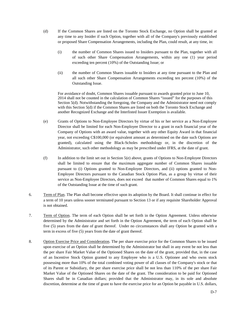- (d) If the Common Shares are listed on the Toronto Stock Exchange, no Option shall be granted at any time to any Insider if such Option, together with all of the Company's previously established or proposed Share Compensation Arrangements, including the Plan, could result, at any time, in:
	- (i) the number of Common Shares issued to Insiders pursuant to the Plan, together with all of such other Share Compensation Arrangements, within any one (1) year period exceeding ten percent (10%) of the Outstanding Issue; or
	- (ii) the number of Common Shares issuable to Insiders at any time pursuant to the Plan and all such other Share Compensation Arrangements exceeding ten percent (10%) of the Outstanding Issue.

For avoidance of doubt, Common Shares issuable pursuant to awards granted prior to June 10, 2014 shall not be counted in the calculation of Common Shares "issued" for the purposes of this Section 5(d). Notwithstanding the foregoing, the Company and the Administrator need not comply with this Section 5(d) if the Common Shares are listed on both the Toronto Stock Exchange and another Recognized Exchange and the Interlisted Issuer Exemption is available.

- (e) Grants of Options to Non-Employee Directors by virtue of his or her service as a Non-Employee Director shall be limited for each Non-Employee Director to a grant in each financial year of the Company of Options with an award value, together with any other Equity Award in that financial year, not exceeding C\$100,000 (or equivalent amount as determined on the date such Options are granted), calculated using the Black-Scholes methodology or, in the discretion of the Administrator, such other methodology as may be prescribed under IFRS, at the date of grant.
- (f) In addition to the limit set out in Section 5(e) above, grants of Options to Non-Employee Directors shall be limited to ensure that the maximum aggregate number of Common Shares issuable pursuant to (i) Options granted to Non-Employee Directors, and (ii) options granted to Non-Employee Directors pursuant to the Canadian Stock Option Plan, as a group by virtue of their service as Non-Employee Directors, does not exceed that number of Common Shares equal to 1% of the Outstanding Issue at the time of such grant.
- 6. Term of Plan. The Plan shall become effective upon its adoption by the Board. It shall continue in effect for a term of 10 years unless sooner terminated pursuant to Section 13 or if any requisite Shareholder Approval is not obtained.
- 7. Term of Option. The term of each Option shall be set forth in the Option Agreement. Unless otherwise determined by the Administrator and set forth in the Option Agreement, the term of each Option shall be five (5) years from the date of grant thereof. Under no circumstances shall any Option be granted with a term in excess of five (5) years from the date of grant thereof.
- 8. Option Exercise Price and Consideration. The per share exercise price for the Common Shares to be issued upon exercise of an Option shall be determined by the Administrator but shall in any event be not less than the per share Fair Market Value of the Optioned Shares on the date of the grant, provided that, in the case of an Incentive Stock Option granted to any Employee who is a U.S. Optionee and who owns stock possessing more than 10% of the total combined voting power of all classes of the Company's stock or that of its Parent or Subsidiary, the per share exercise price shall be not less than 110% of the per share Fair Market Value of the Optioned Shares on the date of the grant. The consideration to be paid for Optioned Shares shall be in Canadian dollars; provided that the Administrator may, in its sole and absolute discretion, determine at the time of grant to have the exercise price for an Option be payable in U.S. dollars,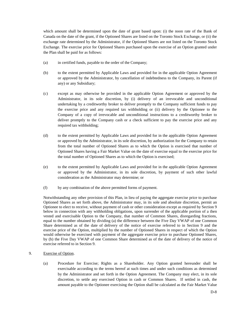which amount shall be determined upon the date of grant based upon: (i) the noon rate of the Bank of Canada on the date of the grant, if the Optioned Shares are listed on the Toronto Stock Exchange, or (ii) the exchange rate determined by the Administrator, if the Optioned Shares are not listed on the Toronto Stock Exchange. The exercise price for Optioned Shares purchased upon the exercise of an Option granted under the Plan shall be paid for as follows:

- (a) in certified funds, payable to the order of the Company;
- (b) to the extent permitted by Applicable Laws and provided for in the applicable Option Agreement or approved by the Administrator, by cancellation of indebtedness to the Company, its Parent (if any) or any Subsidiary;
- (c) except as may otherwise be provided in the applicable Option Agreement or approved by the Administrator, in its sole discretion, by (i) delivery of an irrevocable and unconditional undertaking by a creditworthy broker to deliver promptly to the Company sufficient funds to pay the exercise price and any required tax withholding or (ii) delivery by the Optionee to the Company of a copy of irrevocable and unconditional instructions to a creditworthy broker to deliver promptly to the Company cash or a check sufficient to pay the exercise price and any required tax withholding;
- (d) to the extent permitted by Applicable Laws and provided for in the applicable Option Agreement or approved by the Administrator, in its sole discretion, by authorization for the Company to retain from the total number of Optioned Shares as to which the Option is exercised that number of Optioned Shares having a Fair Market Value on the date of exercise equal to the exercise price for the total number of Optioned Shares as to which the Option is exercised;
- (e) to the extent permitted by Applicable Laws and provided for in the applicable Option Agreement or approved by the Administrator, in its sole discretion, by payment of such other lawful consideration as the Administrator may determine; or
- (f) by any combination of the above permitted forms of payment.

Notwithstanding any other provision of this Plan, in lieu of paying the aggregate exercise price to purchase Optioned Shares as set forth above, the Administrator may, in its sole and absolute discretion, permit an Optionee to elect to receive, without payment of cash or other consideration except as required by Section 9 below in connection with any withholding obligations, upon surrender of the applicable portion of a then vested and exercisable Option to the Company, that number of Common Shares, disregarding fractions, equal to the number obtained by dividing (a) the difference between the Five Day VWAP of one Common Share determined as of the date of delivery of the notice of exercise referred to in Section 9 and the exercise price of the Option, multiplied by the number of Optioned Shares in respect of which the Option would otherwise be exercised with payment of the aggregate exercise price to purchase Optioned Shares, by (b) the Five Day VWAP of one Common Share determined as of the date of delivery of the notice of exercise referred to in Section 9.

- 9. Exercise of Option.
	- (a) Procedure for Exercise; Rights as a Shareholder. Any Option granted hereunder shall be exercisable according to the terms hereof at such times and under such conditions as determined by the Administrator and set forth in the Option Agreement. The Company may elect, in its sole discretion, to settle any exercised Option in cash or Common Shares. If settled in cash, the amount payable to the Optionee exercising the Option shall be calculated as the Fair Market Value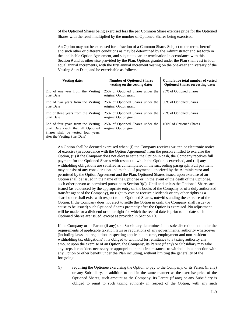of the Optioned Shares being exercised less the per Common Share exercise price for the Optioned Shares with the result multiplied by the number of Optioned Shares being exercised.

An Option may not be exercised for a fraction of a Common Share. Subject to the terms hereof and such other or different conditions as may be determined by the Administrator and set forth in the applicable Option Agreement, and subject to earlier termination in accordance with this Section 9 and as otherwise provided by the Plan, Options granted under the Plan shall vest in four equal annual increments, with the first annual increment vesting on the one-year anniversary of the Vesting Start Date, and be exercisable as follows:

| <b>Vesting date:</b>                                                                                                                           | <b>Number of Optioned Shares</b><br>vesting on the vesting date: | Cumulative total number of vested<br><b>Optioned Shares on vesting date:</b> |
|------------------------------------------------------------------------------------------------------------------------------------------------|------------------------------------------------------------------|------------------------------------------------------------------------------|
| End of one year from the Vesting<br><b>Start Date</b>                                                                                          | 25% of Optioned Shares under the<br>original Option grant        | 25% of Optioned Shares                                                       |
| End of two years from the Vesting<br><b>Start Date</b>                                                                                         | 25% of Optioned Shares under the<br>original Option grant        | 50% of Optioned Shares                                                       |
| End of three years from the Vesting<br><b>Start Date</b>                                                                                       | 25% of Optioned Shares under the<br>original Option grant        | 75% of Optioned Shares                                                       |
| End of four years from the Vesting<br>Start Date (such that all Optioned<br>Shares shall be vested four years<br>after the Vesting Start Date) | 25% of Optioned Shares under the<br>original Option grant        | 100% of Optioned Shares                                                      |

An Option shall be deemed exercised when: (i) the Company receives written or electronic notice of exercise (in accordance with the Option Agreement) from the person entitled to exercise the Option, (ii) if the Company does not elect to settle the Option in cash, the Company receives full payment for the Optioned Shares with respect to which the Option is exercised, and (iii) any withholding obligations are satisfied as contemplated in the succeeding paragraph. Full payment may consist of any consideration and method of payment authorized by the Administrator and permitted by the Option Agreement and the Plan. Optioned Shares issued upon exercise of an Option shall be issued in the name of the Optionee or, in the event of the death of the Optionee, such other person as permitted pursuant to Section 9(d). Until and unless the Optioned Shares are issued (as evidenced by the appropriate entry on the books of the Company or of a duly authorized transfer agent of the Company), no right to vote or receive dividends or any other rights as a shareholder shall exist with respect to the Optioned Shares, notwithstanding the exercise of the Option. If the Company does not elect to settle the Option in cash, the Company shall issue (or cause to be issued) such Optioned Shares promptly after the Option is exercised. No adjustment will be made for a dividend or other right for which the record date is prior to the date such Optioned Shares are issued, except as provided in Section 10.

If the Company or its Parent (if any) or a Subsidiary determines in its sole discretion that under the requirements of applicable taxation laws or regulations of any governmental authority whatsoever (including laws and regulations respecting applicable income, employment and non-resident withholding tax obligations) it is obliged to withhold for remittance to a taxing authority any amount upon the exercise of an Option, the Company, its Parent (if any) or Subsidiary may take any steps it considers necessary or appropriate in the circumstances to withhold in connection with any Option or other benefit under the Plan including, without limiting the generality of the foregoing:

(i) requiring the Optionee exercising the Option to pay to the Company, or its Parent (if any) or any Subsidiary, in addition to and in the same manner as the exercise price of the Optioned Shares, such amount as the Company, its Parent (if any) or any Subsidiary is obliged to remit to such taxing authority in respect of the Option, with any such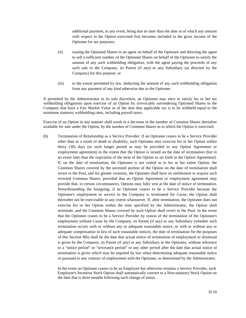additional payment, in any event, being due no later than the date as of which any amount with respect to the Option exercised first becomes included in the gross income of the Optionee for tax purposes;

- (ii) issuing the Optioned Shares to an agent on behalf of the Optionee and directing the agent to sell a sufficient number of the Optioned Shares on behalf of the Optionee to satisfy the amount of any such withholding obligation, with the agent paying the proceeds of any such sale to the Company, its Parent (if any) or any Subsidiary (as directed by the Company) for this purpose; or
- (iii) to the extent permitted by law, deducting the amount of any such withholding obligation from any payment of any kind otherwise due to the Optionee.

If permitted by the Administrator in its sole discretion, an Optionee may elect to satisfy his or her tax withholding obligations upon exercise of an Option by irrevocably surrendering Optioned Shares to the Company that have a Fair Market Value as of the date that applicable tax is to be withheld equal to the minimum statutory withholding rates, including payroll taxes.

Exercise of an Option in any manner shall result in a decrease in the number of Common Shares thereafter available for sale under the Option, by the number of Common Shares as to which the Option is exercised.

(b) Termination of Relationship as a Service Provider. If an Optionee ceases to be a Service Provider other than as a result of death or disability, such Optionee may exercise his or her Option within thirty (30) days (or such longer period as may be provided in any Option Agreement or employment agreement) to the extent that the Option is vested on the date of termination (but in no event later than the expiration of the term of the Option as set forth in the Option Agreement). If, on the date of termination, the Optionee is not vested as to his or her entire Option, the Common Shares covered by the unvested portion of the Option on the date of termination shall revert to the Pool, and for greater certainty, the Optionee shall have no entitlement to acquire such reverted Common Shares, provided that an Option Agreement or employment agreement may provide that, in certain circumstances, Options may fully vest at the date of notice of termination. Notwithstanding the foregoing, if an Optionee ceases to be a Service Provider because the Optionee's employment or service to the Company is terminated for Cause, the Option shall thereafter not be exercisable to any extent whatsoever. If, after termination, the Optionee does not exercise his or her Option within the time specified by the Administrator, the Option shall terminate, and the Common Shares covered by such Option shall revert to the Pool. In the event that the Optionee ceases to be a Service Provider by reason of the termination of the Optionee's employment without Cause by the Company, its Parent (if any) or any Subsidiary (whether such termination occurs with or without any or adequate reasonable notice, or with or without any or adequate compensation in lieu of such reasonable notice), the date of termination for the purposes of this Section 9(b) shall be the date that actual notice of termination of employment or dismissal is given by the Company, its Parent (if any) or any Subsidiary to the Optionee, without reference to a "notice period" or "severance period" or any other period after the date that actual notice of termination is given which may be required by law when determining adequate reasonable notice or pursuant to any contract of employment with the Optionee, as determined by the Administrator.

In the event an Optionee ceases to be an Employee but otherwise remains a Service Provider, such Employee's Incentive Stock Option shall automatically convert to a Non-statutory Stock Option on the date that is three months following such change of status.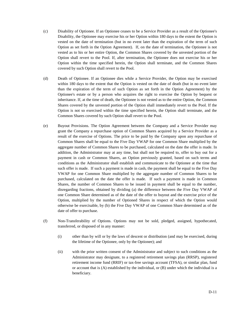- (c) Disability of Optionee. If an Optionee ceases to be a Service Provider as a result of the Optionee's Disability, the Optionee may exercise his or her Option within 180 days to the extent the Option is vested on the date of termination (but in no event later than the expiration of the term of such Option as set forth in the Option Agreement). If, on the date of termination, the Optionee is not vested as to his or her entire Option, the Common Shares covered by the unvested portion of the Option shall revert to the Pool. If, after termination, the Optionee does not exercise his or her Option within the time specified herein, the Option shall terminate, and the Common Shares covered by such Option shall revert to the Pool.
- (d) Death of Optionee. If an Optionee dies while a Service Provider, the Option may be exercised within 180 days to the extent that the Option is vested on the date of death (but in no event later than the expiration of the term of such Option as set forth in the Option Agreement) by the Optionee's estate or by a person who acquires the right to exercise the Option by bequest or inheritance. If, at the time of death, the Optionee is not vested as to the entire Option, the Common Shares covered by the unvested portion of the Option shall immediately revert to the Pool. If the Option is not so exercised within the time specified herein, the Option shall terminate, and the Common Shares covered by such Option shall revert to the Pool.
- (e) Buyout Provisions. The Option Agreement between the Company and a Service Provider may grant the Company a repurchase option of Common Shares acquired by a Service Provider as a result of the exercise of Options. The price to be paid by the Company upon any repurchase of Common Shares shall be equal to the Five Day VWAP for one Common Share multiplied by the aggregate number of Common Shares to be purchased, calculated on the date the offer is made. In addition, the Administrator may at any time, but shall not be required to, offer to buy out for a payment in cash or Common Shares, an Option previously granted, based on such terms and conditions as the Administrator shall establish and communicate to the Optionee at the time that such offer is made. If such a payment is made in cash, the payment shall be equal to the Five Day VWAP for one Common Share multiplied by the aggregate number of Common Shares to be purchased, calculated on the date the offer is made. If such a payment is made in Common Shares, the number of Common Shares to be issued in payment shall be equal to the number, disregarding fractions, obtained by dividing (a) the difference between the Five Day VWAP of one Common Share determined as of the date of the offer to buyout and the exercise price of the Option, multiplied by the number of Optioned Shares in respect of which the Option would otherwise be exercisable, by (b) the Five Day VWAP of one Common Share determined as of the date of offer to purchase.
- (f) Non-Transferability of Options. Options may not be sold, pledged, assigned, hypothecated, transferred, or disposed of in any manner:
	- (i) other than by will or by the laws of descent or distribution (and may be exercised, during the lifetime of the Optionee, only by the Optionee); and
	- (ii) with the prior written consent of the Administrator and subject to such conditions as the Administrator may designate, to a registered retirement savings plan (RRSP), registered retirement income fund (RRIF) or tax-free savings account (TFSA), or similar plan, fund or account that is (A) established by the individual, or (B) under which the individual is a beneficiary.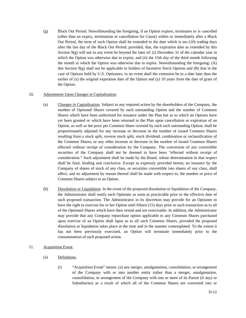(g) Black Out Period. Notwithstanding the foregoing, if an Option expires, terminates or is cancelled (other than an expiry, termination or cancellation for Cause) within or immediately after a Black Out Period, the term of such Option shall be extended to the date which is ten (10) trading days after the last day of the Black Out Period; provided, that, the expiration date as extended by this Section 9(g) will not in any event be beyond the later of: (i) December 31 of the calendar year in which the Option was otherwise due to expire; and (ii) the 15th day of the third month following the month in which the Option was otherwise due to expire. Notwithstanding the foregoing: (A) this Section 9(g) shall not be applicable to holders of Incentive Stock Options and (B) that in the case of Options held by U.S. Optionees, in no event shall the extension be to a date later than the earlier of  $(x)$  the original expiration date of the Option and  $(y)$  10 years from the date of grant of the Option.

# 10. Adjustments Upon Changes in Capitalization.

- (a) Changes in Capitalization. Subject to any required action by the shareholders of the Company, the number of Optioned Shares covered by each outstanding Option and the number of Common Shares which have been authorized for issuance under the Plan but as to which no Options have yet been granted or which have been returned to the Plan upon cancellation or expiration of an Option, as well as the price per Common Share covered by each such outstanding Option, shall be proportionately adjusted for any increase or decrease in the number of issued Common Shares resulting from a stock split, reverse stock split, stock dividend, combination or reclassification of the Common Shares, or any other increase or decrease in the number of issued Common Shares effected without receipt of consideration by the Company. The conversion of any convertible securities of the Company shall not be deemed to have been "effected without receipt of consideration." Such adjustment shall be made by the Board, whose determination in that respect shall be final, binding and conclusive. Except as expressly provided herein, no issuance by the Company of shares of stock of any class, or securities convertible into shares of any class, shall affect, and no adjustment by reason thereof shall be made with respect to, the number or price of Common Shares subject to an Option.
- (b) Dissolution or Liquidation. In the event of the proposed dissolution or liquidation of the Company, the Administrator shall notify each Optionee as soon as practicable prior to the effective date of such proposed transaction. The Administrator in its discretion may provide for an Optionee to have the right to exercise his or her Option until fifteen (15) days prior to such transaction as to all of the Optioned Shares which have then vested and are exercisable. In addition, the Administrator may provide that any Company repurchase option applicable to any Common Shares purchased upon exercise of an Option shall lapse as to all such Common Shares, provided the proposed dissolution or liquidation takes place at the time and in the manner contemplated. To the extent it has not been previously exercised, an Option will terminate immediately prior to the consummation of such proposed action.
- 11. Acquisition Event.
	- (a) Definitions.
		- (i) "Acquisition Event" means: (a) any merger, amalgamation, consolidation, or arrangement of the Company with or into another entity (other than a merger, amalgamation, consolidation, or arrangement of the Company with one or more of its Parent (if any) or Subsidiaries) as a result of which all of the Common Shares are converted into or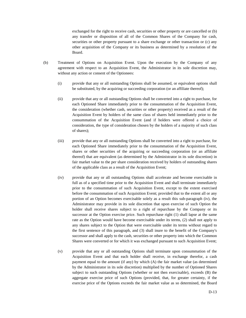exchanged for the right to receive cash, securities or other property or are cancelled or (b) any transfer or disposition of all of the Common Shares of the Company for cash, securities or other property pursuant to a share exchange or other transaction or (c) any other acquisition of the Company or its business as determined by a resolution of the Board.

- (b) Treatment of Options on Acquisition Event. Upon the execution by the Company of any agreement with respect to an Acquisition Event, the Administrator in its sole discretion may, without any action or consent of the Optionees:
	- (i) provide that any or all outstanding Options shall be assumed, or equivalent options shall be substituted, by the acquiring or succeeding corporation (or an affiliate thereof);
	- (ii) provide that any or all outstanding Options shall be converted into a right to purchase, for each Optioned Share immediately prior to the consummation of the Acquisition Event, the consideration (whether cash, securities or other property) received as a result of the Acquisition Event by holders of the same class of shares held immediately prior to the consummation of the Acquisition Event (and if holders were offered a choice of consideration, the type of consideration chosen by the holders of a majority of such class of shares);
	- (iii) provide that any or all outstanding Options shall be converted into a right to purchase, for each Optioned Share immediately prior to the consummation of the Acquisition Event, shares or other securities of the acquiring or succeeding corporation (or an affiliate thereof) that are equivalent (as determined by the Administrator in its sole discretion) in fair market value to the per share consideration received by holders of outstanding shares of the applicable class as a result of the Acquisition Event;
	- (iv) provide that any or all outstanding Options shall accelerate and become exercisable in full as of a specified time prior to the Acquisition Event and shall terminate immediately prior to the consummation of such Acquisition Event, except to the extent exercised before the consummation of such Acquisition Event; provided that to the extent all or any portion of an Option becomes exercisable solely as a result this sub-paragraph (iv), the Administrator may provide in its sole discretion that upon exercise of such Option the holder shall receive shares subject to a right of repurchase by the Company or its successor at the Option exercise price. Such repurchase right (1) shall lapse at the same rate as the Option would have become exercisable under its terms, (2) shall not apply to any shares subject to the Option that were exercisable under its terms without regard to the first sentence of this paragraph, and (3) shall inure to the benefit of the Company's successor and shall apply to the cash, securities or other property into which the Common Shares were converted or for which it was exchanged pursuant to such Acquisition Event;
	- (v) provide that any or all outstanding Options shall terminate upon consummation of the Acquisition Event and that each holder shall receive, in exchange therefor, a cash payment equal to the amount (if any) by which (A) the fair market value (as determined by the Administrator in its sole discretion) multiplied by the number of Optioned Shares subject to such outstanding Options (whether or not then exercisable), exceeds (B) the aggregate exercise price of such Options (provided, that, for greater certainty, if the exercise price of the Options exceeds the fair market value as so determined, the Board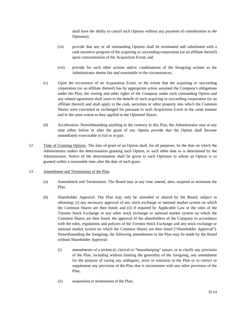shall have the ability to cancel such Options without any payment of consideration to the Optionee);

- (vi) provide that any or all outstanding Options shall be terminated and substituted with a cash incentive program of the acquiring or succeeding corporation (or an affiliate thereof) upon consummation of the Acquisition Event; and
- (vii) provide for such other actions and/or combinations of the foregoing actions as the Administrator deems fair and reasonable in the circumstances.
- (c) Upon the occurrence of an Acquisition Event, to the extent that the acquiring or succeeding corporation (or an affiliate thereof) has by appropriate action assumed the Company's obligations under the Plan, the vesting and other rights of the Company under each outstanding Option and any related agreement shall inure to the benefit of such acquiring or succeeding corporation (or an affiliate thereof) and shall apply to the cash, securities or other property into which the Common Shares were converted or exchanged for pursuant to such Acquisition Event in the same manner and to the same extent as they applied to the Optioned Shares.
- (d) Acceleration. Notwithstanding anything to the contrary in this Plan, the Administrator may at any time either before or after the grant of any Option provide that the Option shall become immediately exercisable in full or in part.
- 12. Time of Granting Options. The date of grant of an Option shall, for all purposes, be the date on which the Administrator makes the determination granting such Option, or such other date as is determined by the Administrator. Notice of the determination shall be given to each Optionee to whom an Option is so granted within a reasonable time after the date of such grant.
- 13. Amendment and Termination of the Plan.
	- (a) Amendment and Termination. The Board may at any time amend, alter, suspend or terminate the Plan.
	- (b) Shareholder Approval. The Plan may only be amended or altered by the Board, subject to obtaining: (i) any necessary approval of any stock exchange or national market system on which the Common Shares are then listed; and (ii) if required by Applicable Law or the rules of the Toronto Stock Exchange or any other stock exchange or national market system on which the Common Shares are then listed, the approval of the shareholders of the Company in accordance with the rules, regulations and policies of the Toronto Stock Exchange and any stock exchange or national market system on which the Common Shares are then listed ("Shareholder Approval"). Notwithstanding the foregoing, the following amendments to the Plan may be made by the Board without Shareholder Approval:
		- (i) amendments of a technical, clerical or "housekeeping" nature, or to clarify any provision of the Plan, including without limiting the generality of the foregoing, any amendment for the purpose of curing any ambiguity, error or omission in the Plan or to correct or supplement any provision of the Plan that is inconsistent with any other provision of the Plan;
		- (ii) suspension or termination of the Plan;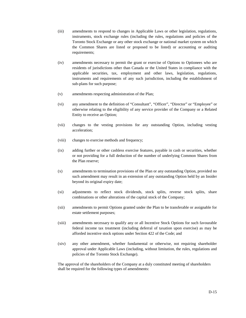- (iii) amendments to respond to changes in Applicable Laws or other legislation, regulations, instruments, stock exchange rules (including the rules, regulations and policies of the Toronto Stock Exchange or any other stock exchange or national market system on which the Common Shares are listed or proposed to be listed) or accounting or auditing requirements;
- (iv) amendments necessary to permit the grant or exercise of Options to Optionees who are residents of jurisdictions other than Canada or the United States in compliance with the applicable securities, tax, employment and other laws, legislation, regulations, instruments and requirements of any such jurisdiction, including the establishment of sub-plans for such purpose;
- (v) amendments respecting administration of the Plan;
- (vi) any amendment to the definition of "Consultant", "Officer", "Director" or "Employee" or otherwise relating to the eligibility of any service provider of the Company or a Related Entity to receive an Option;
- (vii) changes to the vesting provisions for any outstanding Option, including vesting acceleration;
- (viii) changes to exercise methods and frequency;
- (ix) adding further or other cashless exercise features, payable in cash or securities, whether or not providing for a full deduction of the number of underlying Common Shares from the Plan reserve;
- (x) amendments to termination provisions of the Plan or any outstanding Option, provided no such amendment may result in an extension of any outstanding Option held by an Insider beyond its original expiry date;
- (xi) adjustments to reflect stock dividends, stock splits, reverse stock splits, share combinations or other alterations of the capital stock of the Company;
- (xii) amendments to permit Options granted under the Plan to be transferable or assignable for estate settlement purposes;
- (xiii) amendments necessary to qualify any or all Incentive Stock Options for such favourable federal income tax treatment (including deferral of taxation upon exercise) as may be afforded incentive stock options under Section 422 of the Code; and
- (xiv) any other amendment, whether fundamental or otherwise, not requiring shareholder approval under Applicable Laws (including, without limitation, the rules, regulations and policies of the Toronto Stock Exchange).

The approval of the shareholders of the Company at a duly constituted meeting of shareholders shall be required for the following types of amendments: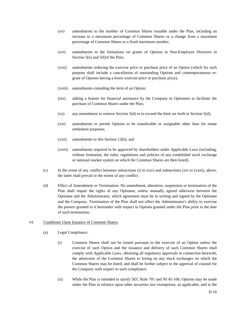- (xv) amendments to the number of Common Shares issuable under the Plan, including an increase to a maximum percentage of Common Shares or a change from a maximum percentage of Common Shares to a fixed maximum number;
- (xvi) amendments to the limitations on grants of Options to Non-Employee Directors in Section 5(e) and 5(f)of the Plan;
- (xvii) amendments reducing the exercise price or purchase price of an Option (which for such purpose shall include a cancellation of outstanding Options and contemporaneous regrant of Options having a lower exercise price or purchase price);
- (xviii) amendments extending the term of an Option;
- (xix) adding a feature for financial assistance by the Company to Optionees to facilitate the purchase of Common Shares under the Plan;
- (xx) any amendment to remove Section  $5(d)$  or to exceed the limit set forth in Section  $5(d)$ ;
- (xxi) amendments to permit Options to be transferable or assignable other than for estate settlement purposes;
- (xxii) amendments to this Section 13(b); and
- (xxiii) amendments required to be approved by shareholders under Applicable Laws (including, without limitation, the rules, regulations and policies of any established stock exchange or national market system on which the Common Shares are then listed).
- (c) In the event of any conflict between subsections (i) to (xiv) and subsections (xvi to (xxiii), above, the latter shall prevail to the extent of any conflict.
- (d) Effect of Amendment or Termination. No amendment, alteration, suspension or termination of the Plan shall impair the rights of any Optionee, unless mutually agreed otherwise between the Optionee and the Administrator, which agreement must be in writing and signed by the Optionee and the Company. Termination of the Plan shall not affect the Administrator's ability to exercise the powers granted to it hereunder with respect to Options granted under the Plan prior to the date of such termination.

#### 14. Conditions Upon Issuance of Common Shares.

- (a) Legal Compliance.
	- (i) Common Shares shall not be issued pursuant to the exercise of an Option unless the exercise of such Option and the issuance and delivery of such Common Shares shall comply with Applicable Laws, obtaining all regulatory approvals in connection herewith, the admission of the Common Shares to listing on any stock exchanges on which the Common Shares may be listed, and shall be further subject to the approval of counsel for the Company with respect to such compliance.
	- (ii) While the Plan is intended to satisfy SEC Rule 701 and NI 45-106, Options may be made under the Plan in reliance upon other securities law exemptions, as applicable, and to the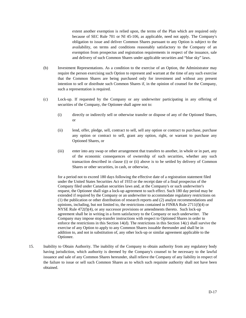extent another exemption is relied upon, the terms of the Plan which are required only because of SEC Rule 701 or NI 45-106, as applicable, need not apply. The Company's obligation to issue and deliver Common Shares pursuant to any Option is subject to the availability, on terms and conditions reasonably satisfactory to the Company of an exemption from prospectus and registration requirements in respect of the issuance, sale and delivery of such Common Shares under applicable securities and "blue sky" laws.

- (b) Investment Representations. As a condition to the exercise of an Option, the Administrator may require the person exercising such Option to represent and warrant at the time of any such exercise that the Common Shares are being purchased only for investment and without any present intention to sell or distribute such Common Shares if, in the opinion of counsel for the Company, such a representation is required.
- (c) Lock-up. If requested by the Company or any underwriter participating in any offering of securities of the Company, the Optionee shall agree not to:
	- (i) directly or indirectly sell or otherwise transfer or dispose of any of the Optioned Shares, or
	- (ii) lend, offer, pledge, sell, contract to sell, sell any option or contract to purchase, purchase any option or contract to sell, grant any option, right, or warrant to purchase any Optioned Shares, or
	- (iii) enter into any swap or other arrangement that transfers to another, in whole or in part, any of the economic consequences of ownership of such securities, whether any such transaction described in clause (i) or (ii) above is to be settled by delivery of Common Shares or other securities, in cash, or otherwise,

for a period not to exceed 180 days following the effective date of a registration statement filed under the United States Securities Act of 1933 or the receipt date of a final prospectus of the Company filed under Canadian securities laws and, at the Company's or such underwriter's request, the Optionee shall sign a lock-up agreement to such effect. Such 180 day period may be extended if required by the Company or an underwriter to accommodate regulatory restrictions on (1) the publication or other distribution of research reports and (2) analyst recommendations and opinions, including, but not limited to, the restrictions contained in FINRA Rule 2711(f)(4) or NYSE Rule  $472(f)(4)$ , or any successor provisions or amendments thereto. Such lock-up agreement shall be in writing in a form satisfactory to the Company or such underwriter. The Company may impose stop-transfer instructions with respect to Optioned Shares in order to enforce the restrictions in this Section 14(d). The restrictions in this Section 14(c) shall survive the exercise of any Option to apply to any Common Shares issuable thereunder and shall be in addition to, and not in substitution of, any other lock-up or similar agreement applicable to the Optionee.

15. Inability to Obtain Authority. The inability of the Company to obtain authority from any regulatory body having jurisdiction, which authority is deemed by the Company's counsel to be necessary to the lawful issuance and sale of any Common Shares hereunder, shall relieve the Company of any liability in respect of the failure to issue or sell such Common Shares as to which such requisite authority shall not have been obtained.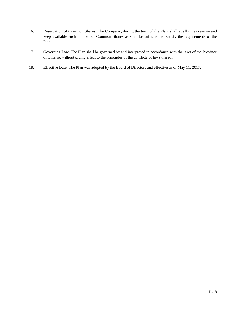- 16. Reservation of Common Shares. The Company, during the term of the Plan, shall at all times reserve and keep available such number of Common Shares as shall be sufficient to satisfy the requirements of the Plan.
- 17. Governing Law. The Plan shall be governed by and interpreted in accordance with the laws of the Province of Ontario, without giving effect to the principles of the conflicts of laws thereof.
- 18. Effective Date. The Plan was adopted by the Board of Directors and effective as of May 11, 2017.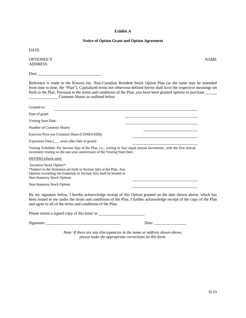# **Exhibit A**

## **Notice of Option Grant and Option Agreement**

DATE

OPTIONEE'S NAME ADDRESS

Dear :

Reference is made to the Kinaxis Inc. Non-Canadian Resident Stock Option Plan (as the same may be amended from time to time, the "Plan"). Capitalized terms not otherwise defined herein shall have the respective meanings set forth in the Plan. Pursuant to the terms and conditions of the Plan, you have been granted options to purchase Common Shares as outlined below.

| Granted to:                                                                                                                                                                                                                                                                                       |  |
|---------------------------------------------------------------------------------------------------------------------------------------------------------------------------------------------------------------------------------------------------------------------------------------------------|--|
| Date of grant:                                                                                                                                                                                                                                                                                    |  |
| <b>Vesting Start Date:</b>                                                                                                                                                                                                                                                                        |  |
| Number of Common Shares:                                                                                                                                                                                                                                                                          |  |
| Exercise Price per Common Share (CDN\$/USD\$):                                                                                                                                                                                                                                                    |  |
| Expiration Date (____ years after date of grant):                                                                                                                                                                                                                                                 |  |
| Vesting Schedule: Per Section 9(a) of the Plan, i.e., vesting in four equal annual increments, with the first annual<br>increment vesting on the one-year anniversary of the Vesting Start Date.                                                                                                  |  |
| ISO/NSO (check one):                                                                                                                                                                                                                                                                              |  |
| Incentive Stock Option*:<br>*Subject to the limitation set forth in Section 5(b) of the Plan. Any<br>Options exceeding the limitation in Section 5(b) shall be treated as<br><b>Non-Statutory Stock Options</b>                                                                                   |  |
| Non-Statutory Stock Option:                                                                                                                                                                                                                                                                       |  |
| By my signature below, I hereby acknowledge receipt of this Option granted on the date shown above, which has<br>been issued to me under the terms and conditions of the Plan. I further acknowledge receipt of the copy of the Plan<br>and agree to all of the terms and conditions of the Plan. |  |
| Please return a signed copy of this letter to                                                                                                                                                                                                                                                     |  |

Signature: \_\_\_\_\_\_\_\_\_\_\_\_\_\_\_\_\_\_\_\_\_\_\_\_\_\_\_\_\_\_\_\_\_\_\_\_\_ Date: \_\_\_\_\_\_\_\_\_\_\_\_\_\_\_\_

*Note: If there are any discrepancies in the name or address shown above, please make the appropriate corrections on this form.*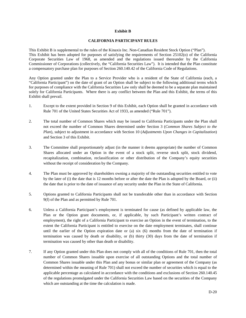#### **Exhibit B**

#### **CALIFORNIA PARTICIPANT RULES**

This Exhibit B is supplemental to the rules of the Kinaxis Inc. Non-Canadian Resident Stock Option ("Plan"). This Exhibit has been adopted for purposes of satisfying the requirements of Section 25102(o) of the California Corporate Securities Law of 1968, as amended and the regulations issued thereunder by the California Commissioner of Corporations (collectively, the "California Securities Law"). It is intended that the Plan constitute a compensatory purchase plan for purposes of Section 260.140.42 of the California Code of Regulations.

Any Option granted under the Plan to a Service Provider who is a resident of the State of California (each, a "California Participant") on the date of grant of an Option shall be subject to the following additional terms which for purposes of compliance with the California Securities Law only shall be deemed to be a separate plan maintained solely for California Participants. Where there is any conflict between the Plan and this Exhibit, the terms of this Exhibit shall prevail.

- 1. Except to the extent provided in Section 9 of this Exhibit, each Option shall be granted in accordance with Rule 701 of the United States Securities Act of 1933, as amended ("Rule 701").
- 2. The total number of Common Shares which may be issued to California Participants under the Plan shall not exceed the number of Common Shares determined under Section 3 (*Common Shares Subject to the Plan*), subject to adjustment in accordance with Section 10 (*Adjustments Upon Changes in Capitalization*) and Section 3 of this Exhibit.
- 3. The Committee shall proportionately adjust (in the manner it deems appropriate) the number of Common Shares allocated under an Option in the event of a stock split, reverse stock split, stock dividend, recapitalization, combination, reclassification or other distribution of the Company's equity securities without the receipt of consideration by the Company.
- 4. The Plan must be approved by shareholders owning a majority of the outstanding securities entitled to vote by the later of (i) the date that is 12 months before or after the date the Plan is adopted by the Board, or (ii) the date that is prior to the date of issuance of any security under the Plan in the State of California.
- 5. Options granted to California Participants shall not be transferable other than in accordance with Section 9(f) of the Plan and as permitted by Rule 701.
- 6. Unless a California Participant's employment is terminated for cause (as defined by applicable law, the Plan or the Option grant documents, or, if applicable, by such Participant's written contract of employment), the right of a California Participant to exercise an Option in the event of termination, to the extent the California Participant is entitled to exercise on the date employment terminates, shall continue until the earlier of the Option expiration date or (a) six (6) months from the date of termination if termination was caused by death or disability, or (b) thirty (30) days from the date of termination if termination was caused by other than death or disability.
- 7. If any Option granted under this Plan does not comply with all of the conditions of Rule 701, then the total number of Common Shares issuable upon exercise of all outstanding Options and the total number of Common Shares issuable under this Plan and any bonus or similar plan or agreement of the Company (as determined within the meaning of Rule 701) shall not exceed the number of securities which is equal to the applicable percentage as calculated in accordance with the conditions and exclusions of Section 260.140.45 of the regulations promulgated under the California Securities Law based on the securities of the Company which are outstanding at the time the calculation is made.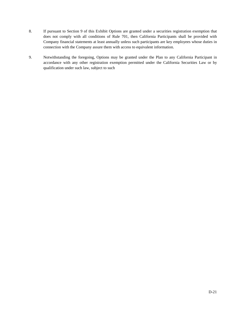- 8. If pursuant to Section 9 of this Exhibit Options are granted under a securities registration exemption that does not comply with all conditions of Rule 701, then California Participants shall be provided with Company financial statements at least annually unless such participants are key employees whose duties in connection with the Company assure them with access to equivalent information.
- 9. Notwithstanding the foregoing, Options may be granted under the Plan to any California Participant in accordance with any other registration exemption permitted under the California Securities Law or by qualification under such law, subject to such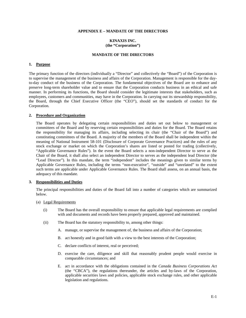#### **APPENDIX E – MANDATE OF THE DIRECTORS**

#### **KINAXIS INC. (the "Corporation")**

#### **MANDATE OF THE DIRECTORS**

#### **1. Purpose**

The primary function of the directors (individually a "Director" and collectively the "Board") of the Corporation is to supervise the management of the business and affairs of the Corporation. Management is responsible for the dayto-day conduct of the business of the Corporation. The fundamental objectives of the Board are to enhance and preserve long-term shareholder value and to ensure that the Corporation conducts business in an ethical and safe manner. In performing its functions, the Board should consider the legitimate interests that stakeholders, such as employees, customers and communities, may have in the Corporation. In carrying out its stewardship responsibility, the Board, through the Chief Executive Officer (the "CEO"), should set the standards of conduct for the Corporation.

#### **2. Procedure and Organization**

The Board operates by delegating certain responsibilities and duties set out below to management or committees of the Board and by reserving certain responsibilities and duties for the Board. The Board retains the responsibility for managing its affairs, including selecting its chair (the "Chair of the Board") and constituting committees of the Board. A majority of the members of the Board shall be independent within the meaning of National Instrument 58-101 (Disclosure of Corporate Governance Practices) and the rules of any stock exchange or market on which the Corporation's shares are listed or posted for trading (collectively, "Applicable Governance Rules"). In the event the Board selects a non-independent Director to serve as the Chair of the Board, it shall also select an independent Director to serves as the independent lead Director (the "Lead Director"). In this mandate, the term "independent" includes the meanings given to similar terms by Applicable Governance Rules, including the terms "non-executive", "outside" and "unrelated" to the extent such terms are applicable under Applicable Governance Rules. The Board shall assess, on an annual basis, the adequacy of this mandate.

#### **3. Responsibilities and Duties**

The principal responsibilities and duties of the Board fall into a number of categories which are summarized below.

#### (a) Legal Requirements

- (i) The Board has the overall responsibility to ensure that applicable legal requirements are complied with and documents and records have been properly prepared, approved and maintained.
- (ii) The Board has the statutory responsibility to, among other things:
	- A. manage, or supervise the management of, the business and affairs of the Corporation;
	- B. act honestly and in good faith with a view to the best interests of the Corporation;
	- C. declare conflicts of interest, real or perceived;
	- D. exercise the care, diligence and skill that reasonably prudent people would exercise in comparable circumstances; and
	- E. act in accordance with the obligations contained in the *Canada Business Corporations Act*  (the "CBCA"), the regulations thereunder, the articles and by-laws of the Corporation, applicable securities laws and policies, applicable stock exchange rules, and other applicable legislation and regulations.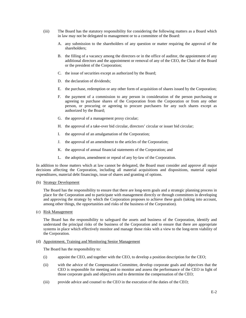- (iii) The Board has the statutory responsibility for considering the following matters as a Board which in law may not be delegated to management or to a committee of the Board:
	- A. any submission to the shareholders of any question or matter requiring the approval of the shareholders;
	- B. the filling of a vacancy among the directors or in the office of auditor, the appointment of any additional directors and the appointment or removal of any of the CEO, the Chair of the Board or the president of the Corporation;
	- C. the issue of securities except as authorized by the Board;
	- D. the declaration of dividends;
	- E. the purchase, redemption or any other form of acquisition of shares issued by the Corporation;
	- F. the payment of a commission to any person in consideration of the person purchasing or agreeing to purchase shares of the Corporation from the Corporation or from any other person, or procuring or agreeing to procure purchasers for any such shares except as authorized by the Board;
	- G. the approval of a management proxy circular;
	- H. the approval of a take-over bid circular, directors' circular or issuer bid circular;
	- I. the approval of an amalgamation of the Corporation;
	- J. the approval of an amendment to the articles of the Corporation;
	- K. the approval of annual financial statements of the Corporation; and
	- L. the adoption, amendment or repeal of any by-law of the Corporation.

In addition to those matters which at law cannot be delegated, the Board must consider and approve all major decisions affecting the Corporation, including all material acquisitions and dispositions, material capital expenditures, material debt financings, issue of shares and granting of options.

#### (b) Strategy Development

The Board has the responsibility to ensure that there are long-term goals and a strategic planning process in place for the Corporation and to participate with management directly or through committees in developing and approving the strategy by which the Corporation proposes to achieve these goals (taking into account, among other things, the opportunities and risks of the business of the Corporation).

(c) Risk Management

The Board has the responsibility to safeguard the assets and business of the Corporation, identify and understand the principal risks of the business of the Corporation and to ensure that there are appropriate systems in place which effectively monitor and manage those risks with a view to the long-term viability of the Corporation.

#### (d) Appointment, Training and Monitoring Senior Management

The Board has the responsibility to:

- (i) appoint the CEO, and together with the CEO, to develop a position description for the CEO;
- (ii) with the advice of the Compensation Committee, develop corporate goals and objectives that the CEO is responsible for meeting and to monitor and assess the performance of the CEO in light of those corporate goals and objectives and to determine the compensation of the CEO;
- (iii) provide advice and counsel to the CEO in the execution of the duties of the CEO;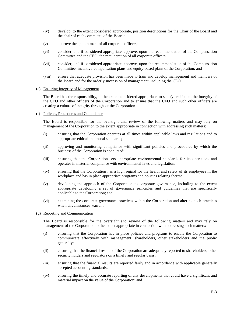- (iv) develop, to the extent considered appropriate, position descriptions for the Chair of the Board and the chair of each committee of the Board;
- (v) approve the appointment of all corporate officers;
- (vi) consider, and if considered appropriate, approve, upon the recommendation of the Compensation Committee and the CEO, the remuneration of all corporate officers;
- (vii) consider, and if considered appropriate, approve, upon the recommendation of the Compensation Committee, incentive-compensation plans and equity-based plans of the Corporation; and
- (viii) ensure that adequate provision has been made to train and develop management and members of the Board and for the orderly succession of management, including the CEO.

#### (e) Ensuring Integrity of Management

The Board has the responsibility, to the extent considered appropriate, to satisfy itself as to the integrity of the CEO and other officers of the Corporation and to ensure that the CEO and such other officers are creating a culture of integrity throughout the Corporation.

(f) Policies, Procedures and Compliance

The Board is responsible for the oversight and review of the following matters and may rely on management of the Corporation to the extent appropriate in connection with addressing such matters:

- (i) ensuring that the Corporation operates at all times within applicable laws and regulations and to appropriate ethical and moral standards;
- (ii) approving and monitoring compliance with significant policies and procedures by which the business of the Corporation is conducted;
- (iii) ensuring that the Corporation sets appropriate environmental standards for its operations and operates in material compliance with environmental laws and legislation;
- (iv) ensuring that the Corporation has a high regard for the health and safety of its employees in the workplace and has in place appropriate programs and policies relating thereto;
- (v) developing the approach of the Corporation to corporate governance, including to the extent appropriate developing a set of governance principles and guidelines that are specifically applicable to the Corporation; and
- (vi) examining the corporate governance practices within the Corporation and altering such practices when circumstances warrant.

#### (g) Reporting and Communication

The Board is responsible for the oversight and review of the following matters and may rely on management of the Corporation to the extent appropriate in connection with addressing such matters:

- (i) ensuring that the Corporation has in place policies and programs to enable the Corporation to communicate effectively with management, shareholders, other stakeholders and the public generally;
- (ii) ensuring that the financial results of the Corporation are adequately reported to shareholders, other security holders and regulators on a timely and regular basis;
- (iii) ensuring that the financial results are reported fairly and in accordance with applicable generally accepted accounting standards;
- (iv) ensuring the timely and accurate reporting of any developments that could have a significant and material impact on the value of the Corporation; and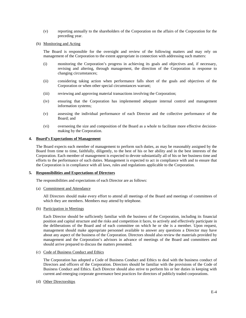- (v) reporting annually to the shareholders of the Corporation on the affairs of the Corporation for the preceding year.
- (h) Monitoring and Acting

The Board is responsible for the oversight and review of the following matters and may rely on management of the Corporation to the extent appropriate in connection with addressing such matters:

- (i) monitoring the Corporation's progress in achieving its goals and objectives and, if necessary, revising and altering, through management, the direction of the Corporation in response to changing circumstances;
- (ii) considering taking action when performance falls short of the goals and objectives of the Corporation or when other special circumstances warrant;
- (iii) reviewing and approving material transactions involving the Corporation;
- (iv) ensuring that the Corporation has implemented adequate internal control and management information systems;
- (v) assessing the individual performance of each Director and the collective performance of the Board; and
- (vi) overseeing the size and composition of the Board as a whole to facilitate more effective decisionmaking by the Corporation.

# **4. Board's Expectations of Management**

The Board expects each member of management to perform such duties, as may be reasonably assigned by the Board from time to time, faithfully, diligently, to the best of his or her ability and in the best interests of the Corporation. Each member of management is expected to devote substantially all of his or her business time and efforts to the performance of such duties. Management is expected to act in compliance with and to ensure that the Corporation is in compliance with all laws, rules and regulations applicable to the Corporation.

#### **5. Responsibilities and Expectations of Directors**

The responsibilities and expectations of each Director are as follows:

(a) Commitment and Attendance

All Directors should make every effort to attend all meetings of the Board and meetings of committees of which they are members. Members may attend by telephone.

(b) Participation in Meetings

Each Director should be sufficiently familiar with the business of the Corporation, including its financial position and capital structure and the risks and competition it faces, to actively and effectively participate in the deliberations of the Board and of each committee on which he or she is a member. Upon request, management should make appropriate personnel available to answer any questions a Director may have about any aspect of the business of the Corporation. Directors should also review the materials provided by management and the Corporation's advisors in advance of meetings of the Board and committees and should arrive prepared to discuss the matters presented.

(c) Code of Business Conduct and Ethics

The Corporation has adopted a Code of Business Conduct and Ethics to deal with the business conduct of Directors and officers of the Corporation. Directors should be familiar with the provisions of the Code of Business Conduct and Ethics. Each Director should also strive to perform his or her duties in keeping with current and emerging corporate governance best practices for directors of publicly traded corporations.

(d) Other Directorships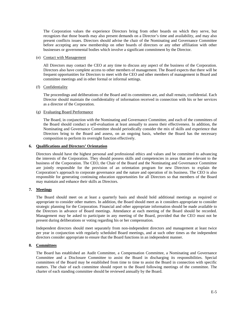The Corporation values the experience Directors bring from other boards on which they serve, but recognizes that those boards may also present demands on a Director's time and availability, and may also present conflicts issues. Directors should advise the chair of the Nominating and Governance Committee before accepting any new membership on other boards of directors or any other affiliation with other businesses or governmental bodies which involve a significant commitment by the Director.

#### (e) Contact with Management

All Directors may contact the CEO at any time to discuss any aspect of the business of the Corporation. Directors also have complete access to other members of management. The Board expects that there will be frequent opportunities for Directors to meet with the CEO and other members of management in Board and committee meetings and in other formal or informal settings.

# (f) Confidentiality

The proceedings and deliberations of the Board and its committees are, and shall remain, confidential. Each Director should maintain the confidentiality of information received in connection with his or her services as a director of the Corporation.

### (g) Evaluating Board Performance

The Board, in conjunction with the Nominating and Governance Committee, and each of the committees of the Board should conduct a self-evaluation at least annually to assess their effectiveness. In addition, the Nominating and Governance Committee should periodically consider the mix of skills and experience that Directors bring to the Board and assess, on an ongoing basis, whether the Board has the necessary composition to perform its oversight function effectively.

### **6. Qualifications and Directors' Orientation**

Directors should have the highest personal and professional ethics and values and be committed to advancing the interests of the Corporation. They should possess skills and competencies in areas that are relevant to the business of the Corporation. The CEO, the Chair of the Board and the Nominating and Governance Committee are jointly responsible for the provision of an orientation program for new Directors to explain the Corporation's approach to corporate governance and the nature and operation of its business. The CEO is also responsible for generating continuing education opportunities for all Directors so that members of the Board may maintain and enhance their skills as Directors.

# **7. Meetings**

The Board should meet on at least a quarterly basis and should hold additional meetings as required or appropriate to consider other matters. In addition, the Board should meet as it considers appropriate to consider strategic planning for the Corporation. Financial and other appropriate information should be made available to the Directors in advance of Board meetings. Attendance at each meeting of the Board should be recorded. Management may be asked to participate in any meeting of the Board, provided that the CEO must not be present during deliberations or voting regarding his or her compensation.

Independent directors should meet separately from non-independent directors and management at least twice per year in conjunction with regularly scheduled Board meetings, and at such other times as the independent directors consider appropriate to ensure that the Board functions in an independent manner.

# **8. Committees**

The Board has established an Audit Committee, a Compensation Committee, a Nominating and Governance Committee and a Disclosure Committee to assist the Board in discharging its responsibilities. Special committees of the Board may be established from time to time to assist the Board in connection with specific matters. The chair of each committee should report to the Board following meetings of the committee. The charter of each standing committee should be reviewed annually by the Board.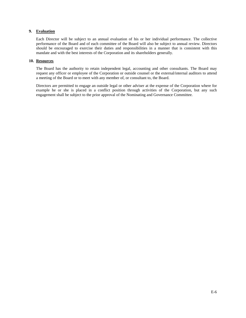# **9. Evaluation**

Each Director will be subject to an annual evaluation of his or her individual performance. The collective performance of the Board and of each committee of the Board will also be subject to annual review. Directors should be encouraged to exercise their duties and responsibilities in a manner that is consistent with this mandate and with the best interests of the Corporation and its shareholders generally.

# **10. Resources**

The Board has the authority to retain independent legal, accounting and other consultants. The Board may request any officer or employee of the Corporation or outside counsel or the external/internal auditors to attend a meeting of the Board or to meet with any member of, or consultant to, the Board.

Directors are permitted to engage an outside legal or other adviser at the expense of the Corporation where for example he or she is placed in a conflict position through activities of the Corporation, but any such engagement shall be subject to the prior approval of the Nominating and Governance Committee.